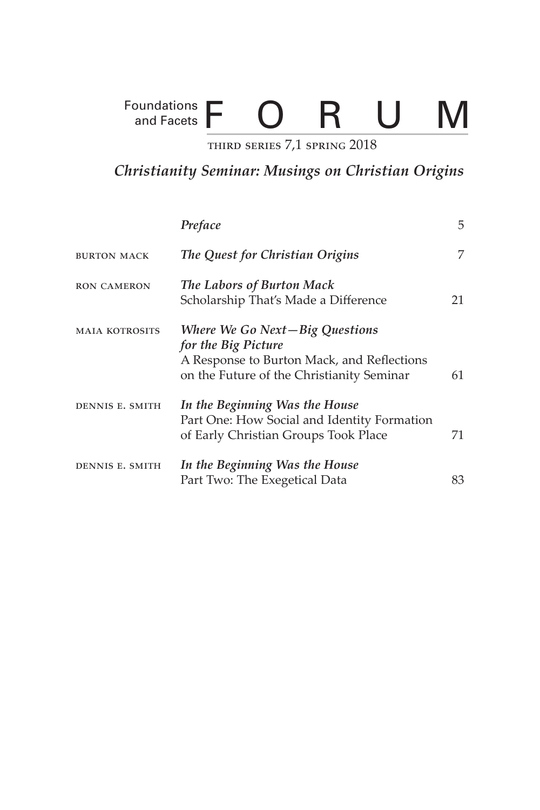### O R U M Foundations and Facets

third series 7,1 spring 2018

## *Christianity Seminar: Musings on Christian Origins*

|                    | Preface                                                                                                                                          | 5. |
|--------------------|--------------------------------------------------------------------------------------------------------------------------------------------------|----|
| <b>BURTON MACK</b> | The Quest for Christian Origins                                                                                                                  | 7  |
| RON CAMERON        | The Labors of Burton Mack<br>Scholarship That's Made a Difference                                                                                | 21 |
| MAIA KOTROSITS     | Where We Go Next-Big Questions<br>for the Big Picture<br>A Response to Burton Mack, and Reflections<br>on the Future of the Christianity Seminar | 61 |
| DENNIS E. SMITH    | In the Beginning Was the House<br>Part One: How Social and Identity Formation<br>of Early Christian Groups Took Place                            | 71 |
| DENNIS E. SMITH    | In the Beginning Was the House<br>Part Two: The Exegetical Data                                                                                  | 83 |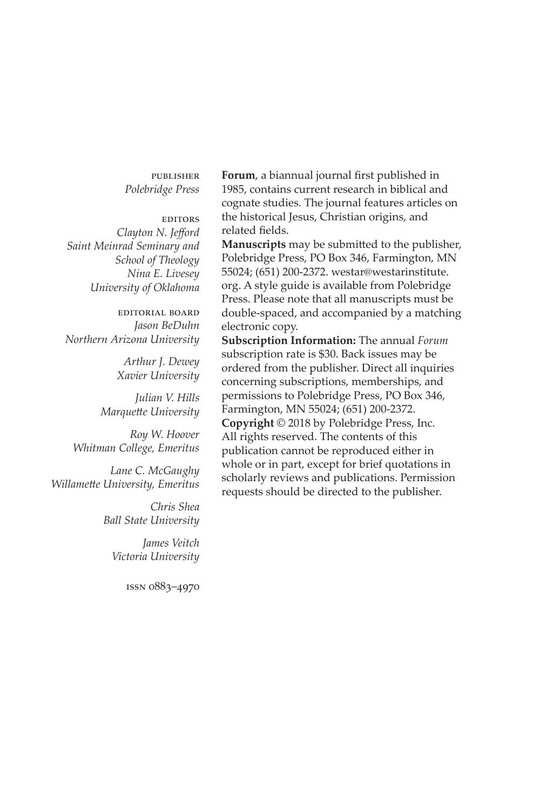publisher *Polebridge Press*

editors *Clayton N. Jefford Saint Meinrad Seminary and School of Theology Nina E. Livesey University of Oklahoma* 

editorial board *Jason BeDuhn Northern Arizona University*

> *Arthur J. Dewey Xavier University*

*Julian V. Hills Marquette University*

*Roy W. Hoover Whitman College, Emeritus*

*Lane C. McGaughy Willamette University, Emeritus*

> *Chris Shea Ball State University*

*James Veitch Victoria University*

issn 0883–4970

**Forum**, a biannual journal first published in 1985, contains current research in biblical and cognate studies. The journal features articles on the historical Jesus, Christian origins, and related fields.

**Manuscripts** may be submitted to the publisher, Polebridge Press, PO Box 346, Farmington, MN 55024; (651) 200-2372. westar@westarinstitute. org. A style guide is available from Polebridge Press. Please note that all manuscripts must be double-spaced, and accompanied by a matching electronic copy.

**Subscription Information:** The annual *Forum* subscription rate is \$30. Back issues may be ordered from the publisher. Direct all inquiries concerning subscriptions, memberships, and permissions to Polebridge Press, PO Box 346, Farmington, MN 55024; (651) 200-2372. **Copyright** © 2018 by Polebridge Press, Inc. All rights reserved. The contents of this publication cannot be reproduced either in whole or in part, except for brief quotations in scholarly reviews and publications. Permission requests should be directed to the publisher.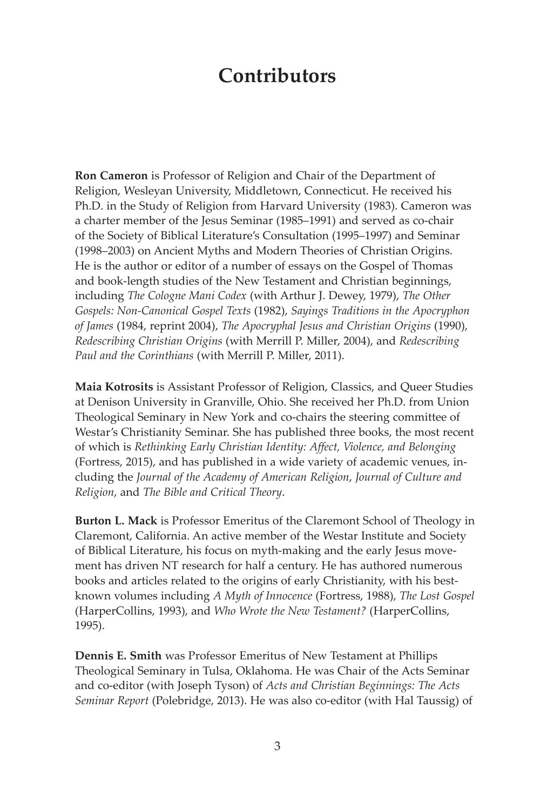## **Contributors**

**Ron Cameron** is Professor of Religion and Chair of the Department of Religion, Wesleyan University, Middletown, Connecticut. He received his Ph.D. in the Study of Religion from Harvard University (1983). Cameron was a charter member of the Jesus Seminar (1985 –1991) and served as co-chair of the Society of Biblical Literature's Consultation (1995–1997) and Seminar (1998–2003) on Ancient Myths and Modern Theories of Christian Origins. He is the author or editor of a number of essays on the Gospel of Thomas and book-length studies of the New Testament and Christian beginnings, including *The Cologne Mani Codex* (with Arthur J. Dewey, 1979), *The Other Gospels: Non-Canonical Gospel Texts* (1982), *Sayings Traditions in the Apocryphon of James* (1984, reprint 2004), *The Apocryphal Jesus and Christian Origins* (1990), *Redescribing Christian Origins* (with Merrill P. Miller, 2004), and *Redescribing Paul and the Corinthians* (with Merrill P. Miller, 2011).

**Maia Kotrosits** is Assistant Professor of Religion, Classics, and Queer Studies at Denison University in Granville, Ohio. She received her Ph.D. from Union Theological Seminary in New York and co-chairs the steering committee of Westar's Christianity Seminar. She has published three books, the most recent of which is *Rethinking Early Christian Identity: Affect, Violence, and Belonging* (Fortress, 2015), and has published in a wide variety of academic venues, including the *Journal of the Academy of American Religion*, *Journal of Culture and Religion*, and *The Bible and Critical Theory*.

**Burton L. Mack** is Professor Emeritus of the Claremont School of Theology in Claremont, California. An active member of the Westar Institute and Society of Biblical Literature, his focus on myth-making and the early Jesus movement has driven NT research for half a century. He has authored numerous books and articles related to the origins of early Christianity, with his bestknown volumes including *A Myth of Innocence* (Fortress, 1988), *The Lost Gospel* (HarperCollins, 1993), and *Who Wrote the New Testament?* (HarperCollins, 1995).

**Dennis E. Smith** was Professor Emeritus of New Testament at Phillips Theological Seminary in Tulsa, Oklahoma. He was Chair of the Acts Seminar and co-editor (with Joseph Tyson) of *Acts and Christian Beginnings: The Acts Seminar Report* (Polebridge, 2013). He was also co-editor (with Hal Taussig) of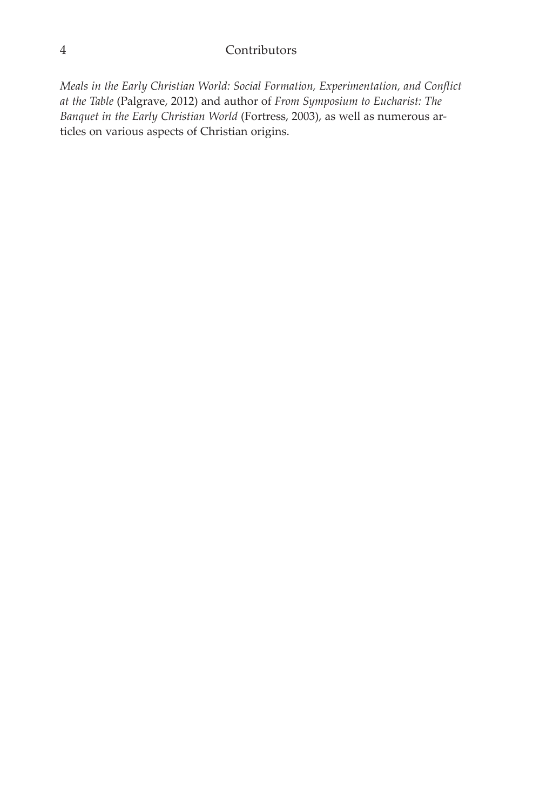## 4 Contributors

*Meals in the Early Christian World: Social Formation, Experimentation, and Conflict at the Table* (Palgrave, 2012) and author of *From Symposium to Eucharist: The Banquet in the Early Christian World* (Fortress, 2003), as well as numerous articles on various aspects of Christian origins.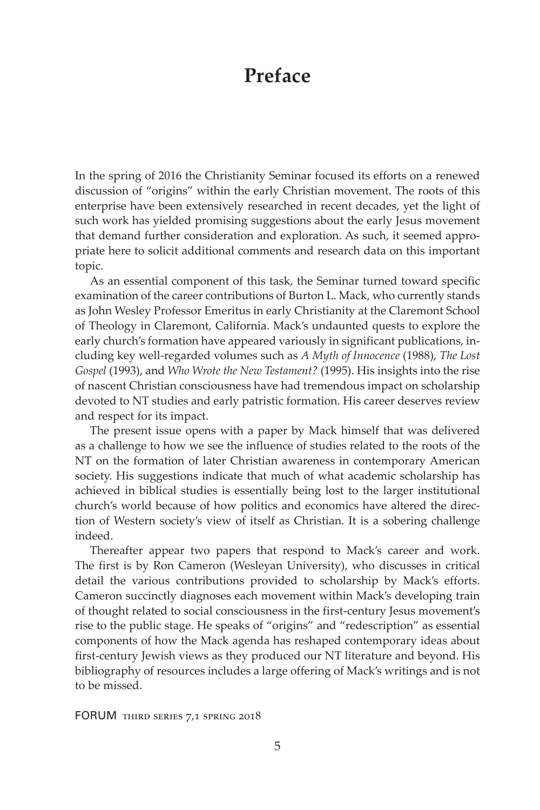## **Preface**

In the spring of 2016 the Christianity Seminar focused its efforts on a renewed discussion of "origins" within the early Christian movement. The roots of this enterprise have been extensively researched in recent decades, yet the light of such work has yielded promising suggestions about the early Jesus movement that demand further consideration and exploration. As such, it seemed appropriate here to solicit additional comments and research data on this important topic.

As an essential component of this task, the Seminar turned toward specific examination of the career contributions of Burton L. Mack, who currently stands as John Wesley Professor Emeritus in early Christianity at the Claremont School of Theology in Claremont, California. Mack's undaunted quests to explore the early church's formation have appeared variously in significant publications, including key well-regarded volumes such as *A Myth of Innocence* (1988), *The Lost Gospel* (1993), and *Who Wrote the New Testament?* (1995). His insights into the rise of nascent Christian consciousness have had tremendous impact on scholarship devoted to NT studies and early patristic formation. His career deserves review and respect for its impact.

The present issue opens with a paper by Mack himself that was delivered as a challenge to how we see the influence of studies related to the roots of the NT on the formation of later Christian awareness in contemporary American society. His suggestions indicate that much of what academic scholarship has achieved in biblical studies is essentially being lost to the larger institutional church's world because of how politics and economics have altered the direction of Western society's view of itself as Christian. It is a sobering challenge indeed.

Thereafter appear two papers that respond to Mack's career and work. The first is by Ron Cameron (Wesleyan University), who discusses in critical detail the various contributions provided to scholarship by Mack's efforts. Cameron succinctly diagnoses each movement within Mack's developing train of thought related to social consciousness in the first-century Jesus movement's rise to the public stage. He speaks of "origins" and "redescription" as essential components of how the Mack agenda has reshaped contemporary ideas about first-century Jewish views as they produced our NT literature and beyond. His bibliography of resources includes a large offering of Mack's writings and is not to be missed.

FORUM third series 7,1 spring 2018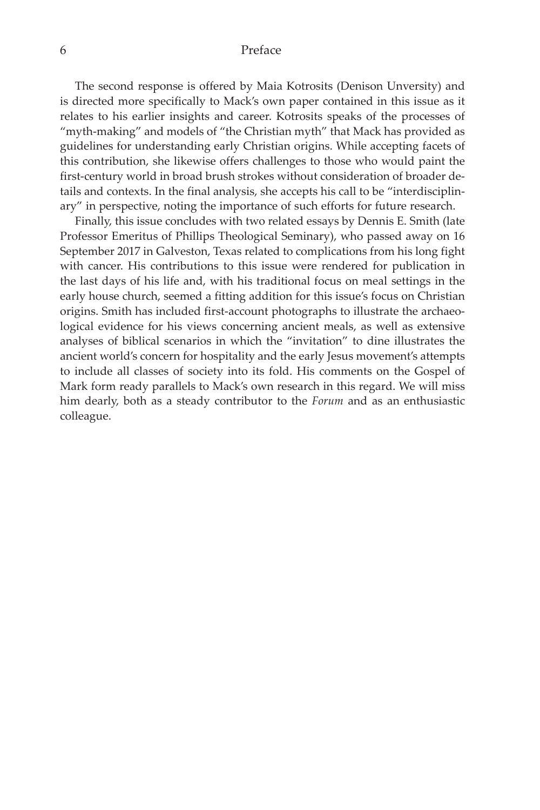#### 6 Preface

The second response is offered by Maia Kotrosits (Denison Unversity) and is directed more specifically to Mack's own paper contained in this issue as it relates to his earlier insights and career. Kotrosits speaks of the processes of "myth-making" and models of "the Christian myth" that Mack has provided as guidelines for understanding early Christian origins. While accepting facets of this contribution, she likewise offers challenges to those who would paint the first-century world in broad brush strokes without consideration of broader details and contexts. In the final analysis, she accepts his call to be "interdisciplinary" in perspective, noting the importance of such efforts for future research.

Finally, this issue concludes with two related essays by Dennis E. Smith (late Professor Emeritus of Phillips Theological Seminary), who passed away on 16 September 2017 in Galveston, Texas related to complications from his long fight with cancer. His contributions to this issue were rendered for publication in the last days of his life and, with his traditional focus on meal settings in the early house church, seemed a fitting addition for this issue's focus on Christian origins. Smith has included first-account photographs to illustrate the archaeological evidence for his views concerning ancient meals, as well as extensive analyses of biblical scenarios in which the "invitation" to dine illustrates the ancient world's concern for hospitality and the early Jesus movement's attempts to include all classes of society into its fold. His comments on the Gospel of Mark form ready parallels to Mack's own research in this regard. We will miss him dearly, both as a steady contributor to the *Forum* and as an enthusiastic colleague.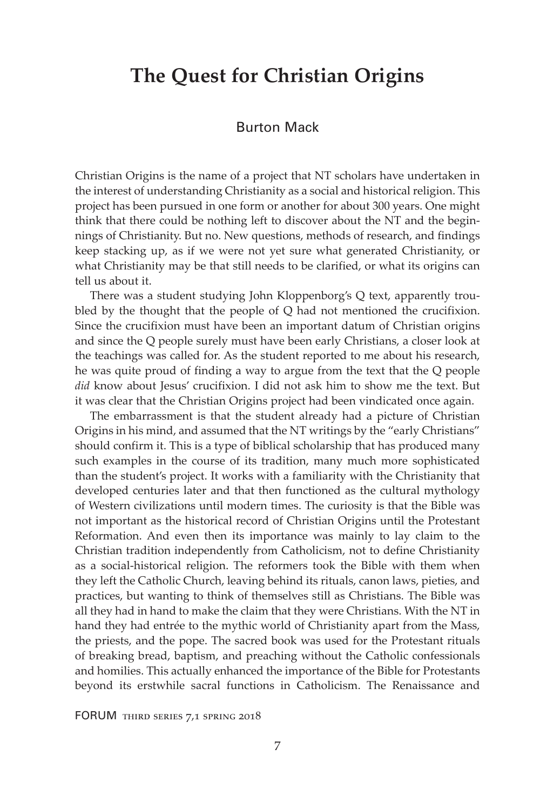## **The Quest for Christian Origins**

### Burton Mack

Christian Origins is the name of a project that NT scholars have undertaken in the interest of understanding Christianity as a social and historical religion. This project has been pursued in one form or another for about 300 years. One might think that there could be nothing left to discover about the NT and the beginnings of Christianity. But no. New questions, methods of research, and findings keep stacking up, as if we were not yet sure what generated Christianity, or what Christianity may be that still needs to be clarified, or what its origins can tell us about it.

There was a student studying John Kloppenborg's Q text, apparently troubled by the thought that the people of Q had not mentioned the crucifixion. Since the crucifixion must have been an important datum of Christian origins and since the Q people surely must have been early Christians, a closer look at the teachings was called for. As the student reported to me about his research, he was quite proud of finding a way to argue from the text that the Q people *did* know about Jesus' crucifixion. I did not ask him to show me the text. But it was clear that the Christian Origins project had been vindicated once again.

The embarrassment is that the student already had a picture of Christian Origins in his mind, and assumed that the NT writings by the "early Christians" should confirm it. This is a type of biblical scholarship that has produced many such examples in the course of its tradition, many much more sophisticated than the student's project. It works with a familiarity with the Christianity that developed centuries later and that then functioned as the cultural mythology of Western civilizations until modern times. The curiosity is that the Bible was not important as the historical record of Christian Origins until the Protestant Reformation. And even then its importance was mainly to lay claim to the Christian tradition independently from Catholicism, not to define Christianity as a social-historical religion. The reformers took the Bible with them when they left the Catholic Church, leaving behind its rituals, canon laws, pieties, and practices, but wanting to think of themselves still as Christians. The Bible was all they had in hand to make the claim that they were Christians. With the NT in hand they had entrée to the mythic world of Christianity apart from the Mass, the priests, and the pope. The sacred book was used for the Protestant rituals of breaking bread, baptism, and preaching without the Catholic confessionals and homilies. This actually enhanced the importance of the Bible for Protestants beyond its erstwhile sacral functions in Catholicism. The Renaissance and

FORUM third series 7,1 spring 2018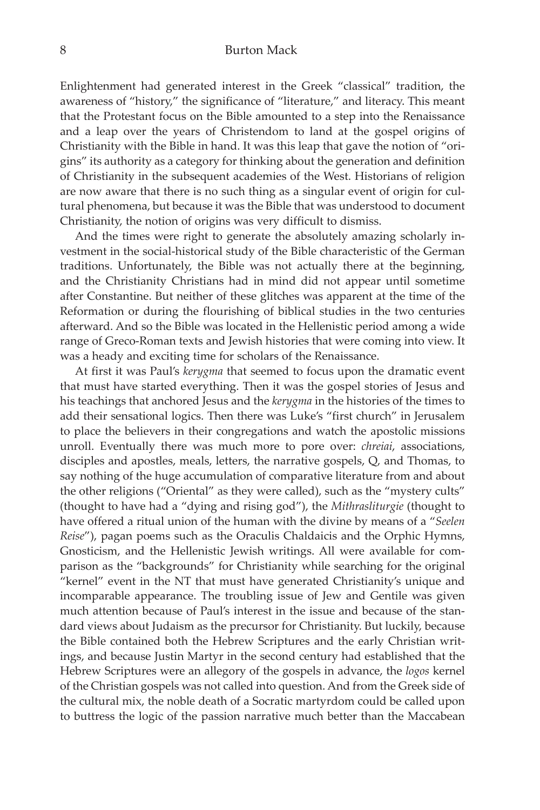Enlightenment had generated interest in the Greek "classical" tradition, the awareness of "history," the significance of "literature," and literacy. This meant that the Protestant focus on the Bible amounted to a step into the Renaissance and a leap over the years of Christendom to land at the gospel origins of Christianity with the Bible in hand. It was this leap that gave the notion of "origins" its authority as a category for thinking about the generation and definition of Christianity in the subsequent academies of the West. Historians of religion are now aware that there is no such thing as a singular event of origin for cultural phenomena, but because it was the Bible that was understood to document Christianity, the notion of origins was very difficult to dismiss.

And the times were right to generate the absolutely amazing scholarly investment in the social-historical study of the Bible characteristic of the German traditions. Unfortunately, the Bible was not actually there at the beginning, and the Christianity Christians had in mind did not appear until sometime after Constantine. But neither of these glitches was apparent at the time of the Reformation or during the flourishing of biblical studies in the two centuries afterward. And so the Bible was located in the Hellenistic period among a wide range of Greco-Roman texts and Jewish histories that were coming into view. It was a heady and exciting time for scholars of the Renaissance.

At first it was Paul's *kerygma* that seemed to focus upon the dramatic event that must have started everything. Then it was the gospel stories of Jesus and his teachings that anchored Jesus and the *kerygma* in the histories of the times to add their sensational logics. Then there was Luke's "first church" in Jerusalem to place the believers in their congregations and watch the apostolic missions unroll. Eventually there was much more to pore over: *chreiai*, associations, disciples and apostles, meals, letters, the narrative gospels, Q, and Thomas, to say nothing of the huge accumulation of comparative literature from and about the other religions ("Oriental" as they were called), such as the "mystery cults" (thought to have had a "dying and rising god"), the *Mithrasliturgie* (thought to have offered a ritual union of the human with the divine by means of a "*Seelen Reise*"), pagan poems such as the Oraculis Chaldaicis and the Orphic Hymns, Gnosticism, and the Hellenistic Jewish writings. All were available for comparison as the "backgrounds" for Christianity while searching for the original "kernel" event in the NT that must have generated Christianity's unique and incomparable appearance. The troubling issue of Jew and Gentile was given much attention because of Paul's interest in the issue and because of the standard views about Judaism as the precursor for Christianity. But luckily, because the Bible contained both the Hebrew Scriptures and the early Christian writings, and because Justin Martyr in the second century had established that the Hebrew Scriptures were an allegory of the gospels in advance, the *logos* kernel of the Christian gospels was not called into question. And from the Greek side of the cultural mix, the noble death of a Socratic martyrdom could be called upon to buttress the logic of the passion narrative much better than the Maccabean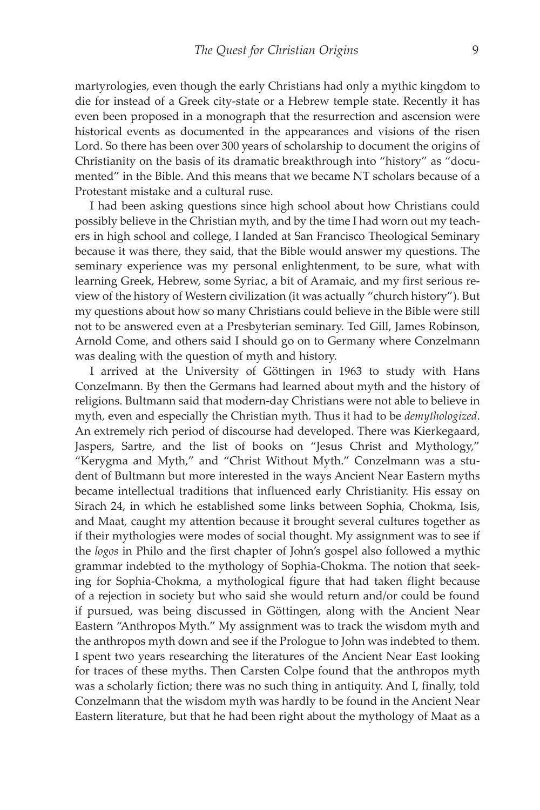martyrologies, even though the early Christians had only a mythic kingdom to die for instead of a Greek city-state or a Hebrew temple state. Recently it has even been proposed in a monograph that the resurrection and ascension were historical events as documented in the appearances and visions of the risen Lord. So there has been over 300 years of scholarship to document the origins of Christianity on the basis of its dramatic breakthrough into "history" as "documented" in the Bible. And this means that we became NT scholars because of a Protestant mistake and a cultural ruse.

I had been asking questions since high school about how Christians could possibly believe in the Christian myth, and by the time I had worn out my teachers in high school and college, I landed at San Francisco Theological Seminary because it was there, they said, that the Bible would answer my questions. The seminary experience was my personal enlightenment, to be sure, what with learning Greek, Hebrew, some Syriac, a bit of Aramaic, and my first serious review of the history of Western civilization (it was actually "church history"). But my questions about how so many Christians could believe in the Bible were still not to be answered even at a Presbyterian seminary. Ted Gill, James Robinson, Arnold Come, and others said I should go on to Germany where Conzelmann was dealing with the question of myth and history.

I arrived at the University of Göttingen in 1963 to study with Hans Conzelmann. By then the Germans had learned about myth and the history of religions. Bultmann said that modern-day Christians were not able to believe in myth, even and especially the Christian myth. Thus it had to be *demythologized*. An extremely rich period of discourse had developed. There was Kierkegaard, Jaspers, Sartre, and the list of books on "Jesus Christ and Mythology," "Kerygma and Myth," and "Christ Without Myth." Conzelmann was a student of Bultmann but more interested in the ways Ancient Near Eastern myths became intellectual traditions that influenced early Christianity. His essay on Sirach 24, in which he established some links between Sophia, Chokma, Isis, and Maat, caught my attention because it brought several cultures together as if their mythologies were modes of social thought. My assignment was to see if the *logos* in Philo and the first chapter of John's gospel also followed a mythic grammar indebted to the mythology of Sophia-Chokma. The notion that seeking for Sophia-Chokma, a mythological figure that had taken flight because of a rejection in society but who said she would return and/or could be found if pursued, was being discussed in Göttingen, along with the Ancient Near Eastern "Anthropos Myth." My assignment was to track the wisdom myth and the anthropos myth down and see if the Prologue to John was indebted to them. I spent two years researching the literatures of the Ancient Near East looking for traces of these myths. Then Carsten Colpe found that the anthropos myth was a scholarly fiction; there was no such thing in antiquity. And I, finally, told Conzelmann that the wisdom myth was hardly to be found in the Ancient Near Eastern literature, but that he had been right about the mythology of Maat as a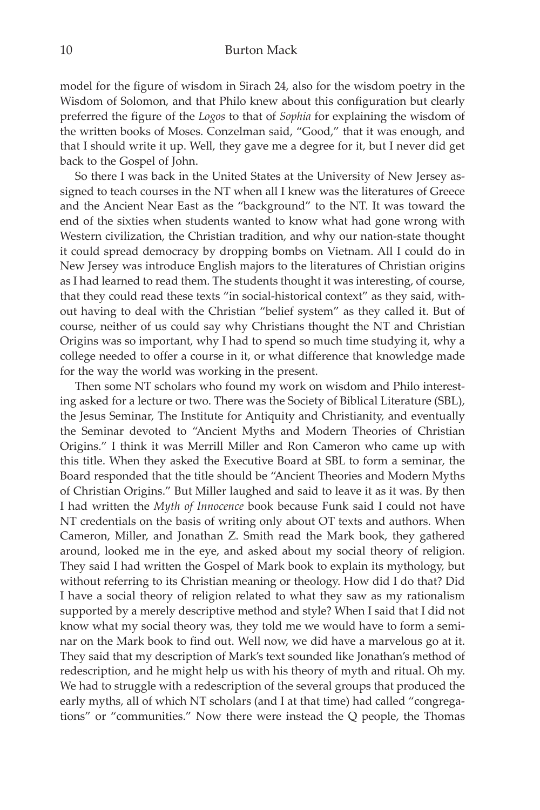model for the figure of wisdom in Sirach 24, also for the wisdom poetry in the Wisdom of Solomon, and that Philo knew about this configuration but clearly preferred the figure of the *Logos* to that of *Sophia* for explaining the wisdom of the written books of Moses. Conzelman said, "Good," that it was enough, and that I should write it up. Well, they gave me a degree for it, but I never did get back to the Gospel of John.

So there I was back in the United States at the University of New Jersey assigned to teach courses in the NT when all I knew was the literatures of Greece and the Ancient Near East as the "background" to the NT. It was toward the end of the sixties when students wanted to know what had gone wrong with Western civilization, the Christian tradition, and why our nation-state thought it could spread democracy by dropping bombs on Vietnam. All I could do in New Jersey was introduce English majors to the literatures of Christian origins as I had learned to read them. The students thought it was interesting, of course, that they could read these texts "in social-historical context" as they said, without having to deal with the Christian "belief system" as they called it. But of course, neither of us could say why Christians thought the NT and Christian Origins was so important, why I had to spend so much time studying it, why a college needed to offer a course in it, or what difference that knowledge made for the way the world was working in the present.

Then some NT scholars who found my work on wisdom and Philo interesting asked for a lecture or two. There was the Society of Biblical Literature (SBL), the Jesus Seminar, The Institute for Antiquity and Christianity, and eventually the Seminar devoted to "Ancient Myths and Modern Theories of Christian Origins." I think it was Merrill Miller and Ron Cameron who came up with this title. When they asked the Executive Board at SBL to form a seminar, the Board responded that the title should be "Ancient Theories and Modern Myths of Christian Origins." But Miller laughed and said to leave it as it was. By then I had written the *Myth of Innocence* book because Funk said I could not have NT credentials on the basis of writing only about OT texts and authors. When Cameron, Miller, and Jonathan Z. Smith read the Mark book, they gathered around, looked me in the eye, and asked about my social theory of religion. They said I had written the Gospel of Mark book to explain its mythology, but without referring to its Christian meaning or theology. How did I do that? Did I have a social theory of religion related to what they saw as my rationalism supported by a merely descriptive method and style? When I said that I did not know what my social theory was, they told me we would have to form a seminar on the Mark book to find out. Well now, we did have a marvelous go at it. They said that my description of Mark's text sounded like Jonathan's method of redescription, and he might help us with his theory of myth and ritual. Oh my. We had to struggle with a redescription of the several groups that produced the early myths, all of which NT scholars (and I at that time) had called "congregations" or "communities." Now there were instead the Q people, the Thomas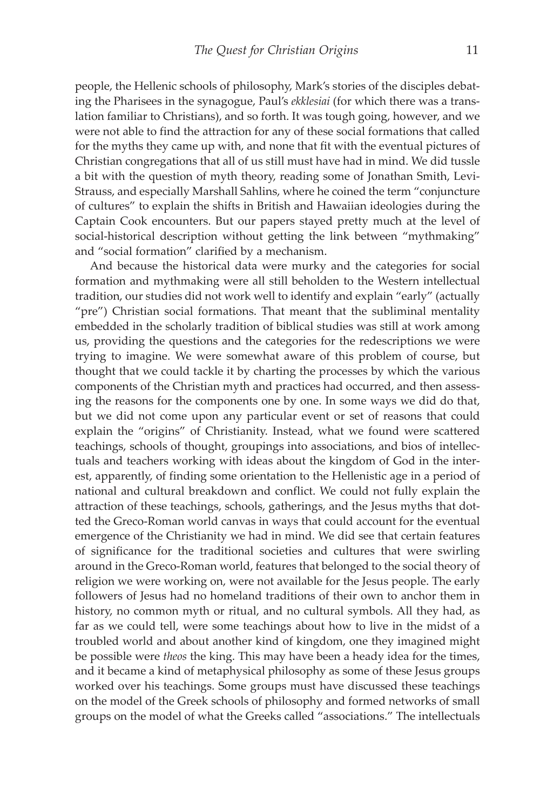people, the Hellenic schools of philosophy, Mark's stories of the disciples debating the Pharisees in the synagogue, Paul's *ekklesiai* (for which there was a translation familiar to Christians), and so forth. It was tough going, however, and we were not able to find the attraction for any of these social formations that called for the myths they came up with, and none that fit with the eventual pictures of Christian congregations that all of us still must have had in mind. We did tussle a bit with the question of myth theory, reading some of Jonathan Smith, Levi-Strauss, and especially Marshall Sahlins, where he coined the term "conjuncture of cultures" to explain the shifts in British and Hawaiian ideologies during the Captain Cook encounters. But our papers stayed pretty much at the level of social-historical description without getting the link between "mythmaking" and "social formation" clarified by a mechanism.

And because the historical data were murky and the categories for social formation and mythmaking were all still beholden to the Western intellectual tradition, our studies did not work well to identify and explain "early" (actually "pre") Christian social formations. That meant that the subliminal mentality embedded in the scholarly tradition of biblical studies was still at work among us, providing the questions and the categories for the redescriptions we were trying to imagine. We were somewhat aware of this problem of course, but thought that we could tackle it by charting the processes by which the various components of the Christian myth and practices had occurred, and then assessing the reasons for the components one by one. In some ways we did do that, but we did not come upon any particular event or set of reasons that could explain the "origins" of Christianity. Instead, what we found were scattered teachings, schools of thought, groupings into associations, and bios of intellectuals and teachers working with ideas about the kingdom of God in the interest, apparently, of finding some orientation to the Hellenistic age in a period of national and cultural breakdown and conflict. We could not fully explain the attraction of these teachings, schools, gatherings, and the Jesus myths that dotted the Greco-Roman world canvas in ways that could account for the eventual emergence of the Christianity we had in mind. We did see that certain features of significance for the traditional societies and cultures that were swirling around in the Greco-Roman world, features that belonged to the social theory of religion we were working on, were not available for the Jesus people. The early followers of Jesus had no homeland traditions of their own to anchor them in history, no common myth or ritual, and no cultural symbols. All they had, as far as we could tell, were some teachings about how to live in the midst of a troubled world and about another kind of kingdom, one they imagined might be possible were *theos* the king. This may have been a heady idea for the times, and it became a kind of metaphysical philosophy as some of these Jesus groups worked over his teachings. Some groups must have discussed these teachings on the model of the Greek schools of philosophy and formed networks of small groups on the model of what the Greeks called "associations." The intellectuals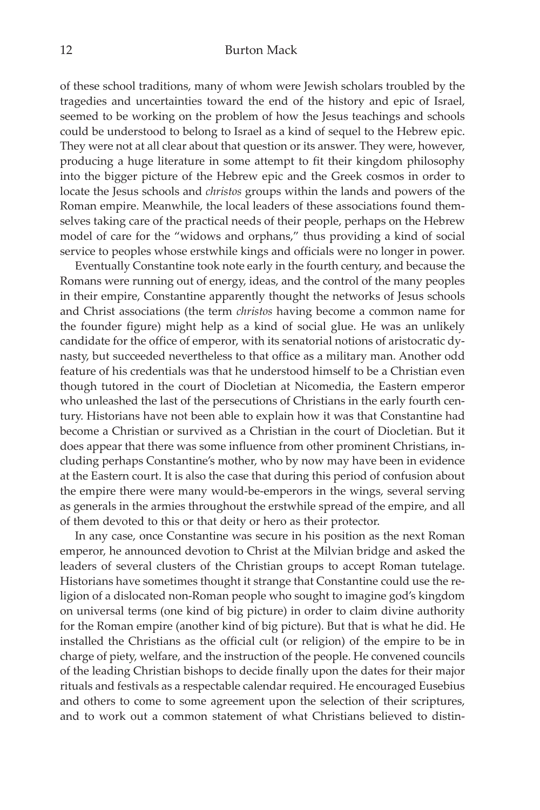#### 12 Burton Mack

of these school traditions, many of whom were Jewish scholars troubled by the tragedies and uncertainties toward the end of the history and epic of Israel, seemed to be working on the problem of how the Jesus teachings and schools could be understood to belong to Israel as a kind of sequel to the Hebrew epic. They were not at all clear about that question or its answer. They were, however, producing a huge literature in some attempt to fit their kingdom philosophy into the bigger picture of the Hebrew epic and the Greek cosmos in order to locate the Jesus schools and *christos* groups within the lands and powers of the Roman empire. Meanwhile, the local leaders of these associations found themselves taking care of the practical needs of their people, perhaps on the Hebrew model of care for the "widows and orphans," thus providing a kind of social service to peoples whose erstwhile kings and officials were no longer in power.

Eventually Constantine took note early in the fourth century, and because the Romans were running out of energy, ideas, and the control of the many peoples in their empire, Constantine apparently thought the networks of Jesus schools and Christ associations (the term *christos* having become a common name for the founder figure) might help as a kind of social glue. He was an unlikely candidate for the office of emperor, with its senatorial notions of aristocratic dynasty, but succeeded nevertheless to that office as a military man. Another odd feature of his credentials was that he understood himself to be a Christian even though tutored in the court of Diocletian at Nicomedia, the Eastern emperor who unleashed the last of the persecutions of Christians in the early fourth century. Historians have not been able to explain how it was that Constantine had become a Christian or survived as a Christian in the court of Diocletian. But it does appear that there was some influence from other prominent Christians, including perhaps Constantine's mother, who by now may have been in evidence at the Eastern court. It is also the case that during this period of confusion about the empire there were many would-be-emperors in the wings, several serving as generals in the armies throughout the erstwhile spread of the empire, and all of them devoted to this or that deity or hero as their protector.

In any case, once Constantine was secure in his position as the next Roman emperor, he announced devotion to Christ at the Milvian bridge and asked the leaders of several clusters of the Christian groups to accept Roman tutelage. Historians have sometimes thought it strange that Constantine could use the religion of a dislocated non-Roman people who sought to imagine god's kingdom on universal terms (one kind of big picture) in order to claim divine authority for the Roman empire (another kind of big picture). But that is what he did. He installed the Christians as the official cult (or religion) of the empire to be in charge of piety, welfare, and the instruction of the people. He convened councils of the leading Christian bishops to decide finally upon the dates for their major rituals and festivals as a respectable calendar required. He encouraged Eusebius and others to come to some agreement upon the selection of their scriptures, and to work out a common statement of what Christians believed to distin-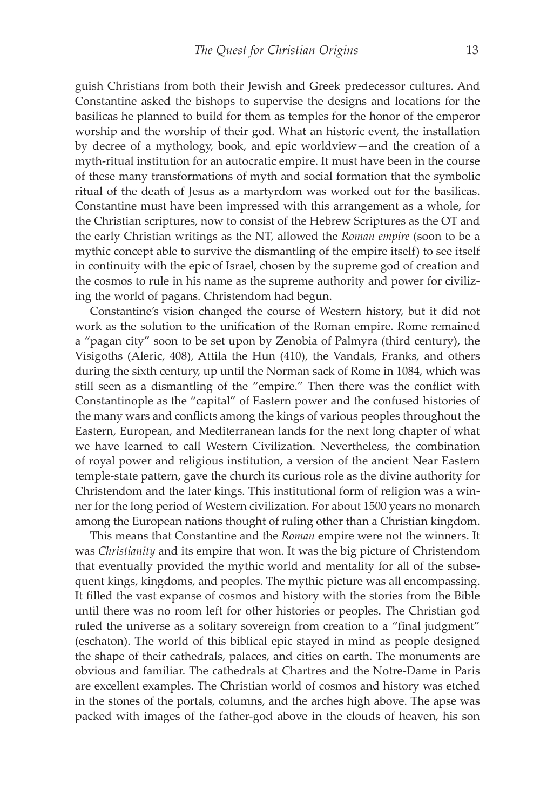guish Christians from both their Jewish and Greek predecessor cultures. And Constantine asked the bishops to supervise the designs and locations for the basilicas he planned to build for them as temples for the honor of the emperor worship and the worship of their god. What an historic event, the installation by decree of a mythology, book, and epic worldview—and the creation of a myth-ritual institution for an autocratic empire. It must have been in the course of these many transformations of myth and social formation that the symbolic ritual of the death of Jesus as a martyrdom was worked out for the basilicas. Constantine must have been impressed with this arrangement as a whole, for the Christian scriptures, now to consist of the Hebrew Scriptures as the OT and the early Christian writings as the NT, allowed the *Roman empire* (soon to be a mythic concept able to survive the dismantling of the empire itself) to see itself in continuity with the epic of Israel, chosen by the supreme god of creation and the cosmos to rule in his name as the supreme authority and power for civilizing the world of pagans. Christendom had begun.

Constantine's vision changed the course of Western history, but it did not work as the solution to the unification of the Roman empire. Rome remained a "pagan city" soon to be set upon by Zenobia of Palmyra (third century), the Visigoths (Aleric, 408), Attila the Hun (410), the Vandals, Franks, and others during the sixth century, up until the Norman sack of Rome in 1084, which was still seen as a dismantling of the "empire." Then there was the conflict with Constantinople as the "capital" of Eastern power and the confused histories of the many wars and conflicts among the kings of various peoples throughout the Eastern, European, and Mediterranean lands for the next long chapter of what we have learned to call Western Civilization. Nevertheless, the combination of royal power and religious institution, a version of the ancient Near Eastern temple-state pattern, gave the church its curious role as the divine authority for Christendom and the later kings. This institutional form of religion was a winner for the long period of Western civilization. For about 1500 years no monarch among the European nations thought of ruling other than a Christian kingdom.

This means that Constantine and the *Roman* empire were not the winners. It was *Christianity* and its empire that won. It was the big picture of Christendom that eventually provided the mythic world and mentality for all of the subsequent kings, kingdoms, and peoples. The mythic picture was all encompassing. It filled the vast expanse of cosmos and history with the stories from the Bible until there was no room left for other histories or peoples. The Christian god ruled the universe as a solitary sovereign from creation to a "final judgment" (eschaton). The world of this biblical epic stayed in mind as people designed the shape of their cathedrals, palaces, and cities on earth. The monuments are obvious and familiar. The cathedrals at Chartres and the Notre-Dame in Paris are excellent examples. The Christian world of cosmos and history was etched in the stones of the portals, columns, and the arches high above. The apse was packed with images of the father-god above in the clouds of heaven, his son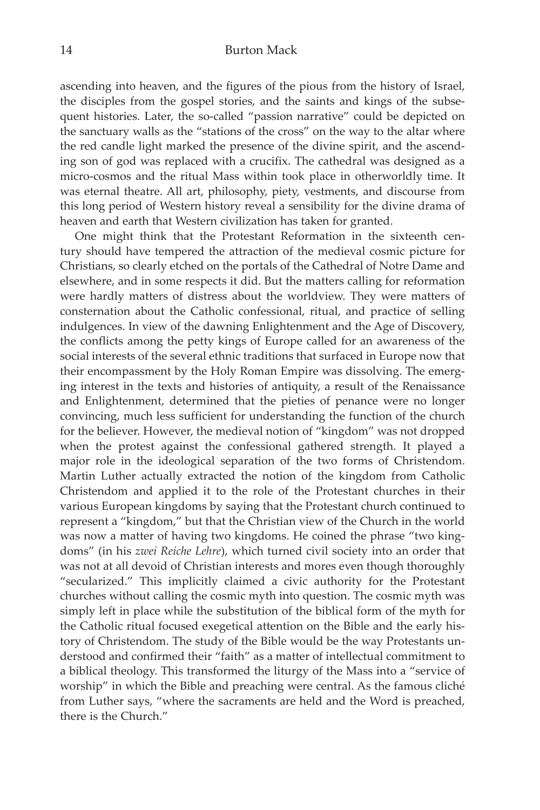ascending into heaven, and the figures of the pious from the history of Israel, the disciples from the gospel stories, and the saints and kings of the subsequent histories. Later, the so-called "passion narrative" could be depicted on the sanctuary walls as the "stations of the cross" on the way to the altar where the red candle light marked the presence of the divine spirit, and the ascending son of god was replaced with a crucifix. The cathedral was designed as a micro-cosmos and the ritual Mass within took place in otherworldly time. It was eternal theatre. All art, philosophy, piety, vestments, and discourse from this long period of Western history reveal a sensibility for the divine drama of heaven and earth that Western civilization has taken for granted.

One might think that the Protestant Reformation in the sixteenth century should have tempered the attraction of the medieval cosmic picture for Christians, so clearly etched on the portals of the Cathedral of Notre Dame and elsewhere, and in some respects it did. But the matters calling for reformation were hardly matters of distress about the worldview. They were matters of consternation about the Catholic confessional, ritual, and practice of selling indulgences. In view of the dawning Enlightenment and the Age of Discovery, the conflicts among the petty kings of Europe called for an awareness of the social interests of the several ethnic traditions that surfaced in Europe now that their encompassment by the Holy Roman Empire was dissolving. The emerging interest in the texts and histories of antiquity, a result of the Renaissance and Enlightenment, determined that the pieties of penance were no longer convincing, much less sufficient for understanding the function of the church for the believer. However, the medieval notion of "kingdom" was not dropped when the protest against the confessional gathered strength. It played a major role in the ideological separation of the two forms of Christendom. Martin Luther actually extracted the notion of the kingdom from Catholic Christendom and applied it to the role of the Protestant churches in their various European kingdoms by saying that the Protestant church continued to represent a "kingdom," but that the Christian view of the Church in the world was now a matter of having two kingdoms. He coined the phrase "two kingdoms" (in his *zwei Reiche Lehre*), which turned civil society into an order that was not at all devoid of Christian interests and mores even though thoroughly "secularized." This implicitly claimed a civic authority for the Protestant churches without calling the cosmic myth into question. The cosmic myth was simply left in place while the substitution of the biblical form of the myth for the Catholic ritual focused exegetical attention on the Bible and the early history of Christendom. The study of the Bible would be the way Protestants understood and confirmed their "faith" as a matter of intellectual commitment to a biblical theology. This transformed the liturgy of the Mass into a "service of worship" in which the Bible and preaching were central. As the famous cliché from Luther says, "where the sacraments are held and the Word is preached, there is the Church."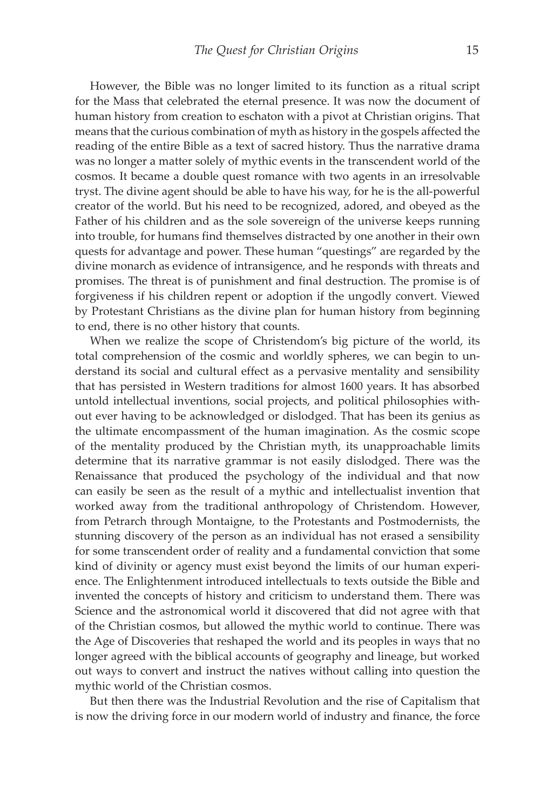However, the Bible was no longer limited to its function as a ritual script for the Mass that celebrated the eternal presence. It was now the document of human history from creation to eschaton with a pivot at Christian origins. That means that the curious combination of myth as history in the gospels affected the reading of the entire Bible as a text of sacred history. Thus the narrative drama was no longer a matter solely of mythic events in the transcendent world of the cosmos. It became a double quest romance with two agents in an irresolvable tryst. The divine agent should be able to have his way, for he is the all-powerful creator of the world. But his need to be recognized, adored, and obeyed as the Father of his children and as the sole sovereign of the universe keeps running into trouble, for humans find themselves distracted by one another in their own quests for advantage and power. These human "questings" are regarded by the divine monarch as evidence of intransigence, and he responds with threats and promises. The threat is of punishment and final destruction. The promise is of forgiveness if his children repent or adoption if the ungodly convert. Viewed by Protestant Christians as the divine plan for human history from beginning to end, there is no other history that counts.

When we realize the scope of Christendom's big picture of the world, its total comprehension of the cosmic and worldly spheres, we can begin to understand its social and cultural effect as a pervasive mentality and sensibility that has persisted in Western traditions for almost 1600 years. It has absorbed untold intellectual inventions, social projects, and political philosophies without ever having to be acknowledged or dislodged. That has been its genius as the ultimate encompassment of the human imagination. As the cosmic scope of the mentality produced by the Christian myth, its unapproachable limits determine that its narrative grammar is not easily dislodged. There was the Renaissance that produced the psychology of the individual and that now can easily be seen as the result of a mythic and intellectualist invention that worked away from the traditional anthropology of Christendom. However, from Petrarch through Montaigne, to the Protestants and Postmodernists, the stunning discovery of the person as an individual has not erased a sensibility for some transcendent order of reality and a fundamental conviction that some kind of divinity or agency must exist beyond the limits of our human experience. The Enlightenment introduced intellectuals to texts outside the Bible and invented the concepts of history and criticism to understand them. There was Science and the astronomical world it discovered that did not agree with that of the Christian cosmos, but allowed the mythic world to continue. There was the Age of Discoveries that reshaped the world and its peoples in ways that no longer agreed with the biblical accounts of geography and lineage, but worked out ways to convert and instruct the natives without calling into question the mythic world of the Christian cosmos.

But then there was the Industrial Revolution and the rise of Capitalism that is now the driving force in our modern world of industry and finance, the force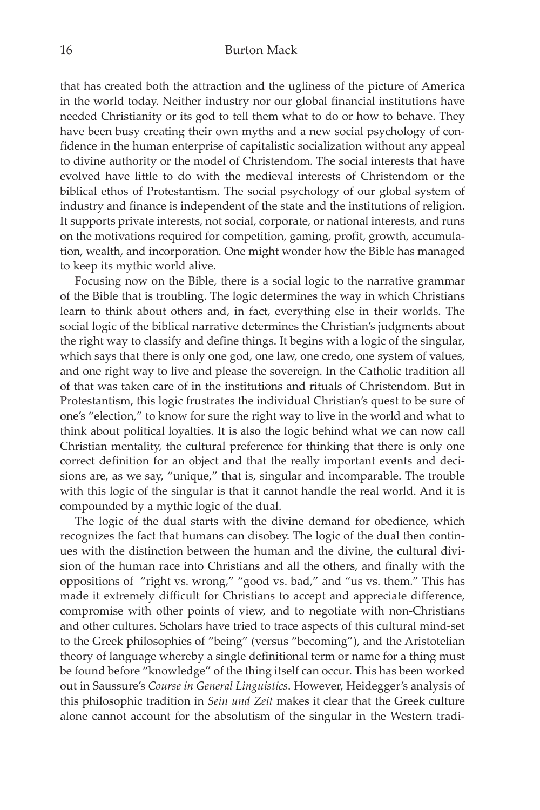#### 16 Burton Mack

that has created both the attraction and the ugliness of the picture of America in the world today. Neither industry nor our global financial institutions have needed Christianity or its god to tell them what to do or how to behave. They have been busy creating their own myths and a new social psychology of confidence in the human enterprise of capitalistic socialization without any appeal to divine authority or the model of Christendom. The social interests that have evolved have little to do with the medieval interests of Christendom or the biblical ethos of Protestantism. The social psychology of our global system of industry and finance is independent of the state and the institutions of religion. It supports private interests, not social, corporate, or national interests, and runs on the motivations required for competition, gaming, profit, growth, accumulation, wealth, and incorporation. One might wonder how the Bible has managed to keep its mythic world alive.

Focusing now on the Bible, there is a social logic to the narrative grammar of the Bible that is troubling. The logic determines the way in which Christians learn to think about others and, in fact, everything else in their worlds. The social logic of the biblical narrative determines the Christian's judgments about the right way to classify and define things. It begins with a logic of the singular, which says that there is only one god, one law, one credo, one system of values, and one right way to live and please the sovereign. In the Catholic tradition all of that was taken care of in the institutions and rituals of Christendom. But in Protestantism, this logic frustrates the individual Christian's quest to be sure of one's "election," to know for sure the right way to live in the world and what to think about political loyalties. It is also the logic behind what we can now call Christian mentality, the cultural preference for thinking that there is only one correct definition for an object and that the really important events and decisions are, as we say, "unique," that is, singular and incomparable. The trouble with this logic of the singular is that it cannot handle the real world. And it is compounded by a mythic logic of the dual.

The logic of the dual starts with the divine demand for obedience, which recognizes the fact that humans can disobey. The logic of the dual then continues with the distinction between the human and the divine, the cultural division of the human race into Christians and all the others, and finally with the oppositions of "right vs. wrong," "good vs. bad," and "us vs. them." This has made it extremely difficult for Christians to accept and appreciate difference, compromise with other points of view, and to negotiate with non-Christians and other cultures. Scholars have tried to trace aspects of this cultural mind-set to the Greek philosophies of "being" (versus "becoming"), and the Aristotelian theory of language whereby a single definitional term or name for a thing must be found before "knowledge" of the thing itself can occur. This has been worked out in Saussure's *Course in General Linguistics*. However, Heidegger's analysis of this philosophic tradition in *Sein und Zeit* makes it clear that the Greek culture alone cannot account for the absolutism of the singular in the Western tradi-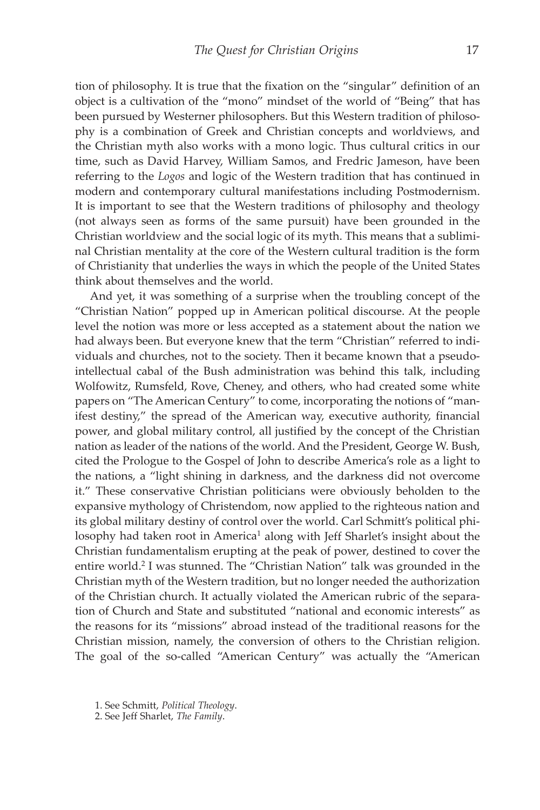tion of philosophy. It is true that the fixation on the "singular" definition of an object is a cultivation of the "mono" mindset of the world of "Being" that has been pursued by Westerner philosophers. But this Western tradition of philosophy is a combination of Greek and Christian concepts and worldviews, and the Christian myth also works with a mono logic. Thus cultural critics in our time, such as David Harvey, William Samos, and Fredric Jameson, have been referring to the *Logos* and logic of the Western tradition that has continued in modern and contemporary cultural manifestations including Postmodernism. It is important to see that the Western traditions of philosophy and theology (not always seen as forms of the same pursuit) have been grounded in the Christian worldview and the social logic of its myth. This means that a subliminal Christian mentality at the core of the Western cultural tradition is the form of Christianity that underlies the ways in which the people of the United States think about themselves and the world.

And yet, it was something of a surprise when the troubling concept of the "Christian Nation" popped up in American political discourse. At the people level the notion was more or less accepted as a statement about the nation we had always been. But everyone knew that the term "Christian" referred to individuals and churches, not to the society. Then it became known that a pseudointellectual cabal of the Bush administration was behind this talk, including Wolfowitz, Rumsfeld, Rove, Cheney, and others, who had created some white papers on "The American Century" to come, incorporating the notions of "manifest destiny," the spread of the American way, executive authority, financial power, and global military control, all justified by the concept of the Christian nation as leader of the nations of the world. And the President, George W. Bush, cited the Prologue to the Gospel of John to describe America's role as a light to the nations, a "light shining in darkness, and the darkness did not overcome it." These conservative Christian politicians were obviously beholden to the expansive mythology of Christendom, now applied to the righteous nation and its global military destiny of control over the world. Carl Schmitt's political philosophy had taken root in America<sup>1</sup> along with Jeff Sharlet's insight about the Christian fundamentalism erupting at the peak of power, destined to cover the entire world.<sup>2</sup> I was stunned. The "Christian Nation" talk was grounded in the Christian myth of the Western tradition, but no longer needed the authorization of the Christian church. It actually violated the American rubric of the separation of Church and State and substituted "national and economic interests" as the reasons for its "missions" abroad instead of the traditional reasons for the Christian mission, namely, the conversion of others to the Christian religion. The goal of the so-called "American Century" was actually the "American

<sup>1.</sup> See Schmitt, *Political Theology*.

<sup>2.</sup> See Jeff Sharlet, *The Family*.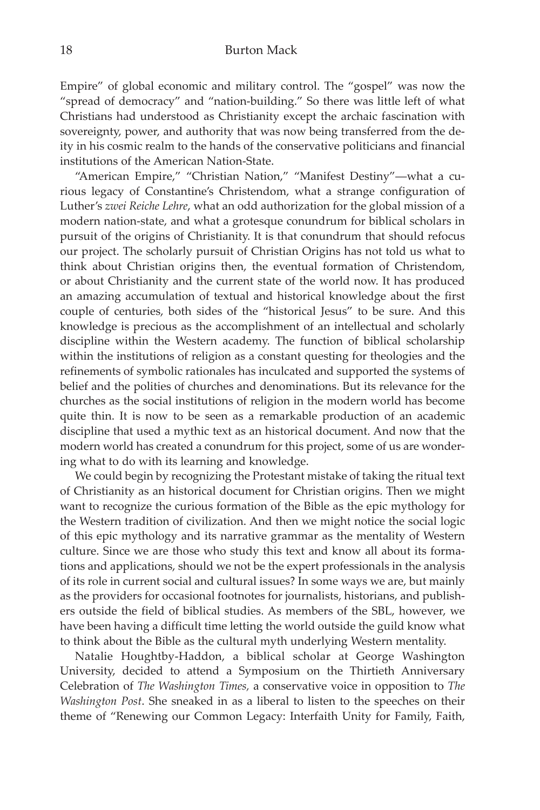Empire" of global economic and military control. The "gospel" was now the "spread of democracy" and "nation-building." So there was little left of what Christians had understood as Christianity except the archaic fascination with sovereignty, power, and authority that was now being transferred from the deity in his cosmic realm to the hands of the conservative politicians and financial institutions of the American Nation-State.

"American Empire," "Christian Nation," "Manifest Destiny"―what a curious legacy of Constantine's Christendom, what a strange configuration of Luther's *zwei Reiche Lehre*, what an odd authorization for the global mission of a modern nation-state, and what a grotesque conundrum for biblical scholars in pursuit of the origins of Christianity. It is that conundrum that should refocus our project. The scholarly pursuit of Christian Origins has not told us what to think about Christian origins then, the eventual formation of Christendom, or about Christianity and the current state of the world now. It has produced an amazing accumulation of textual and historical knowledge about the first couple of centuries, both sides of the "historical Jesus" to be sure. And this knowledge is precious as the accomplishment of an intellectual and scholarly discipline within the Western academy. The function of biblical scholarship within the institutions of religion as a constant questing for theologies and the refinements of symbolic rationales has inculcated and supported the systems of belief and the polities of churches and denominations. But its relevance for the churches as the social institutions of religion in the modern world has become quite thin. It is now to be seen as a remarkable production of an academic discipline that used a mythic text as an historical document. And now that the modern world has created a conundrum for this project, some of us are wondering what to do with its learning and knowledge.

We could begin by recognizing the Protestant mistake of taking the ritual text of Christianity as an historical document for Christian origins. Then we might want to recognize the curious formation of the Bible as the epic mythology for the Western tradition of civilization. And then we might notice the social logic of this epic mythology and its narrative grammar as the mentality of Western culture. Since we are those who study this text and know all about its formations and applications, should we not be the expert professionals in the analysis of its role in current social and cultural issues? In some ways we are, but mainly as the providers for occasional footnotes for journalists, historians, and publishers outside the field of biblical studies. As members of the SBL, however, we have been having a difficult time letting the world outside the guild know what to think about the Bible as the cultural myth underlying Western mentality.

Natalie Houghtby-Haddon, a biblical scholar at George Washington University, decided to attend a Symposium on the Thirtieth Anniversary Celebration of *The Washington Times,* a conservative voice in opposition to *The Washington Post*. She sneaked in as a liberal to listen to the speeches on their theme of "Renewing our Common Legacy: Interfaith Unity for Family, Faith,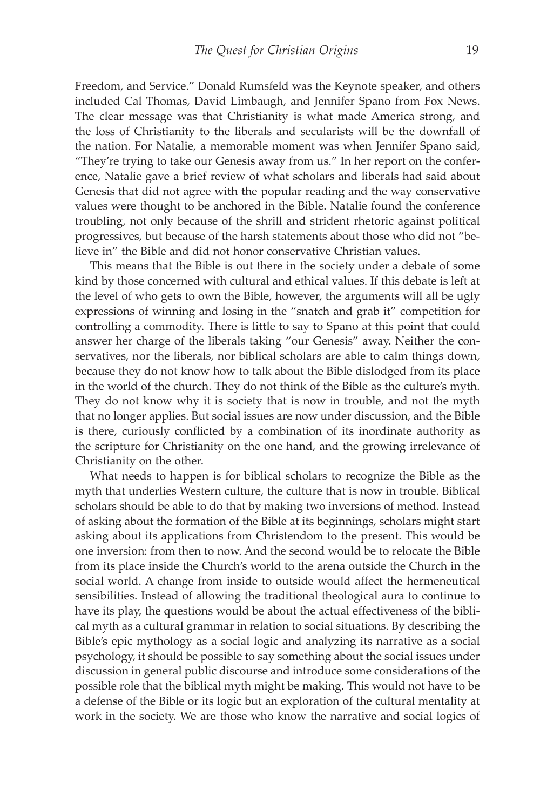Freedom, and Service." Donald Rumsfeld was the Keynote speaker, and others included Cal Thomas, David Limbaugh, and Jennifer Spano from Fox News. The clear message was that Christianity is what made America strong, and the loss of Christianity to the liberals and secularists will be the downfall of the nation. For Natalie, a memorable moment was when Jennifer Spano said, "They're trying to take our Genesis away from us." In her report on the conference, Natalie gave a brief review of what scholars and liberals had said about Genesis that did not agree with the popular reading and the way conservative values were thought to be anchored in the Bible. Natalie found the conference troubling, not only because of the shrill and strident rhetoric against political progressives, but because of the harsh statements about those who did not "believe in" the Bible and did not honor conservative Christian values.

This means that the Bible is out there in the society under a debate of some kind by those concerned with cultural and ethical values. If this debate is left at the level of who gets to own the Bible, however, the arguments will all be ugly expressions of winning and losing in the "snatch and grab it" competition for controlling a commodity. There is little to say to Spano at this point that could answer her charge of the liberals taking "our Genesis" away. Neither the conservatives, nor the liberals, nor biblical scholars are able to calm things down, because they do not know how to talk about the Bible dislodged from its place in the world of the church. They do not think of the Bible as the culture's myth. They do not know why it is society that is now in trouble, and not the myth that no longer applies. But social issues are now under discussion, and the Bible is there, curiously conflicted by a combination of its inordinate authority as the scripture for Christianity on the one hand, and the growing irrelevance of Christianity on the other.

What needs to happen is for biblical scholars to recognize the Bible as the myth that underlies Western culture, the culture that is now in trouble. Biblical scholars should be able to do that by making two inversions of method. Instead of asking about the formation of the Bible at its beginnings, scholars might start asking about its applications from Christendom to the present. This would be one inversion: from then to now. And the second would be to relocate the Bible from its place inside the Church's world to the arena outside the Church in the social world. A change from inside to outside would affect the hermeneutical sensibilities. Instead of allowing the traditional theological aura to continue to have its play, the questions would be about the actual effectiveness of the biblical myth as a cultural grammar in relation to social situations. By describing the Bible's epic mythology as a social logic and analyzing its narrative as a social psychology, it should be possible to say something about the social issues under discussion in general public discourse and introduce some considerations of the possible role that the biblical myth might be making. This would not have to be a defense of the Bible or its logic but an exploration of the cultural mentality at work in the society. We are those who know the narrative and social logics of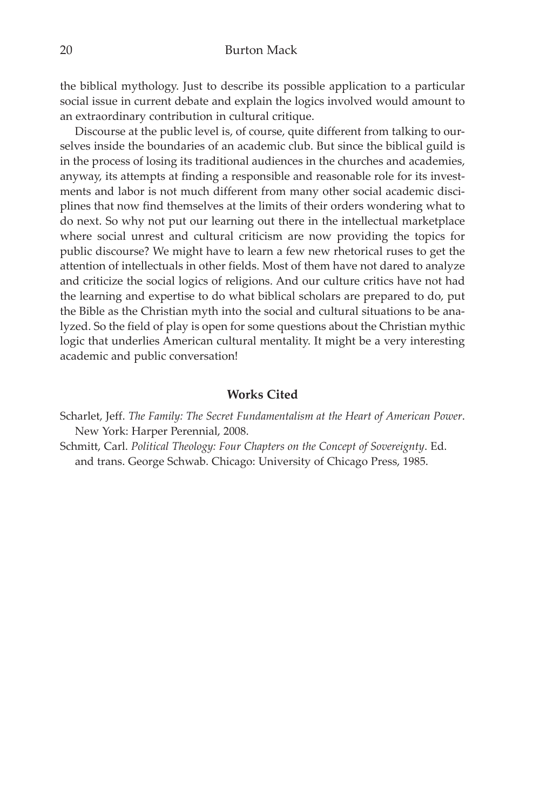the biblical mythology. Just to describe its possible application to a particular social issue in current debate and explain the logics involved would amount to an extraordinary contribution in cultural critique.

Discourse at the public level is, of course, quite different from talking to ourselves inside the boundaries of an academic club. But since the biblical guild is in the process of losing its traditional audiences in the churches and academies, anyway, its attempts at finding a responsible and reasonable role for its investments and labor is not much different from many other social academic disciplines that now find themselves at the limits of their orders wondering what to do next. So why not put our learning out there in the intellectual marketplace where social unrest and cultural criticism are now providing the topics for public discourse? We might have to learn a few new rhetorical ruses to get the attention of intellectuals in other fields. Most of them have not dared to analyze and criticize the social logics of religions. And our culture critics have not had the learning and expertise to do what biblical scholars are prepared to do, put the Bible as the Christian myth into the social and cultural situations to be analyzed. So the field of play is open for some questions about the Christian mythic logic that underlies American cultural mentality. It might be a very interesting academic and public conversation!

### **Works Cited**

Scharlet, Jeff. *The Family: The Secret Fundamentalism at the Heart of American Power*. New York: Harper Perennial, 2008.

Schmitt, Carl. *Political Theology: Four Chapters on the Concept of Sovereignty*. Ed. and trans. George Schwab. Chicago: University of Chicago Press, 1985.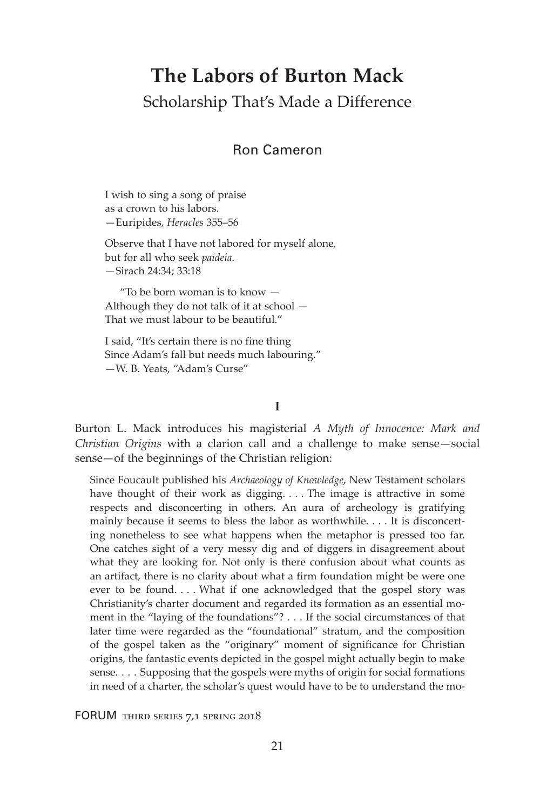# **The Labors of Burton Mack** Scholarship That's Made a Difference

### Ron Cameron

I wish to sing a song of praise as a crown to his labors. —Euripides, *Heracles* 355–56

Observe that I have not labored for myself alone, but for all who seek *paideia*. —Sirach 24:34; 33:18

 "To be born woman is to know — Although they do not talk of it at school — That we must labour to be beautiful."

I said, "It's certain there is no fine thing Since Adam's fall but needs much labouring." —W. B. Yeats, "Adam's Curse"

#### **I**

Burton L. Mack introduces his magisterial *A Myth of Innocence: Mark and Christian Origins* with a clarion call and a challenge to make sense—social sense—of the beginnings of the Christian religion:

Since Foucault published his *Archaeology of Knowledge*, New Testament scholars have thought of their work as digging. . . The image is attractive in some respects and disconcerting in others. An aura of archeology is gratifying mainly because it seems to bless the labor as worthwhile.  $\dots$  It is disconcerting nonetheless to see what happens when the metaphor is pressed too far. One catches sight of a very messy dig and of diggers in disagreement about what they are looking for. Not only is there confusion about what counts as an artifact, there is no clarity about what a firm foundation might be were one ever to be found.  $\ldots$ . What if one acknowledged that the gospel story was Christianity's charter document and regarded its formation as an essential moment in the "laying of the foundations"? . . . If the social circumstances of that later time were regarded as the "foundational" stratum, and the composition of the gospel taken as the "originary" moment of significance for Christian origins, the fantastic events depicted in the gospel might actually begin to make sense. . . . Supposing that the gospels were myths of origin for social formations in need of a charter, the scholar's quest would have to be to understand the mo-

FORUM third series 7,1 spring 2018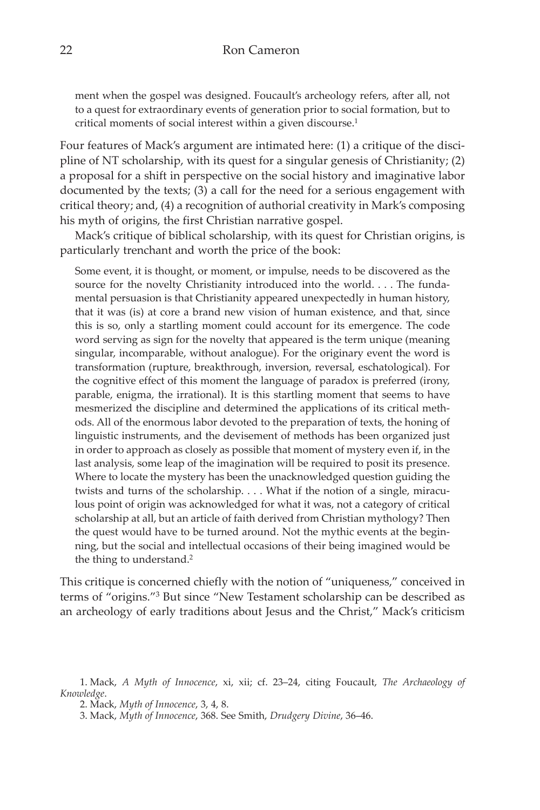ment when the gospel was designed. Foucault's archeology refers, after all, not to a quest for extraordinary events of generation prior to social formation, but to critical moments of social interest within a given discourse.<sup>1</sup>

Four features of Mack's argument are intimated here: (1) a critique of the discipline of NT scholarship, with its quest for a singular genesis of Christianity; (2) a proposal for a shift in perspective on the social history and imaginative labor documented by the texts; (3) a call for the need for a serious engagement with critical theory; and, (4) a recognition of authorial creativity in Mark's composing his myth of origins, the first Christian narrative gospel.

Mack's critique of biblical scholarship, with its quest for Christian origins, is particularly trenchant and worth the price of the book:

Some event, it is thought, or moment, or impulse, needs to be discovered as the source for the novelty Christianity introduced into the world. . . . The fundamental persuasion is that Christianity appeared unexpectedly in human history, that it was (is) at core a brand new vision of human existence, and that, since this is so, only a startling moment could account for its emergence. The code word serving as sign for the novelty that appeared is the term unique (meaning singular, incomparable, without analogue). For the originary event the word is transformation (rupture, breakthrough, inversion, reversal, eschatological). For the cognitive effect of this moment the language of paradox is preferred (irony, parable, enigma, the irrational). It is this startling moment that seems to have mesmerized the discipline and determined the applications of its critical methods. All of the enormous labor devoted to the preparation of texts, the honing of linguistic instruments, and the devisement of methods has been organized just in order to approach as closely as possible that moment of mystery even if, in the last analysis, some leap of the imagination will be required to posit its presence. Where to locate the mystery has been the unacknowledged question guiding the twists and turns of the scholarship.  $\dots$  What if the notion of a single, miraculous point of origin was acknowledged for what it was, not a category of critical scholarship at all, but an article of faith derived from Christian mythology? Then the quest would have to be turned around. Not the mythic events at the beginning, but the social and intellectual occasions of their being imagined would be the thing to understand.<sup>2</sup>

This critique is concerned chiefly with the notion of "uniqueness," conceived in terms of "origins."3 But since "New Testament scholarship can be described as an archeology of early traditions about Jesus and the Christ," Mack's criticism

 <sup>1.</sup> Mack, *A Myth of Innocence*, xi, xii; cf. 23–24, citing Foucault, *The Archaeology of Knowledge*.

 <sup>2.</sup> Mack, *Myth of Innocence*, 3, 4, 8.

 <sup>3.</sup> Mack, *Myth of Innocence*, 368. See Smith, *Drudgery Divine*, 36–46.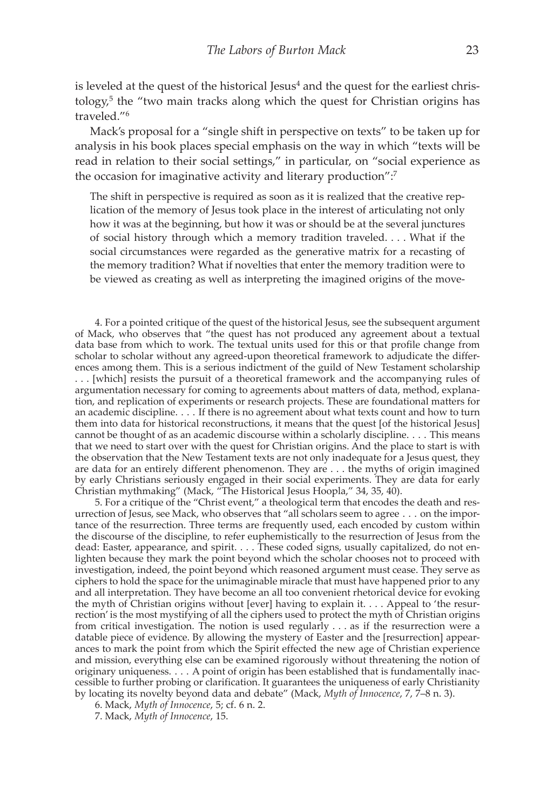is leveled at the quest of the historical Jesus $^4$  and the quest for the earliest christology,<sup>5</sup> the "two main tracks along which the quest for Christian origins has traveled."6

Mack's proposal for a "single shift in perspective on texts" to be taken up for analysis in his book places special emphasis on the way in which "texts will be read in relation to their social settings," in particular, on "social experience as the occasion for imaginative activity and literary production":<sup>7</sup>

The shift in perspective is required as soon as it is realized that the creative replication of the memory of Jesus took place in the interest of articulating not only how it was at the beginning, but how it was or should be at the several junctures of social history through which a memory tradition traveled. . . . What if the social circumstances were regarded as the generative matrix for a recasting of the memory tradition? What if novelties that enter the memory tradition were to be viewed as creating as well as interpreting the imagined origins of the move-

4. For a pointed critique of the quest of the historical Jesus, see the subsequent argument of Mack, who observes that "the quest has not produced any agreement about a textual data base from which to work. The textual units used for this or that profile change from scholar to scholar without any agreed-upon theoretical framework to adjudicate the differences among them. This is a serious indictment of the guild of New Testament scholarship ... [which] resists the pursuit of a theoretical framework and the accompanying rules of argumentation necessary for coming to agreements about matters of data, method, explanation, and replication of experiments or research projects. These are foundational matters for an academic discipline.  $\dots$  If there is no agreement about what texts count and how to turn them into data for historical reconstructions, it means that the quest [of the historical Jesus] cannot be thought of as an academic discourse within a scholarly discipline.  $\dots$  This means that we need to start over with the quest for Christian origins. And the place to start is with the observation that the New Testament texts are not only inadequate for a Jesus quest, they are data for an entirely different phenomenon. They are . . . the myths of origin imagined by early Christians seriously engaged in their social experiments. They are data for early Christian mythmaking" (Mack, "The Historical Jesus Hoopla," 34, 35, 40).

5. For a critique of the "Christ event," a theological term that encodes the death and resurrection of Jesus, see Mack, who observes that "all scholars seem to agree . . . on the importance of the resurrection. Three terms are frequently used, each encoded by custom within the discourse of the discipline, to refer euphemistically to the resurrection of Jesus from the dead: Easter, appearance, and spirit. . . . These coded signs, usually capitalized, do not enlighten because they mark the point beyond which the scholar chooses not to proceed with investigation, indeed, the point beyond which reasoned argument must cease. They serve as ciphers to hold the space for the unimaginable miracle that must have happened prior to any and all interpretation. They have become an all too convenient rhetorical device for evoking the myth of Christian origins without [ever] having to explain it.  $\dots$  Appeal to 'the resurrection' is the most mystifying of all the ciphers used to protect the myth of Christian origins from critical investigation. The notion is used regularly  $\dots$  as if the resurrection were a datable piece of evidence. By allowing the mystery of Easter and the [resurrection] appearances to mark the point from which the Spirit effected the new age of Christian experience and mission, everything else can be examined rigorously without threatening the notion of originary uniqueness.  $\ldots$  A point of origin has been established that is fundamentally inaccessible to further probing or clarification. It guarantees the uniqueness of early Christianity by locating its novelty beyond data and debate" (Mack, *Myth of Innocence*, 7, 7–8 n. 3).

6. Mack, *Myth of Innocence*, 5; cf. 6 n. 2.

7. Mack, *Myth of Innocence*, 15.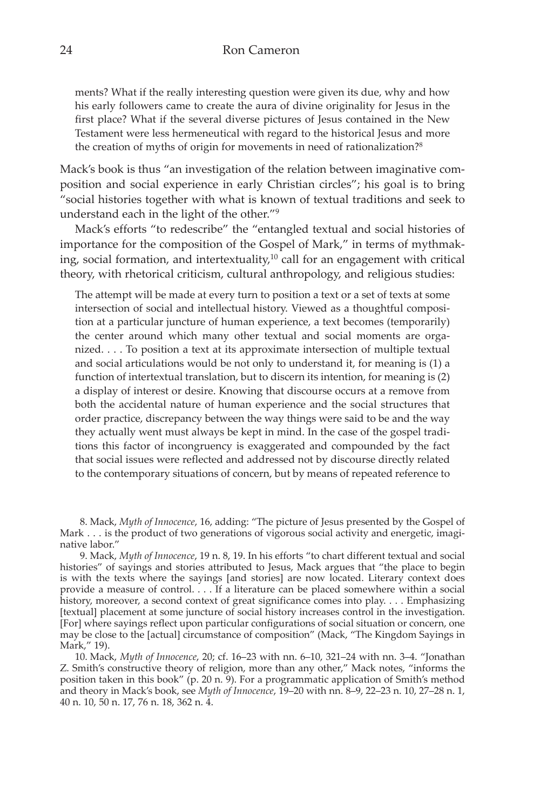ments? What if the really interesting question were given its due, why and how his early followers came to create the aura of divine originality for Jesus in the first place? What if the several diverse pictures of Jesus contained in the New Testament were less hermeneutical with regard to the historical Jesus and more the creation of myths of origin for movements in need of rationalization?8

Mack's book is thus "an investigation of the relation between imaginative composition and social experience in early Christian circles"; his goal is to bring "social histories together with what is known of textual traditions and seek to understand each in the light of the other."9

Mack's efforts "to redescribe" the "entangled textual and social histories of importance for the composition of the Gospel of Mark," in terms of mythmaking, social formation, and intertextuality, $10$  call for an engagement with critical theory, with rhetorical criticism, cultural anthropology, and religious studies:

The attempt will be made at every turn to position a text or a set of texts at some intersection of social and intellectual history. Viewed as a thoughtful composition at a particular juncture of human experience, a text becomes (temporarily) the center around which many other textual and social moments are organized.  $\ldots$  To position a text at its approximate intersection of multiple textual and social articulations would be not only to understand it, for meaning is (1) a function of intertextual translation, but to discern its intention, for meaning is (2) a display of interest or desire. Knowing that discourse occurs at a remove from both the accidental nature of human experience and the social structures that order practice, discrepancy between the way things were said to be and the way they actually went must always be kept in mind. In the case of the gospel traditions this factor of incongruency is exaggerated and compounded by the fact that social issues were reflected and addressed not by discourse directly related to the contemporary situations of concern, but by means of repeated reference to

 8. Mack, *Myth of Innocence*, 16, adding: "The picture of Jesus presented by the Gospel of Mark . . . is the product of two generations of vigorous social activity and energetic, imaginative labor."

 9. Mack, *Myth of Innocence*, 19 n. 8, 19. In his efforts "to chart different textual and social histories" of sayings and stories attributed to Jesus, Mack argues that "the place to begin is with the texts where the sayings [and stories] are now located. Literary context does provide a measure of control.  $\ldots$  If a literature can be placed somewhere within a social history, moreover, a second context of great significance comes into play. . . . Emphasizing [textual] placement at some juncture of social history increases control in the investigation. [For] where sayings reflect upon particular configurations of social situation or concern, one may be close to the [actual] circumstance of composition" (Mack, "The Kingdom Sayings in Mark," 19).

 10. Mack, *Myth of Innocence*, 20; cf. 16–23 with nn. 6–10, 321–24 with nn. 3–4. "Jonathan Z. Smith's constructive theory of religion, more than any other," Mack notes, "informs the position taken in this book" (p. 20 n. 9). For a programmatic application of Smith's method and theory in Mack's book, see *Myth of Innocence*, 19–20 with nn. 8–9, 22–23 n. 10, 27–28 n. 1, 40 n. 10, 50 n. 17, 76 n. 18, 362 n. 4.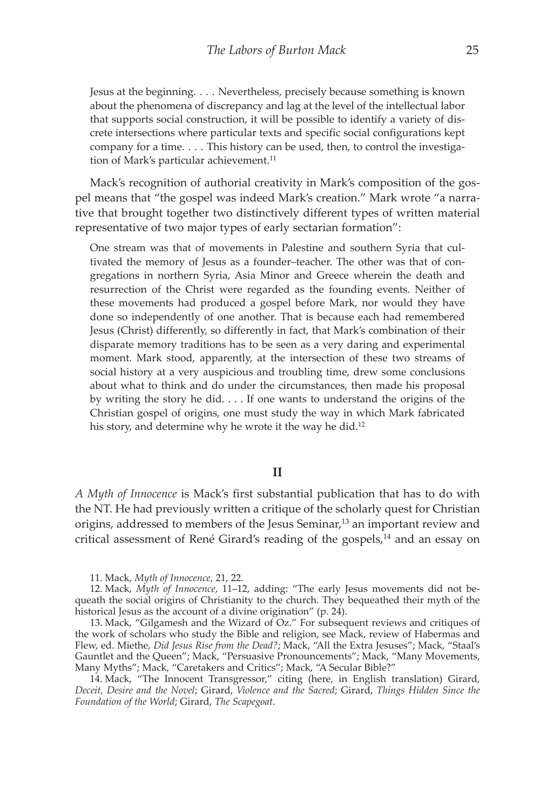Jesus at the beginning. . . . Nevertheless, precisely because something is known about the phenomena of discrepancy and lag at the level of the intellectual labor that supports social construction, it will be possible to identify a variety of discrete intersections where particular texts and specific social configurations kept company for a time.  $\ldots$ . This history can be used, then, to control the investigation of Mark's particular achievement.<sup>11</sup>

Mack's recognition of authorial creativity in Mark's composition of the gospel means that "the gospel was indeed Mark's creation." Mark wrote "a narrative that brought together two distinctively different types of written material representative of two major types of early sectarian formation":

One stream was that of movements in Palestine and southern Syria that cultivated the memory of Jesus as a founder–teacher. The other was that of congregations in northern Syria, Asia Minor and Greece wherein the death and resurrection of the Christ were regarded as the founding events. Neither of these movements had produced a gospel before Mark, nor would they have done so independently of one another. That is because each had remembered Jesus (Christ) differently, so differently in fact, that Mark's combination of their disparate memory traditions has to be seen as a very daring and experimental moment. Mark stood, apparently, at the intersection of these two streams of social history at a very auspicious and troubling time, drew some conclusions about what to think and do under the circumstances, then made his proposal by writing the story he did.  $\dots$  If one wants to understand the origins of the Christian gospel of origins, one must study the way in which Mark fabricated his story, and determine why he wrote it the way he did.<sup>12</sup>

#### **II**

*A Myth of Innocence* is Mack's first substantial publication that has to do with the NT. He had previously written a critique of the scholarly quest for Christian origins, addressed to members of the Jesus Seminar,13 an important review and critical assessment of René Girard's reading of the gospels,<sup>14</sup> and an essay on

11. Mack, *Myth of Innocence*, 21, 22.

 12. Mack, *Myth of Innocence*, 11–12, adding: "The early Jesus movements did not bequeath the social origins of Christianity to the church. They bequeathed their myth of the historical Jesus as the account of a divine origination" (p. 24).

13. Mack, "Gilgamesh and the Wizard of Oz." For subsequent reviews and critiques of the work of scholars who study the Bible and religion, see Mack, review of Habermas and Flew, ed. Miethe, *Did Jesus Rise from the Dead?*; Mack, "All the Extra Jesuses"; Mack, "Staal's Gauntlet and the Queen"; Mack, "Persuasive Pronouncements"; Mack, "Many Movements, Many Myths"; Mack, "Caretakers and Critics"; Mack, "A Secular Bible?"

14. Mack, "The Innocent Transgressor," citing (here, in English translation) Girard, *Deceit, Desire and the Novel*; Girard, *Violence and the Sacred*; Girard, *Things Hidden Since the Foundation of the World*; Girard, *The Scapegoat*.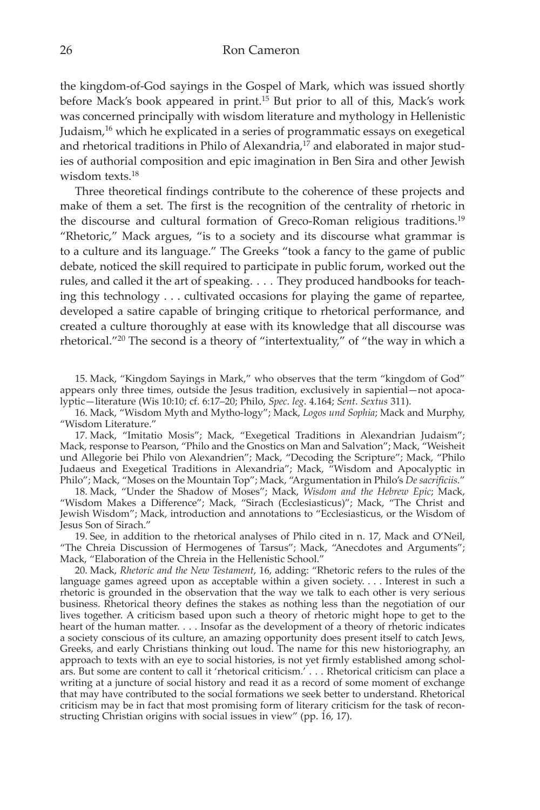the kingdom-of-God sayings in the Gospel of Mark, which was issued shortly before Mack's book appeared in print.15 But prior to all of this, Mack's work was concerned principally with wisdom literature and mythology in Hellenistic Judaism,16 which he explicated in a series of programmatic essays on exegetical and rhetorical traditions in Philo of Alexandria,<sup>17</sup> and elaborated in major studies of authorial composition and epic imagination in Ben Sira and other Jewish wisdom texts.18

Three theoretical findings contribute to the coherence of these projects and make of them a set. The first is the recognition of the centrality of rhetoric in the discourse and cultural formation of Greco-Roman religious traditions.19 "Rhetoric," Mack argues, "is to a society and its discourse what grammar is to a culture and its language." The Greeks "took a fancy to the game of public debate, noticed the skill required to participate in public forum, worked out the rules, and called it the art of speaking.  $\dots$  They produced handbooks for teaching this technology .  $\ldots$  cultivated occasions for playing the game of repartee, developed a satire capable of bringing critique to rhetorical performance, and created a culture thoroughly at ease with its knowledge that all discourse was rhetorical."20 The second is a theory of "intertextuality," of "the way in which a

 15. Mack, "Kingdom Sayings in Mark," who observes that the term "kingdom of God" appears only three times, outside the Jesus tradition, exclusively in sapiential—not apocalyptic—literature (Wis 10:10; cf. 6:17–20; Philo, *Spec*. *leg*. 4.164; *Sent*. *Sextus* 311).

 16. Mack, "Wisdom Myth and Mytho-logy"; Mack, *Logos und Sophia*; Mack and Murphy, "Wisdom Literature."

 17. Mack, "Imitatio Mosis"; Mack, "Exegetical Traditions in Alexandrian Judaism"; Mack, response to Pearson, "Philo and the Gnostics on Man and Salvation"; Mack, "Weisheit und Allegorie bei Philo von Alexandrien"; Mack, "Decoding the Scripture"; Mack, "Philo Judaeus and Exegetical Traditions in Alexandria"; Mack, "Wisdom and Apocalyptic in Philo"; Mack, "Moses on the Mountain Top"; Mack, "Argumentation in Philo's *De sacrificiis.*"

 18. Mack, "Under the Shadow of Moses"; Mack, *Wisdom and the Hebrew Epic*; Mack, "Wisdom Makes a Difference"; Mack, "Sirach (Ecclesiasticus)"; Mack, "The Christ and Jewish Wisdom"; Mack, introduction and annotations to "Ecclesiasticus, or the Wisdom of Jesus Son of Sirach."

 19. See, in addition to the rhetorical analyses of Philo cited in n. 17, Mack and O'Neil, "The Chreia Discussion of Hermogenes of Tarsus"; Mack, "Anecdotes and Arguments"; Mack, "Elaboration of the Chreia in the Hellenistic School."

 20. Mack, *Rhetoric and the New Testament*, 16, adding: "Rhetoric refers to the rules of the language games agreed upon as acceptable within a given society. . . . Interest in such a rhetoric is grounded in the observation that the way we talk to each other is very serious business. Rhetorical theory defines the stakes as nothing less than the negotiation of our lives together. A criticism based upon such a theory of rhetoric might hope to get to the heart of the human matter. . . . Insofar as the development of a theory of rhetoric indicates a society conscious of its culture, an amazing opportunity does present itself to catch Jews, Greeks, and early Christians thinking out loud. The name for this new historiography, an approach to texts with an eye to social histories, is not yet firmly established among scholars. But some are content to call it 'rhetorical criticism.'  $\dots$  Rhetorical criticism can place a writing at a juncture of social history and read it as a record of some moment of exchange that may have contributed to the social formations we seek better to understand. Rhetorical criticism may be in fact that most promising form of literary criticism for the task of reconstructing Christian origins with social issues in view" (pp. 16, 17).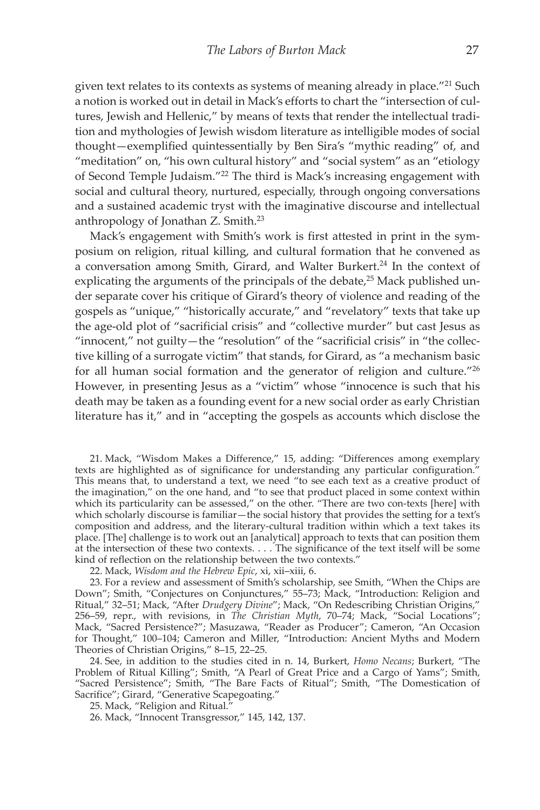given text relates to its contexts as systems of meaning already in place."<sup>21</sup> Such a notion is worked out in detail in Mack's efforts to chart the "intersection of cultures, Jewish and Hellenic," by means of texts that render the intellectual tradition and mythologies of Jewish wisdom literature as intelligible modes of social thought—exemplified quintessentially by Ben Sira's "mythic reading" of, and "meditation" on, "his own cultural history" and "social system" as an "etiology of Second Temple Judaism."22 The third is Mack's increasing engagement with social and cultural theory, nurtured, especially, through ongoing conversations and a sustained academic tryst with the imaginative discourse and intellectual anthropology of Jonathan Z. Smith.23

Mack's engagement with Smith's work is first attested in print in the symposium on religion, ritual killing, and cultural formation that he convened as a conversation among Smith, Girard, and Walter Burkert.24 In the context of explicating the arguments of the principals of the debate,<sup>25</sup> Mack published under separate cover his critique of Girard's theory of violence and reading of the gospels as "unique," "historically accurate," and "revelatory" texts that take up the age-old plot of "sacrificial crisis" and "collective murder" but cast Jesus as "innocent," not guilty—the "resolution" of the "sacrificial crisis" in "the collective killing of a surrogate victim" that stands, for Girard, as "a mechanism basic for all human social formation and the generator of religion and culture."26 However, in presenting Jesus as a "victim" whose "innocence is such that his death may be taken as a founding event for a new social order as early Christian literature has it," and in "accepting the gospels as accounts which disclose the

 21. Mack, "Wisdom Makes a Difference," 15, adding: "Differences among exemplary texts are highlighted as of significance for understanding any particular configuration." This means that, to understand a text, we need "to see each text as a creative product of the imagination," on the one hand, and "to see that product placed in some context within which its particularity can be assessed," on the other. "There are two con-texts [here] with which scholarly discourse is familiar—the social history that provides the setting for a text's composition and address, and the literary-cultural tradition within which a text takes its place. [The] challenge is to work out an [analytical] approach to texts that can position them at the intersection of these two contexts.  $\dots$  The significance of the text itself will be some kind of reflection on the relationship between the two contexts."

22. Mack, *Wisdom and the Hebrew Epic*, xi, xii–xiii, 6.

 23. For a review and assessment of Smith's scholarship, see Smith, "When the Chips are Down"; Smith, "Conjectures on Conjunctures," 55–73; Mack, "Introduction: Religion and Ritual," 32–51; Mack, "After *Drudgery Divine*"; Mack, "On Redescribing Christian Origins," 256–59, repr., with revisions, in *The Christian Myth*, 70–74; Mack, "Social Locations"; Mack, "Sacred Persistence?"; Masuzawa, "Reader as Producer"; Cameron, "An Occasion for Thought," 100–104; Cameron and Miller, "Introduction: Ancient Myths and Modern Theories of Christian Origins," 8–15, 22–25.

 24. See, in addition to the studies cited in n. 14, Burkert, *Homo Necans*; Burkert, "The Problem of Ritual Killing"; Smith, "A Pearl of Great Price and a Cargo of Yams"; Smith, "Sacred Persistence"; Smith, "The Bare Facts of Ritual"; Smith, "The Domestication of Sacrifice"; Girard, "Generative Scapegoating."

25. Mack, "Religion and Ritual."

26. Mack, "Innocent Transgressor," 145, 142, 137.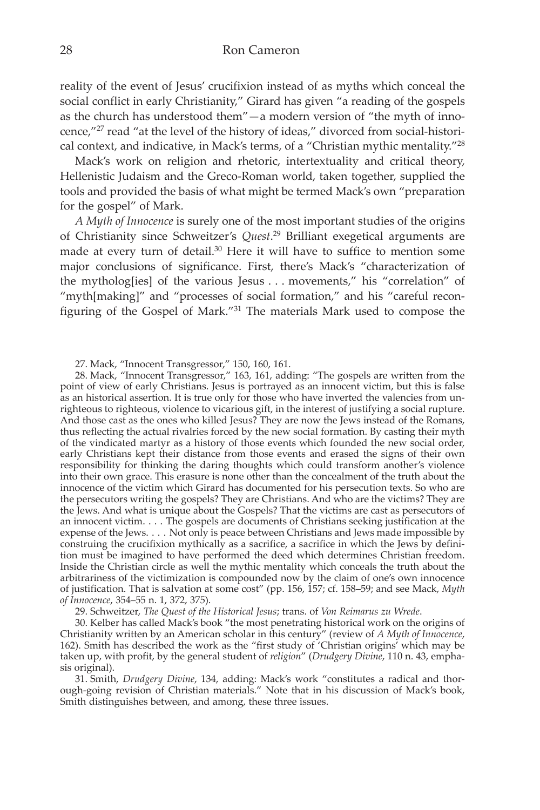reality of the event of Jesus' crucifixion instead of as myths which conceal the social conflict in early Christianity," Girard has given "a reading of the gospels as the church has understood them"—a modern version of "the myth of innocence,"27 read "at the level of the history of ideas," divorced from social-historical context, and indicative, in Mack's terms, of a "Christian mythic mentality."28

Mack's work on religion and rhetoric, intertextuality and critical theory, Hellenistic Judaism and the Greco-Roman world, taken together, supplied the tools and provided the basis of what might be termed Mack's own "preparation for the gospel" of Mark.

*A Myth of Innocence* is surely one of the most important studies of the origins of Christianity since Schweitzer's *Quest*. 29 Brilliant exegetical arguments are made at every turn of detail.<sup>30</sup> Here it will have to suffice to mention some major conclusions of significance. First, there's Mack's "characterization of the mytholog[ies] of the various Jesus . . . movements," his "correlation" of "myth[making]" and "processes of social formation," and his "careful reconfiguring of the Gospel of Mark."31 The materials Mark used to compose the

27. Mack, "Innocent Transgressor," 150, 160, 161.

 28. Mack, "Innocent Transgressor," 163, 161, adding: "The gospels are written from the point of view of early Christians. Jesus is portrayed as an innocent victim, but this is false as an historical assertion. It is true only for those who have inverted the valencies from unrighteous to righteous, violence to vicarious gift, in the interest of justifying a social rupture. And those cast as the ones who killed Jesus? They are now the Jews instead of the Romans, thus reflecting the actual rivalries forced by the new social formation. By casting their myth of the vindicated martyr as a history of those events which founded the new social order, early Christians kept their distance from those events and erased the signs of their own responsibility for thinking the daring thoughts which could transform another's violence into their own grace. This erasure is none other than the concealment of the truth about the innocence of the victim which Girard has documented for his persecution texts. So who are the persecutors writing the gospels? They are Christians. And who are the victims? They are the Jews. And what is unique about the Gospels? That the victims are cast as persecutors of an innocent victim.  $\dots$ . The gospels are documents of Christians seeking justification at the expense of the Jews.  $\dots$  Not only is peace between Christians and Jews made impossible by construing the crucifixion mythically as a sacrifice, a sacrifice in which the Jews by definition must be imagined to have performed the deed which determines Christian freedom. Inside the Christian circle as well the mythic mentality which conceals the truth about the arbitrariness of the victimization is compounded now by the claim of one's own innocence of justification. That is salvation at some cost" (pp. 156, 157; cf. 158–59; and see Mack, *Myth of Innocence*, 354–55 n. 1, 372, 375).

29. Schweitzer, *The Quest of the Historical Jesus*; trans. of *Von Reimarus zu Wrede*.

 30. Kelber has called Mack's book "the most penetrating historical work on the origins of Christianity written by an American scholar in this century" (review of *A Myth of Innocence*, 162). Smith has described the work as the "first study of 'Christian origins' which may be taken up, with profit, by the general student of *religion*" (*Drudgery Divine*, 110 n. 43, emphasis original).

 31. Smith, *Drudgery Divine*, 134, adding: Mack's work "constitutes a radical and thorough-going revision of Christian materials." Note that in his discussion of Mack's book, Smith distinguishes between, and among, these three issues.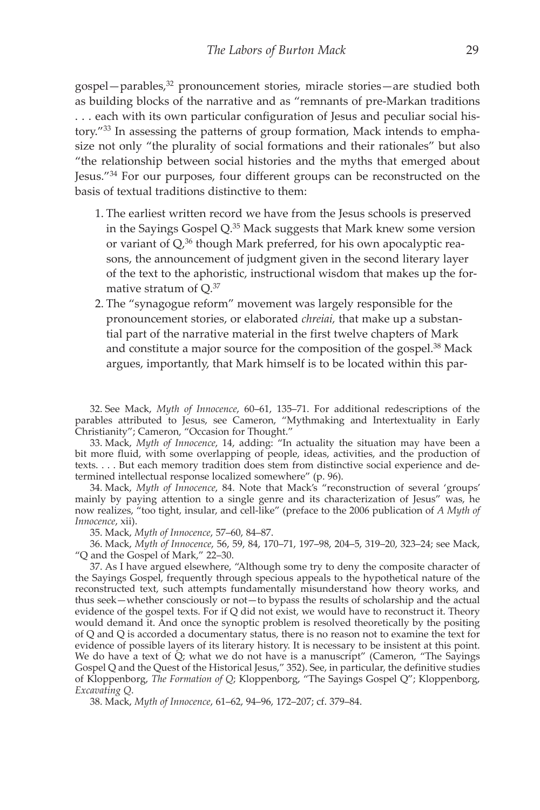gospel—parables,32 pronouncement stories, miracle stories—are studied both as building blocks of the narrative and as "remnants of pre-Markan traditions ... each with its own particular configuration of Jesus and peculiar social history."33 In assessing the patterns of group formation, Mack intends to emphasize not only "the plurality of social formations and their rationales" but also "the relationship between social histories and the myths that emerged about Jesus."34 For our purposes, four different groups can be reconstructed on the basis of textual traditions distinctive to them:

- 1. The earliest written record we have from the Jesus schools is preserved in the Sayings Gospel Q.35 Mack suggests that Mark knew some version or variant of Q,36 though Mark preferred, for his own apocalyptic reasons, the announcement of judgment given in the second literary layer of the text to the aphoristic, instructional wisdom that makes up the formative stratum of Q.37
- 2. The "synagogue reform" movement was largely responsible for the pronouncement stories, or elaborated *chreiai,* that make up a substantial part of the narrative material in the first twelve chapters of Mark and constitute a major source for the composition of the gospel.<sup>38</sup> Mack argues, importantly, that Mark himself is to be located within this par-

32. See Mack, *Myth of Innocence*, 60–61, 135–71. For additional redescriptions of the parables attributed to Jesus, see Cameron, "Mythmaking and Intertextuality in Early Christianity"; Cameron, "Occasion for Thought."

33. Mack, *Myth of Innocence*, 14, adding: "In actuality the situation may have been a bit more fluid, with some overlapping of people, ideas, activities, and the production of texts. . . . But each memory tradition does stem from distinctive social experience and determined intellectual response localized somewhere" (p. 96).

34. Mack, *Myth of Innocence*, 84. Note that Mack's "reconstruction of several 'groups' mainly by paying attention to a single genre and its characterization of Jesus" was, he now realizes, "too tight, insular, and cell-like" (preface to the 2006 publication of *A Myth of Innocence*, xii).

35. Mack, *Myth of Innocence*, 57–60, 84–87.

 36. Mack, *Myth of Innocence*, 56, 59, 84, 170–71, 197–98, 204–5, 319–20, 323–24; see Mack, "Q and the Gospel of Mark," 22–30.

 37. As I have argued elsewhere, "Although some try to deny the composite character of the Sayings Gospel, frequently through specious appeals to the hypothetical nature of the reconstructed text, such attempts fundamentally misunderstand how theory works, and thus seek—whether consciously or not—to bypass the results of scholarship and the actual evidence of the gospel texts. For if Q did not exist, we would have to reconstruct it. Theory would demand it. And once the synoptic problem is resolved theoretically by the positing of Q and Q is accorded a documentary status, there is no reason not to examine the text for evidence of possible layers of its literary history. It is necessary to be insistent at this point. We do have a text of Q; what we do not have is a manuscript" (Cameron, "The Sayings Gospel Q and the Quest of the Historical Jesus," 352). See, in particular, the definitive studies of Kloppenborg, *The Formation of Q*; Kloppenborg, "The Sayings Gospel Q"; Kloppenborg, *Excavating Q*.

38. Mack, *Myth of Innocence*, 61–62, 94–96, 172–207; cf. 379–84.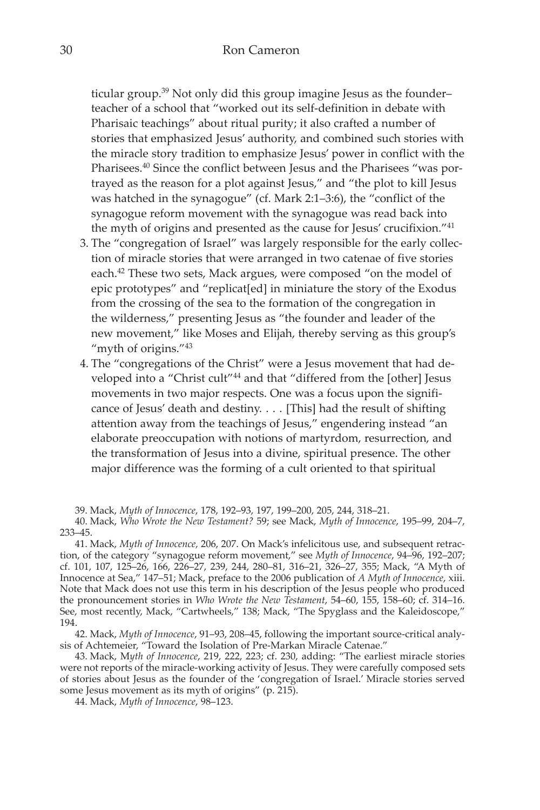ticular group.<sup>39</sup> Not only did this group imagine Jesus as the founderteacher of a school that "worked out its self-definition in debate with Pharisaic teachings" about ritual purity; it also crafted a number of stories that emphasized Jesus' authority, and combined such stories with the miracle story tradition to emphasize Jesus' power in conflict with the Pharisees.40 Since the conflict between Jesus and the Pharisees "was portrayed as the reason for a plot against Jesus," and "the plot to kill Jesus was hatched in the synagogue" (cf. Mark 2:1–3:6), the "conflict of the synagogue reform movement with the synagogue was read back into the myth of origins and presented as the cause for Jesus' crucifixion."41

- 3. The "congregation of Israel" was largely responsible for the early collection of miracle stories that were arranged in two catenae of five stories each.<sup>42</sup> These two sets, Mack argues, were composed "on the model of epic prototypes" and "replicat[ed] in miniature the story of the Exodus from the crossing of the sea to the formation of the congregation in the wilderness," presenting Jesus as "the founder and leader of the new movement," like Moses and Elijah, thereby serving as this group's "myth of origins."<sup>43</sup>
- 4. The "congregations of the Christ" were a Jesus movement that had developed into a "Christ cult"<sup>44</sup> and that "differed from the [other] Jesus movements in two major respects. One was a focus upon the significance of Jesus' death and destiny. . . . [This] had the result of shifting attention away from the teachings of Jesus," engendering instead "an elaborate preoccupation with notions of martyrdom, resurrection, and the transformation of Jesus into a divine, spiritual presence. The other major difference was the forming of a cult oriented to that spiritual

39. Mack, *Myth of Innocence*, 178, 192–93, 197, 199–200, 205, 244, 318–21.

 40. Mack, *Who Wrote the New Testament?* 59; see Mack, *Myth of Innocence*, 195–99, 204–7, 233–45.

 41. Mack, *Myth of Innocence*, 206, 207. On Mack's infelicitous use, and subsequent retraction, of the category "synagogue reform movement," see *Myth of Innocence*, 94–96, 192–207; cf. 101, 107, 125–26, 166, 226–27, 239, 244, 280–81, 316–21, 326–27, 355; Mack, "A Myth of Innocence at Sea," 147–51; Mack, preface to the 2006 publication of *A Myth of Innocence*, xiii. Note that Mack does not use this term in his description of the Jesus people who produced the pronouncement stories in *Who Wrote the New Testament*, 54–60, 155, 158–60; cf. 314–16. See, most recently, Mack, "Cartwheels," 138; Mack, "The Spyglass and the Kaleidoscope," 194.

 42. Mack, *Myth of Innocence*, 91–93, 208–45, following the important source-critical analysis of Achtemeier, "Toward the Isolation of Pre-Markan Miracle Catenae."

 43. Mack, M*yth of Innocence*, 219, 222, 223; cf. 230, adding: "The earliest miracle stories were not reports of the miracle-working activity of Jesus. They were carefully composed sets of stories about Jesus as the founder of the 'congregation of Israel.' Miracle stories served some Jesus movement as its myth of origins" (p. 215).

44. Mack, *Myth of Innocence*, 98–123.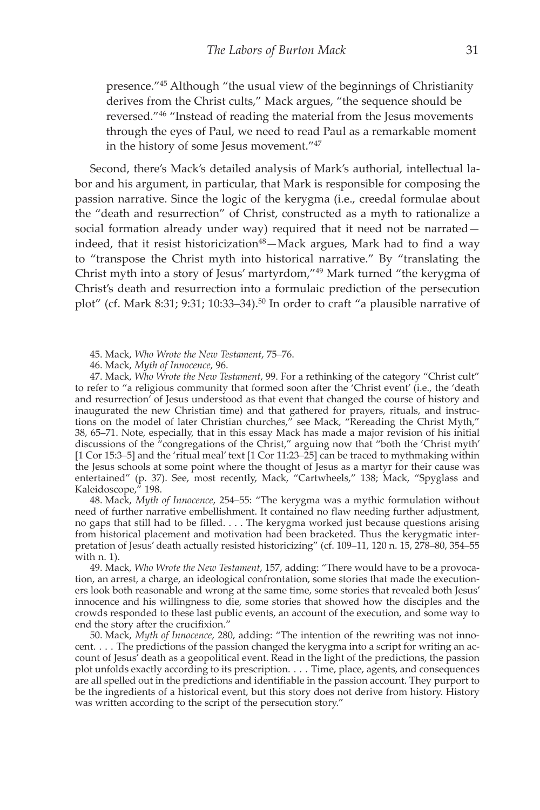presence."45 Although "the usual view of the beginnings of Christianity derives from the Christ cults," Mack argues, "the sequence should be reversed."46 "Instead of reading the material from the Jesus movements through the eyes of Paul, we need to read Paul as a remarkable moment in the history of some Jesus movement."47

Second, there's Mack's detailed analysis of Mark's authorial, intellectual labor and his argument, in particular, that Mark is responsible for composing the passion narrative. Since the logic of the kerygma (i.e., creedal formulae about the "death and resurrection" of Christ, constructed as a myth to rationalize a social formation already under way) required that it need not be narrated indeed, that it resist historicization<sup>48</sup>–Mack argues, Mark had to find a way to "transpose the Christ myth into historical narrative." By "translating the Christ myth into a story of Jesus' martyrdom,"49 Mark turned "the kerygma of Christ's death and resurrection into a formulaic prediction of the persecution plot" (cf. Mark 8:31; 9:31; 10:33–34).50 In order to craft "a plausible narrative of

45. Mack, *Who Wrote the New Testament*, 75–76.

46. Mack, *Myth of Innocence*, 96.

 47. Mack, *Who Wrote the New Testament*, 99. For a rethinking of the category "Christ cult" to refer to "a religious community that formed soon after the 'Christ event' (i.e., the 'death and resurrection' of Jesus understood as that event that changed the course of history and inaugurated the new Christian time) and that gathered for prayers, rituals, and instructions on the model of later Christian churches," see Mack, "Rereading the Christ Myth," 38, 65–71. Note, especially, that in this essay Mack has made a major revision of his initial discussions of the "congregations of the Christ," arguing now that "both the 'Christ myth' [1 Cor 15:3–5] and the 'ritual meal' text [1 Cor 11:23–25] can be traced to mythmaking within the Jesus schools at some point where the thought of Jesus as a martyr for their cause was entertained" (p. 37). See, most recently, Mack, "Cartwheels," 138; Mack, "Spyglass and Kaleidoscope," 198.

 48. Mack, *Myth of Innocence*, 254–55: "The kerygma was a mythic formulation without need of further narrative embellishment. It contained no flaw needing further adjustment, no gaps that still had to be filled. . . . The kerygma worked just because questions arising from historical placement and motivation had been bracketed. Thus the kerygmatic interpretation of Jesus' death actually resisted historicizing" (cf. 109–11, 120 n. 15, 278–80, 354–55 with n. 1).

49. Mack, *Who Wrote the New Testament*, 157, adding: "There would have to be a provocation, an arrest, a charge, an ideological confrontation, some stories that made the executioners look both reasonable and wrong at the same time, some stories that revealed both Jesus' innocence and his willingness to die, some stories that showed how the disciples and the crowds responded to these last public events, an account of the execution, and some way to end the story after the crucifixion."

 50. Mack, *Myth of Innocence*, 280, adding: "The intention of the rewriting was not innocent. . . . The predictions of the passion changed the kerygma into a script for writing an account of Jesus' death as a geopolitical event. Read in the light of the predictions, the passion plot unfolds exactly according to its prescription.  $\dots$  Time, place, agents, and consequences are all spelled out in the predictions and identifiable in the passion account. They purport to be the ingredients of a historical event, but this story does not derive from history. History was written according to the script of the persecution story."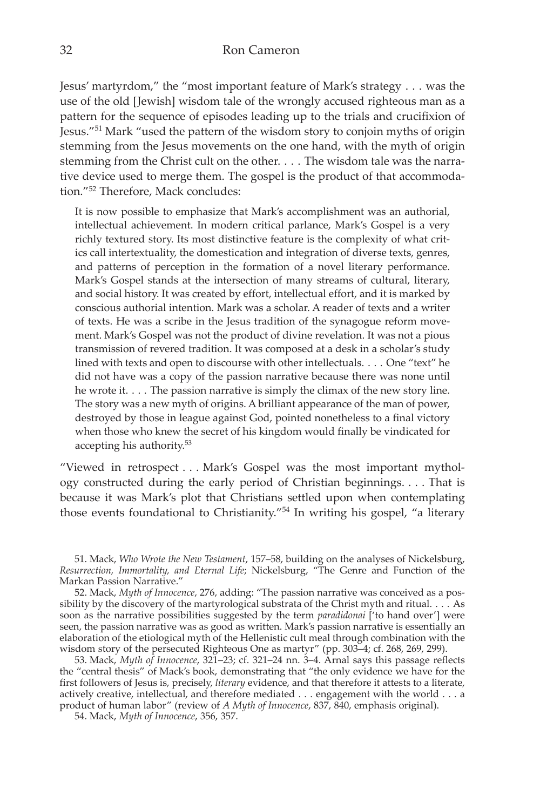Jesus' martyrdom," the "most important feature of Mark's strategy . . . was the use of the old [Jewish] wisdom tale of the wrongly accused righteous man as a pattern for the sequence of episodes leading up to the trials and crucifixion of Jesus."51 Mark "used the pattern of the wisdom story to conjoin myths of origin stemming from the Jesus movements on the one hand, with the myth of origin stemming from the Christ cult on the other.  $\dots$  The wisdom tale was the narrative device used to merge them. The gospel is the product of that accommodation."52 Therefore, Mack concludes:

It is now possible to emphasize that Mark's accomplishment was an authorial, intellectual achievement. In modern critical parlance, Mark's Gospel is a very richly textured story. Its most distinctive feature is the complexity of what critics call intertextuality, the domestication and integration of diverse texts, genres, and patterns of perception in the formation of a novel literary performance. Mark's Gospel stands at the intersection of many streams of cultural, literary, and social history. It was created by effort, intellectual effort, and it is marked by conscious authorial intention. Mark was a scholar. A reader of texts and a writer of texts. He was a scribe in the Jesus tradition of the synagogue reform movement. Mark's Gospel was not the product of divine revelation. It was not a pious transmission of revered tradition. It was composed at a desk in a scholar's study lined with texts and open to discourse with other intellectuals. . . . One "text" he did not have was a copy of the passion narrative because there was none until he wrote it.  $\dots$ . The passion narrative is simply the climax of the new story line. The story was a new myth of origins. A brilliant appearance of the man of power, destroyed by those in league against God, pointed nonetheless to a final victory when those who knew the secret of his kingdom would finally be vindicated for accepting his authority.53

"Viewed in retrospect . . . Mark's Gospel was the most important mythology constructed during the early period of Christian beginnings. . . . That is because it was Mark's plot that Christians settled upon when contemplating those events foundational to Christianity."54 In writing his gospel, "a literary

 51. Mack, *Who Wrote the New Testament*, 157–58, building on the analyses of Nickelsburg, *Resurrection, Immortality, and Eternal Life*; Nickelsburg, "The Genre and Function of the Markan Passion Narrative."

 52. Mack, *Myth of Innocence*, 276, adding: "The passion narrative was conceived as a possibility by the discovery of the martyrological substrata of the Christ myth and ritual.  $\ldots$  As soon as the narrative possibilities suggested by the term *paradidonai* ['to hand over'] were seen, the passion narrative was as good as written. Mark's passion narrative is essentially an elaboration of the etiological myth of the Hellenistic cult meal through combination with the wisdom story of the persecuted Righteous One as martyr" (pp. 303–4; cf. 268, 269, 299).

 53. Mack, *Myth of Innocence*, 321–23; cf. 321–24 nn. 3–4. Arnal says this passage reflects the "central thesis" of Mack's book, demonstrating that "the only evidence we have for the first followers of Jesus is, precisely, *literary* evidence, and that therefore it attests to a literate, actively creative, intellectual, and therefore mediated . . . engagement with the world . . . a product of human labor" (review of *A Myth of Innocence*, 837, 840, emphasis original).

54. Mack, *Myth of Innocence*, 356, 357.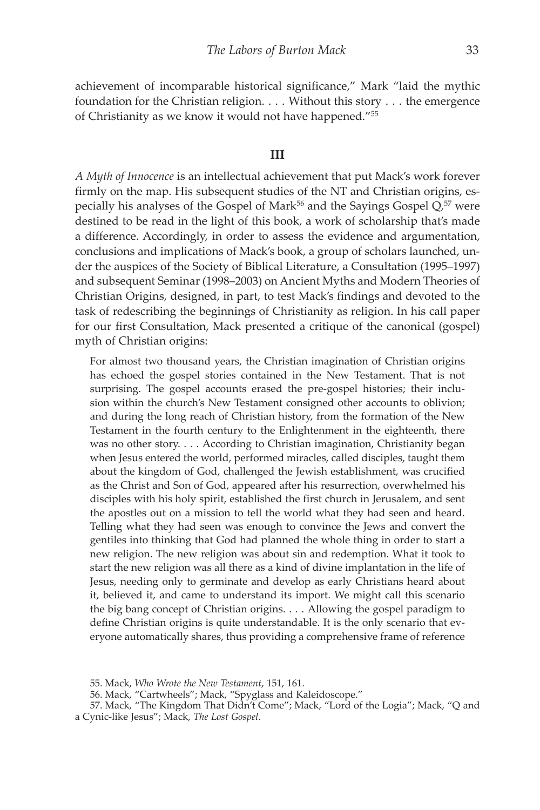achievement of incomparable historical significance," Mark "laid the mythic foundation for the Christian religion.  $\dots$  Without this story  $\dots$  the emergence of Christianity as we know it would not have happened."<sup>55</sup>

#### **III**

*A Myth of Innocence* is an intellectual achievement that put Mack's work forever firmly on the map. His subsequent studies of the NT and Christian origins, especially his analyses of the Gospel of Mark<sup>56</sup> and the Sayings Gospel  $Q<sub>57</sub>$  were destined to be read in the light of this book, a work of scholarship that's made a difference. Accordingly, in order to assess the evidence and argumentation, conclusions and implications of Mack's book, a group of scholars launched, under the auspices of the Society of Biblical Literature, a Consultation (1995–1997) and subsequent Seminar (1998–2003) on Ancient Myths and Modern Theories of Christian Origins, designed, in part, to test Mack's findings and devoted to the task of redescribing the beginnings of Christianity as religion. In his call paper for our first Consultation, Mack presented a critique of the canonical (gospel) myth of Christian origins:

For almost two thousand years, the Christian imagination of Christian origins has echoed the gospel stories contained in the New Testament. That is not surprising. The gospel accounts erased the pre-gospel histories; their inclusion within the church's New Testament consigned other accounts to oblivion; and during the long reach of Christian history, from the formation of the New Testament in the fourth century to the Enlightenment in the eighteenth, there was no other story.  $\ldots$  According to Christian imagination, Christianity began when Jesus entered the world, performed miracles, called disciples, taught them about the kingdom of God, challenged the Jewish establishment, was crucified as the Christ and Son of God, appeared after his resurrection, overwhelmed his disciples with his holy spirit, established the first church in Jerusalem, and sent the apostles out on a mission to tell the world what they had seen and heard. Telling what they had seen was enough to convince the Jews and convert the gentiles into thinking that God had planned the whole thing in order to start a new religion. The new religion was about sin and redemption. What it took to start the new religion was all there as a kind of divine implantation in the life of Jesus, needing only to germinate and develop as early Christians heard about it, believed it, and came to understand its import. We might call this scenario the big bang concept of Christian origins.  $\dots$  Allowing the gospel paradigm to define Christian origins is quite understandable. It is the only scenario that everyone automatically shares, thus providing a comprehensive frame of reference

<sup>55.</sup> Mack, *Who Wrote the New Testament*, 151, 161.

 <sup>56.</sup> Mack, "Cartwheels"; Mack, "Spyglass and Kaleidoscope."

<sup>57.</sup> Mack, "The Kingdom That Didn't Come"; Mack, "Lord of the Logia"; Mack, "Q and a Cynic-like Jesus"; Mack, *The Lost Gospel*.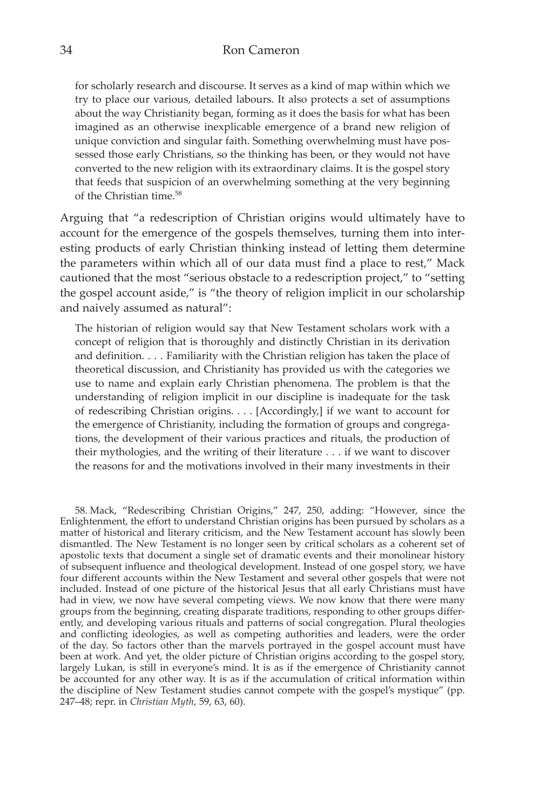#### 34 Ron Cameron

for scholarly research and discourse. It serves as a kind of map within which we try to place our various, detailed labours. It also protects a set of assumptions about the way Christianity began, forming as it does the basis for what has been imagined as an otherwise inexplicable emergence of a brand new religion of unique conviction and singular faith. Something overwhelming must have possessed those early Christians, so the thinking has been, or they would not have converted to the new religion with its extraordinary claims. It is the gospel story that feeds that suspicion of an overwhelming something at the very beginning of the Christian time.58

Arguing that "a redescription of Christian origins would ultimately have to account for the emergence of the gospels themselves, turning them into interesting products of early Christian thinking instead of letting them determine the parameters within which all of our data must find a place to rest," Mack cautioned that the most "serious obstacle to a redescription project," to "setting the gospel account aside," is "the theory of religion implicit in our scholarship and naively assumed as natural":

The historian of religion would say that New Testament scholars work with a concept of religion that is thoroughly and distinctly Christian in its derivation and definition.  $\ldots$  Familiarity with the Christian religion has taken the place of theoretical discussion, and Christianity has provided us with the categories we use to name and explain early Christian phenomena. The problem is that the understanding of religion implicit in our discipline is inadequate for the task of redescribing Christian origins. . . . [Accordingly,] if we want to account for the emergence of Christianity, including the formation of groups and congregations, the development of their various practices and rituals, the production of their mythologies, and the writing of their literature . . . if we want to discover the reasons for and the motivations involved in their many investments in their

 58. Mack, "Redescribing Christian Origins," 247, 250, adding: "However, since the Enlightenment, the effort to understand Christian origins has been pursued by scholars as a matter of historical and literary criticism, and the New Testament account has slowly been dismantled. The New Testament is no longer seen by critical scholars as a coherent set of apostolic texts that document a single set of dramatic events and their monolinear history of subsequent influence and theological development. Instead of one gospel story, we have four different accounts within the New Testament and several other gospels that were not included. Instead of one picture of the historical Jesus that all early Christians must have had in view, we now have several competing views. We now know that there were many groups from the beginning, creating disparate traditions, responding to other groups differently, and developing various rituals and patterns of social congregation. Plural theologies and conflicting ideologies, as well as competing authorities and leaders, were the order of the day. So factors other than the marvels portrayed in the gospel account must have been at work. And yet, the older picture of Christian origins according to the gospel story, largely Lukan, is still in everyone's mind. It is as if the emergence of Christianity cannot be accounted for any other way. It is as if the accumulation of critical information within the discipline of New Testament studies cannot compete with the gospel's mystique" (pp. 247–48; repr. in *Christian Myth*, 59, 63, 60).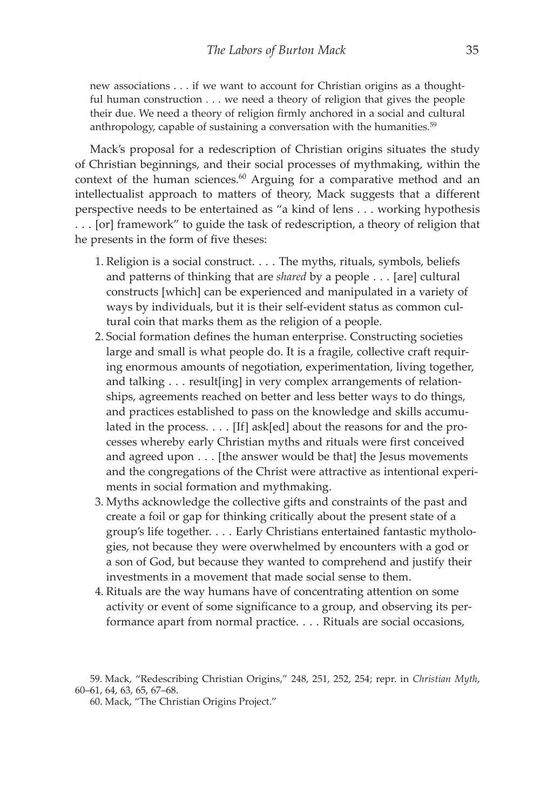new associations  $\dots$  if we want to account for Christian origins as a thoughtful human construction  $\dots$  we need a theory of religion that gives the people their due. We need a theory of religion firmly anchored in a social and cultural anthropology, capable of sustaining a conversation with the humanities.<sup>59</sup>

Mack's proposal for a redescription of Christian origins situates the study of Christian beginnings, and their social processes of mythmaking, within the context of the human sciences. $60$  Arguing for a comparative method and an intellectualist approach to matters of theory, Mack suggests that a different perspective needs to be entertained as "a kind of lens  $\dots$  working hypothesis . . . [or] framework" to guide the task of redescription, a theory of religion that he presents in the form of five theses:

- 1. Religion is a social construct. . . . The myths, rituals, symbols, beliefs and patterns of thinking that are *shared* by a people . . . [are] cultural constructs [which] can be experienced and manipulated in a variety of ways by individuals, but it is their self-evident status as common cultural coin that marks them as the religion of a people.
- 2. Social formation defines the human enterprise. Constructing societies large and small is what people do. It is a fragile, collective craft requiring enormous amounts of negotiation, experimentation, living together, and talking . . . result[ing] in very complex arrangements of relationships, agreements reached on better and less better ways to do things, and practices established to pass on the knowledge and skills accumulated in the process.  $\dots$  [If] ask[ed] about the reasons for and the processes whereby early Christian myths and rituals were first conceived and agreed upon . . . [the answer would be that] the Jesus movements and the congregations of the Christ were attractive as intentional experiments in social formation and mythmaking.
- 3. Myths acknowledge the collective gifts and constraints of the past and create a foil or gap for thinking critically about the present state of a group's life together. . . . Early Christians entertained fantastic mythologies, not because they were overwhelmed by encounters with a god or a son of God, but because they wanted to comprehend and justify their investments in a movement that made social sense to them.
- 4. Rituals are the way humans have of concentrating attention on some activity or event of some significance to a group, and observing its performance apart from normal practice. . . . Rituals are social occasions,

59. Mack, "Redescribing Christian Origins," 248, 251, 252, 254; repr. in *Christian Myth*, 60–61, 64, 63, 65, 67–68.

60. Mack, "The Christian Origins Project."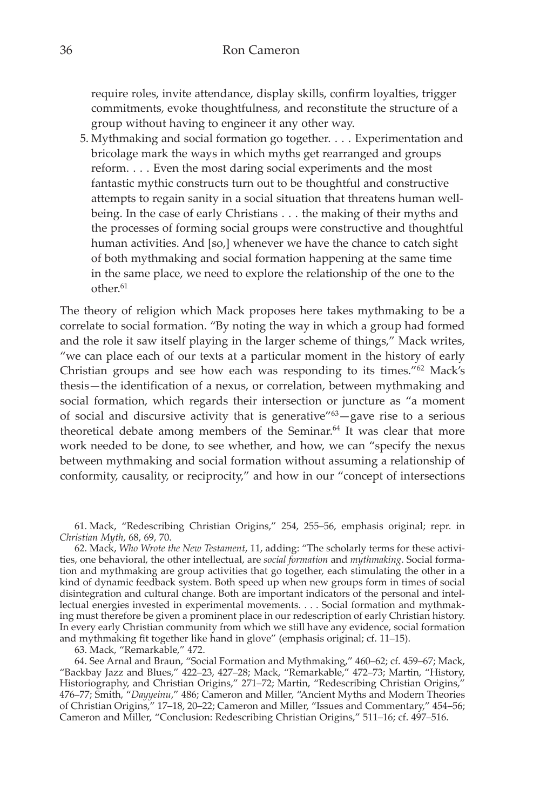require roles, invite attendance, display skills, confirm loyalties, trigger commitments, evoke thoughtfulness, and reconstitute the structure of a group without having to engineer it any other way.

5. Mythmaking and social formation go together. . . . Experimentation and bricolage mark the ways in which myths get rearranged and groups reform.  $\dots$  Even the most daring social experiments and the most fantastic mythic constructs turn out to be thoughtful and constructive attempts to regain sanity in a social situation that threatens human wellbeing. In the case of early Christians . . . the making of their myths and the processes of forming social groups were constructive and thoughtful human activities. And [so,] whenever we have the chance to catch sight of both mythmaking and social formation happening at the same time in the same place, we need to explore the relationship of the one to the other.<sup>61</sup>

The theory of religion which Mack proposes here takes mythmaking to be a correlate to social formation. "By noting the way in which a group had formed and the role it saw itself playing in the larger scheme of things," Mack writes, "we can place each of our texts at a particular moment in the history of early Christian groups and see how each was responding to its times."62 Mack's thesis—the identification of a nexus, or correlation, between mythmaking and social formation, which regards their intersection or juncture as "a moment of social and discursive activity that is generative"63—gave rise to a serious theoretical debate among members of the Seminar.<sup>64</sup> It was clear that more work needed to be done, to see whether, and how, we can "specify the nexus between mythmaking and social formation without assuming a relationship of conformity, causality, or reciprocity," and how in our "concept of intersections

 61. Mack, "Redescribing Christian Origins," 254, 255–56, emphasis original; repr. in *Christian Myth*, 68, 69, 70.

 62. Mack, *Who Wrote the New Testament*, 11, adding: "The scholarly terms for these activities, one behavioral, the other intellectual, are *social formation* and *mythmaking*. Social formation and mythmaking are group activities that go together, each stimulating the other in a kind of dynamic feedback system. Both speed up when new groups form in times of social disintegration and cultural change. Both are important indicators of the personal and intellectual energies invested in experimental movements. . . . Social formation and mythmaking must therefore be given a prominent place in our redescription of early Christian history. In every early Christian community from which we still have any evidence, social formation and mythmaking fit together like hand in glove" (emphasis original; cf. 11–15).

63. Mack, "Remarkable," 472.

 64. See Arnal and Braun, "Social Formation and Mythmaking," 460–62; cf. 459–67; Mack, "Backbay Jazz and Blues," 422–23, 427–28; Mack, "Remarkable," 472–73; Martin, "History, Historiography, and Christian Origins," 271–72; Martin, "Redescribing Christian Origins," 476–77; Smith, "*Dayyeinu*," 486; Cameron and Miller, "Ancient Myths and Modern Theories of Christian Origins," 17–18, 20–22; Cameron and Miller, "Issues and Commentary," 454–56; Cameron and Miller, "Conclusion: Redescribing Christian Origins," 511–16; cf. 497–516.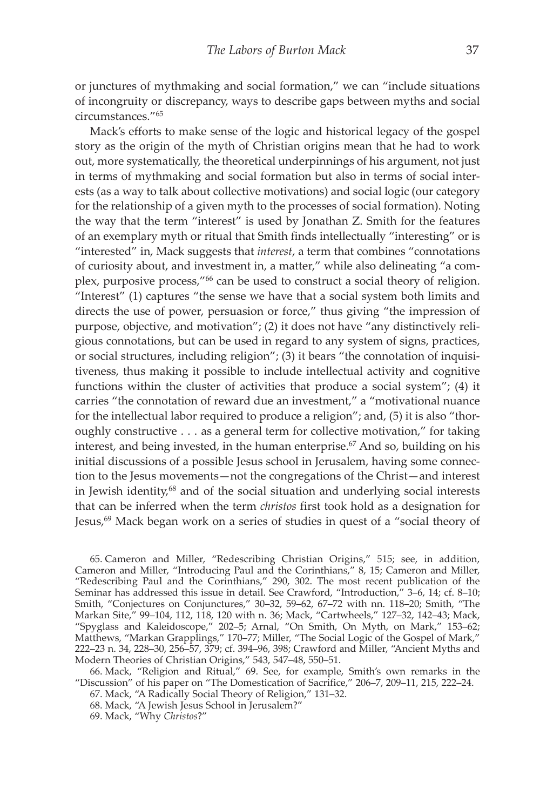or junctures of mythmaking and social formation," we can "include situations of incongruity or discrepancy, ways to describe gaps between myths and social circumstances."65

Mack's efforts to make sense of the logic and historical legacy of the gospel story as the origin of the myth of Christian origins mean that he had to work out, more systematically, the theoretical underpinnings of his argument, not just in terms of mythmaking and social formation but also in terms of social interests (as a way to talk about collective motivations) and social logic (our category for the relationship of a given myth to the processes of social formation). Noting the way that the term "interest" is used by Jonathan Z. Smith for the features of an exemplary myth or ritual that Smith finds intellectually "interesting" or is "interested" in, Mack suggests that *interest*, a term that combines "connotations of curiosity about, and investment in, a matter," while also delineating "a complex, purposive process,"66 can be used to construct a social theory of religion. "Interest" (1) captures "the sense we have that a social system both limits and directs the use of power, persuasion or force," thus giving "the impression of purpose, objective, and motivation"; (2) it does not have "any distinctively religious connotations, but can be used in regard to any system of signs, practices, or social structures, including religion"; (3) it bears "the connotation of inquisitiveness, thus making it possible to include intellectual activity and cognitive functions within the cluster of activities that produce a social system"; (4) it carries "the connotation of reward due an investment," a "motivational nuance for the intellectual labor required to produce a religion"; and, (5) it is also "thoroughly constructive . . . as a general term for collective motivation," for taking interest, and being invested, in the human enterprise. $67$  And so, building on his initial discussions of a possible Jesus school in Jerusalem, having some connection to the Jesus movements—not the congregations of the Christ—and interest in Jewish identity,<sup>68</sup> and of the social situation and underlying social interests that can be inferred when the term *christos* first took hold as a designation for Jesus,69 Mack began work on a series of studies in quest of a "social theory of

65. Cameron and Miller, "Redescribing Christian Origins," 515; see, in addition, Cameron and Miller, "Introducing Paul and the Corinthians," 8, 15; Cameron and Miller, "Redescribing Paul and the Corinthians," 290, 302. The most recent publication of the Seminar has addressed this issue in detail. See Crawford, "Introduction," 3–6, 14; cf. 8–10; Smith, "Conjectures on Conjunctures," 30–32, 59–62, 67–72 with nn. 118–20; Smith, "The Markan Site," 99–104, 112, 118, 120 with n. 36; Mack, "Cartwheels," 127–32, 142–43; Mack, "Spyglass and Kaleidoscope," 202–5; Arnal, "On Smith, On Myth, on Mark," 153–62; Matthews, "Markan Grapplings," 170–77; Miller, "The Social Logic of the Gospel of Mark," 222–23 n. 34, 228–30, 256–57, 379; cf. 394–96, 398; Crawford and Miller, "Ancient Myths and Modern Theories of Christian Origins," 543, 547–48, 550–51.

66. Mack, "Religion and Ritual," 69. See, for example, Smith's own remarks in the "Discussion" of his paper on "The Domestication of Sacrifice," 206–7, 209–11, 215, 222–24.

67. Mack, "A Radically Social Theory of Religion," 131–32.

68. Mack, "A Jewish Jesus School in Jerusalem?"

69. Mack, "Why *Christos*?"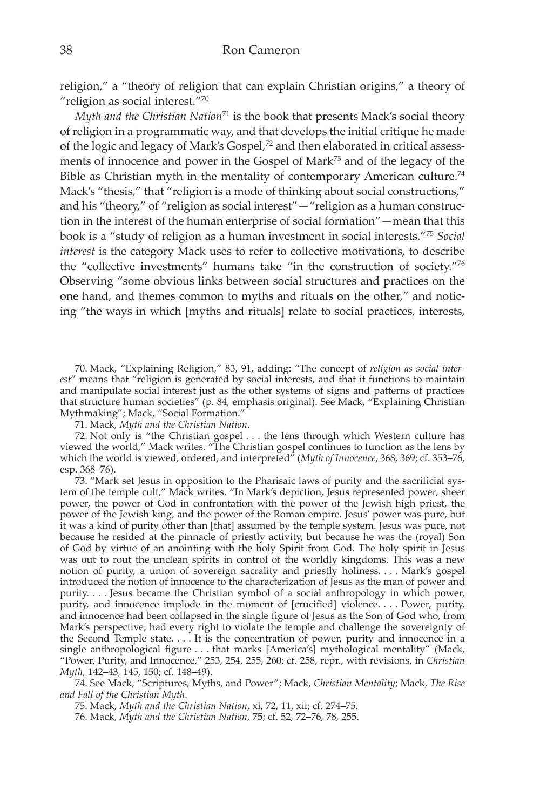religion," a "theory of religion that can explain Christian origins," a theory of "religion as social interest."70

*Myth and the Christian Nation*71 is the book that presents Mack's social theory of religion in a programmatic way, and that develops the initial critique he made of the logic and legacy of Mark's Gospel,72 and then elaborated in critical assessments of innocence and power in the Gospel of Mark73 and of the legacy of the Bible as Christian myth in the mentality of contemporary American culture.<sup>74</sup> Mack's "thesis," that "religion is a mode of thinking about social constructions," and his "theory," of "religion as social interest"—"religion as a human construction in the interest of the human enterprise of social formation"—mean that this book is a "study of religion as a human investment in social interests."75 *Social interest* is the category Mack uses to refer to collective motivations, to describe the "collective investments" humans take "in the construction of society."76 Observing "some obvious links between social structures and practices on the one hand, and themes common to myths and rituals on the other," and noticing "the ways in which [myths and rituals] relate to social practices, interests,

70. Mack, "Explaining Religion," 83, 91, adding: "The concept of *religion as social interest*" means that "religion is generated by social interests, and that it functions to maintain and manipulate social interest just as the other systems of signs and patterns of practices that structure human societies" (p. 84, emphasis original). See Mack, "Explaining Christian Mythmaking"; Mack, "Social Formation."

71. Mack, *Myth and the Christian Nation*.

72. Not only is "the Christian gospel . . . the lens through which Western culture has viewed the world," Mack writes. "The Christian gospel continues to function as the lens by which the world is viewed, ordered, and interpreted" (*Myth of Innocence*, 368, 369; cf. 353–76, esp. 368–76).

 73. "Mark set Jesus in opposition to the Pharisaic laws of purity and the sacrificial system of the temple cult," Mack writes. "In Mark's depiction, Jesus represented power, sheer power, the power of God in confrontation with the power of the Jewish high priest, the power of the Jewish king, and the power of the Roman empire. Jesus' power was pure, but it was a kind of purity other than [that] assumed by the temple system. Jesus was pure, not because he resided at the pinnacle of priestly activity, but because he was the (royal) Son of God by virtue of an anointing with the holy Spirit from God. The holy spirit in Jesus was out to rout the unclean spirits in control of the worldly kingdoms. This was a new notion of purity, a union of sovereign sacrality and priestly holiness. . . . Mark's gospel introduced the notion of innocence to the characterization of Jesus as the man of power and purity. . . . Jesus became the Christian symbol of a social anthropology in which power, purity, and innocence implode in the moment of [crucified] violence.  $\dots$  Power, purity, and innocence had been collapsed in the single figure of Jesus as the Son of God who, from Mark's perspective, had every right to violate the temple and challenge the sovereignty of the Second Temple state. . . . It is the concentration of power, purity and innocence in a single anthropological figure . . . that marks [America's] mythological mentality" (Mack, "Power, Purity, and Innocence," 253, 254, 255, 260; cf. 258, repr., with revisions, in *Christian Myth*, 142–43, 145, 150; cf. 148–49).

74. See Mack, "Scriptures, Myths, and Power"; Mack, *Christian Mentality*; Mack, *The Rise and Fall of the Christian Myth*.

75. Mack, *Myth and the Christian Nation*, xi, 72, 11, xii; cf. 274–75.

76. Mack, *Myth and the Christian Nation*, 75; cf. 52, 72–76, 78, 255.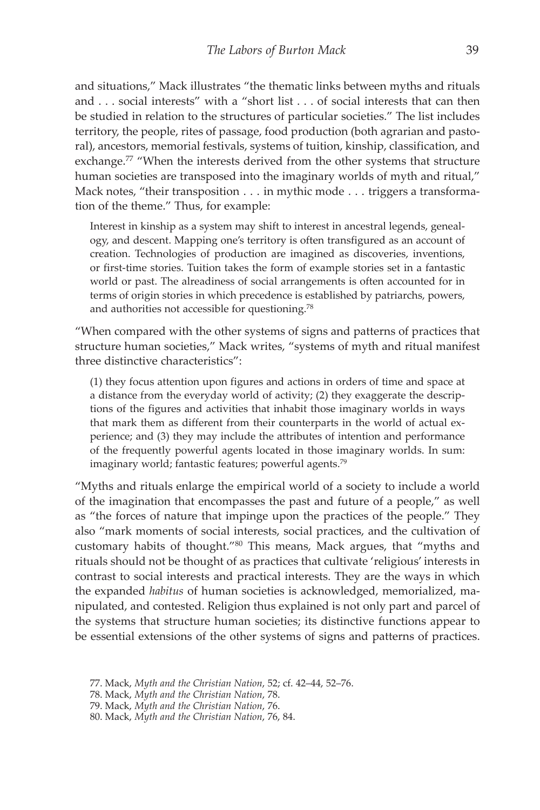and situations," Mack illustrates "the thematic links between myths and rituals and . . . social interests" with a "short list . . . of social interests that can then be studied in relation to the structures of particular societies." The list includes territory, the people, rites of passage, food production (both agrarian and pastoral), ancestors, memorial festivals, systems of tuition, kinship, classification, and exchange.<sup>77</sup> "When the interests derived from the other systems that structure human societies are transposed into the imaginary worlds of myth and ritual," Mack notes, "their transposition . . . in mythic mode . . . triggers a transformation of the theme." Thus, for example:

Interest in kinship as a system may shift to interest in ancestral legends, genealogy, and descent. Mapping one's territory is often transfigured as an account of creation. Technologies of production are imagined as discoveries, inventions, or first-time stories. Tuition takes the form of example stories set in a fantastic world or past. The alreadiness of social arrangements is often accounted for in terms of origin stories in which precedence is established by patriarchs, powers, and authorities not accessible for questioning.78

"When compared with the other systems of signs and patterns of practices that structure human societies," Mack writes, "systems of myth and ritual manifest three distinctive characteristics":

(1) they focus attention upon figures and actions in orders of time and space at a distance from the everyday world of activity; (2) they exaggerate the descriptions of the figures and activities that inhabit those imaginary worlds in ways that mark them as different from their counterparts in the world of actual experience; and (3) they may include the attributes of intention and performance of the frequently powerful agents located in those imaginary worlds. In sum: imaginary world; fantastic features; powerful agents.<sup>79</sup>

"Myths and rituals enlarge the empirical world of a society to include a world of the imagination that encompasses the past and future of a people," as well as "the forces of nature that impinge upon the practices of the people." They also "mark moments of social interests, social practices, and the cultivation of customary habits of thought."80 This means, Mack argues, that "myths and rituals should not be thought of as practices that cultivate 'religious' interests in contrast to social interests and practical interests. They are the ways in which the expanded *habitus* of human societies is acknowledged, memorialized, manipulated, and contested. Religion thus explained is not only part and parcel of the systems that structure human societies; its distinctive functions appear to be essential extensions of the other systems of signs and patterns of practices.

<sup>77.</sup> Mack, *Myth and the Christian Nation*, 52; cf. 42–44, 52–76.

 <sup>78.</sup> Mack, *Myth and the Christian Nation*, 78.

 <sup>79.</sup> Mack, *Myth and the Christian Nation*, 76.

 <sup>80.</sup> Mack, *Myth and the Christian Nation*, 76, 84.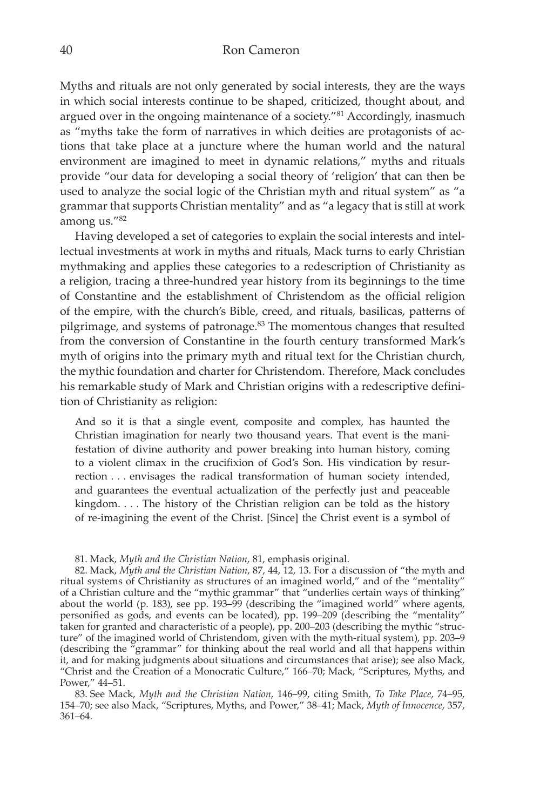Myths and rituals are not only generated by social interests, they are the ways in which social interests continue to be shaped, criticized, thought about, and argued over in the ongoing maintenance of a society."81 Accordingly, inasmuch as "myths take the form of narratives in which deities are protagonists of actions that take place at a juncture where the human world and the natural environment are imagined to meet in dynamic relations," myths and rituals provide "our data for developing a social theory of 'religion' that can then be used to analyze the social logic of the Christian myth and ritual system" as "a grammar that supports Christian mentality" and as "a legacy that is still at work among us."82

Having developed a set of categories to explain the social interests and intellectual investments at work in myths and rituals, Mack turns to early Christian mythmaking and applies these categories to a redescription of Christianity as a religion, tracing a three-hundred year history from its beginnings to the time of Constantine and the establishment of Christendom as the official religion of the empire, with the church's Bible, creed, and rituals, basilicas, patterns of pilgrimage, and systems of patronage.<sup>83</sup> The momentous changes that resulted from the conversion of Constantine in the fourth century transformed Mark's myth of origins into the primary myth and ritual text for the Christian church, the mythic foundation and charter for Christendom. Therefore, Mack concludes his remarkable study of Mark and Christian origins with a redescriptive definition of Christianity as religion:

And so it is that a single event, composite and complex, has haunted the Christian imagination for nearly two thousand years. That event is the manifestation of divine authority and power breaking into human history, coming to a violent climax in the crucifixion of God's Son. His vindication by resurrection . . . envisages the radical transformation of human society intended, and guarantees the eventual actualization of the perfectly just and peaceable kingdom.  $\ldots$  The history of the Christian religion can be told as the history of re-imagining the event of the Christ. [Since] the Christ event is a symbol of

 83. See Mack, *Myth and the Christian Nation*, 146–99, citing Smith, *To Take Place*, 74–95, 154–70; see also Mack, "Scriptures, Myths, and Power," 38–41; Mack, *Myth of Innocence*, 357, 361–64.

<sup>81.</sup> Mack, *Myth and the Christian Nation*, 81, emphasis original.

 <sup>82.</sup> Mack, *Myth and the Christian Nation*, 87, 44, 12, 13. For a discussion of "the myth and ritual systems of Christianity as structures of an imagined world," and of the "mentality" of a Christian culture and the "mythic grammar" that "underlies certain ways of thinking" about the world (p. 183), see pp. 193–99 (describing the "imagined world" where agents, personified as gods, and events can be located), pp. 199–209 (describing the "mentality" taken for granted and characteristic of a people), pp. 200–203 (describing the mythic "structure" of the imagined world of Christendom, given with the myth-ritual system), pp. 203–9 (describing the "grammar" for thinking about the real world and all that happens within it, and for making judgments about situations and circumstances that arise); see also Mack, "Christ and the Creation of a Monocratic Culture," 166–70; Mack, "Scriptures, Myths, and Power," 44–51.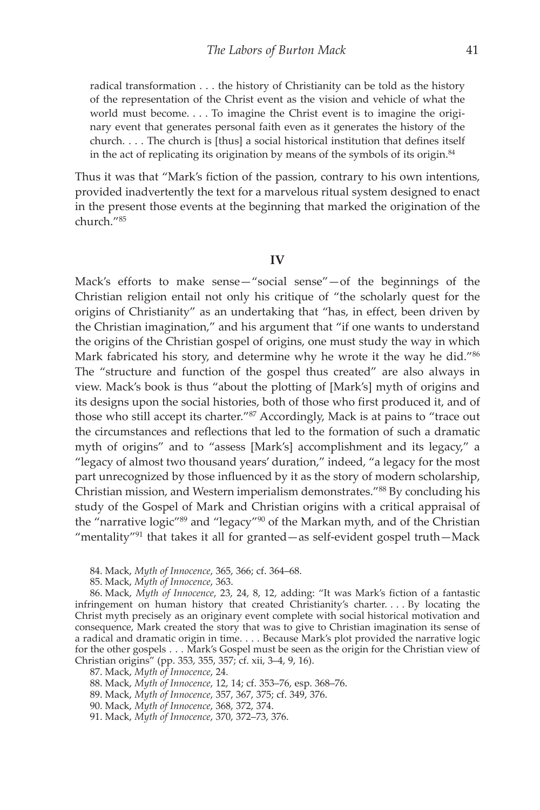radical transformation  $\dots$  the history of Christianity can be told as the history of the representation of the Christ event as the vision and vehicle of what the world must become.  $\ldots$  To imagine the Christ event is to imagine the originary event that generates personal faith even as it generates the history of the church. . . . The church is [thus] a social historical institution that defines itself in the act of replicating its origination by means of the symbols of its origin.<sup>84</sup>

Thus it was that "Mark's fiction of the passion, contrary to his own intentions, provided inadvertently the text for a marvelous ritual system designed to enact in the present those events at the beginning that marked the origination of the church."85

#### **IV**

Mack's efforts to make sense—"social sense"—of the beginnings of the Christian religion entail not only his critique of "the scholarly quest for the origins of Christianity" as an undertaking that "has, in effect, been driven by the Christian imagination," and his argument that "if one wants to understand the origins of the Christian gospel of origins, one must study the way in which Mark fabricated his story, and determine why he wrote it the way he did."<sup>86</sup> The "structure and function of the gospel thus created" are also always in view. Mack's book is thus "about the plotting of [Mark's] myth of origins and its designs upon the social histories, both of those who first produced it, and of those who still accept its charter."87 Accordingly, Mack is at pains to "trace out the circumstances and reflections that led to the formation of such a dramatic myth of origins" and to "assess [Mark's] accomplishment and its legacy," a "legacy of almost two thousand years' duration," indeed, "a legacy for the most part unrecognized by those influenced by it as the story of modern scholarship, Christian mission, and Western imperialism demonstrates."88 By concluding his study of the Gospel of Mark and Christian origins with a critical appraisal of the "narrative logic"89 and "legacy"90 of the Markan myth, and of the Christian "mentality"<sup>91</sup> that takes it all for granted—as self-evident gospel truth—Mack

 86. Mack, *Myth of Innocence*, 23, 24, 8, 12, adding: "It was Mark's fiction of a fantastic infringement on human history that created Christianity's charter. . . . By locating the Christ myth precisely as an originary event complete with social historical motivation and consequence, Mark created the story that was to give to Christian imagination its sense of a radical and dramatic origin in time. . . . Because Mark's plot provided the narrative logic for the other gospels  $\dots$  Mark's Gospel must be seen as the origin for the Christian view of Christian origins" (pp. 353, 355, 357; cf. xii, 3–4, 9, 16).

- 90. Mack, *Myth of Innocence*, 368, 372, 374.
- 91. Mack, *Myth of Innocence*, 370, 372–73, 376.

<sup>84.</sup> Mack, *Myth of Innocence*, 365, 366; cf. 364–68.

 <sup>85.</sup> Mack, *Myth of Innocence*, 363.

<sup>87.</sup> Mack, *Myth of Innocence*, 24.

 <sup>88.</sup> Mack, *Myth of Innocence*, 12, 14; cf. 353–76, esp. 368–76.

 <sup>89.</sup> Mack, *Myth of Innocence*, 357, 367, 375; cf. 349, 376.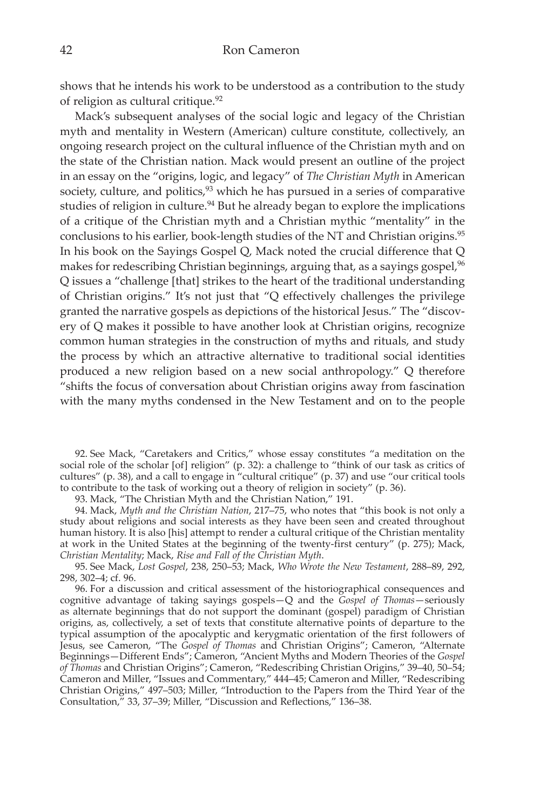shows that he intends his work to be understood as a contribution to the study of religion as cultural critique.<sup>92</sup>

Mack's subsequent analyses of the social logic and legacy of the Christian myth and mentality in Western (American) culture constitute, collectively, an ongoing research project on the cultural influence of the Christian myth and on the state of the Christian nation. Mack would present an outline of the project in an essay on the "origins, logic, and legacy" of *The Christian Myth* in American society, culture, and politics,<sup>93</sup> which he has pursued in a series of comparative studies of religion in culture.<sup>94</sup> But he already began to explore the implications of a critique of the Christian myth and a Christian mythic "mentality" in the conclusions to his earlier, book-length studies of the NT and Christian origins.<sup>95</sup> In his book on the Sayings Gospel Q, Mack noted the crucial difference that Q makes for redescribing Christian beginnings, arguing that, as a sayings gospel,<sup>96</sup> Q issues a "challenge [that] strikes to the heart of the traditional understanding of Christian origins." It's not just that "Q effectively challenges the privilege granted the narrative gospels as depictions of the historical Jesus." The "discovery of Q makes it possible to have another look at Christian origins, recognize common human strategies in the construction of myths and rituals, and study the process by which an attractive alternative to traditional social identities produced a new religion based on a new social anthropology." Q therefore "shifts the focus of conversation about Christian origins away from fascination with the many myths condensed in the New Testament and on to the people

 92. See Mack, "Caretakers and Critics," whose essay constitutes "a meditation on the social role of the scholar [of] religion" (p. 32): a challenge to "think of our task as critics of cultures" (p. 38), and a call to engage in "cultural critique" (p. 37) and use "our critical tools to contribute to the task of working out a theory of religion in society" (p. 36).

93. Mack, "The Christian Myth and the Christian Nation," 191.

 94. Mack, *Myth and the Christian Nation*, 217–75, who notes that "this book is not only a study about religions and social interests as they have been seen and created throughout human history. It is also [his] attempt to render a cultural critique of the Christian mentality at work in the United States at the beginning of the twenty-first century" (p. 275); Mack, *Christian Mentality*; Mack, *Rise and Fall of the Christian Myth*.

 95. See Mack, *Lost Gospel*, 238, 250–53; Mack, *Who Wrote the New Testament*, 288–89, 292, 298, 302–4; cf. 96.

 96. For a discussion and critical assessment of the historiographical consequences and cognitive advantage of taking sayings gospels—Q and the *Gospel of Thomas*—seriously as alternate beginnings that do not support the dominant (gospel) paradigm of Christian origins, as, collectively, a set of texts that constitute alternative points of departure to the typical assumption of the apocalyptic and kerygmatic orientation of the first followers of Jesus, see Cameron, "The *Gospel of Thomas* and Christian Origins"; Cameron, "Alternate Beginnings—Different Ends"; Cameron, "Ancient Myths and Modern Theories of the *Gospel of Thomas* and Christian Origins"; Cameron, "Redescribing Christian Origins," 39–40, 50–54; Cameron and Miller, "Issues and Commentary," 444–45; Cameron and Miller, "Redescribing Christian Origins," 497–503; Miller, "Introduction to the Papers from the Third Year of the Consultation," 33, 37–39; Miller, "Discussion and Reflections," 136–38.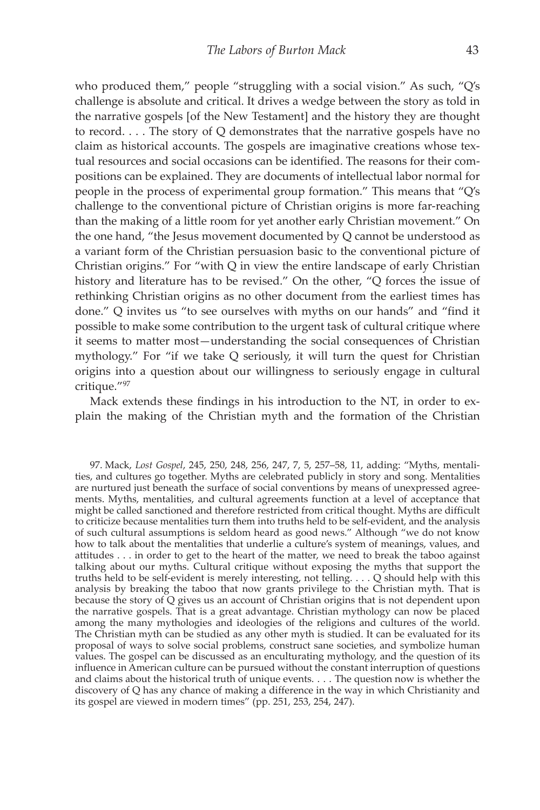who produced them," people "struggling with a social vision." As such, "Q's challenge is absolute and critical. It drives a wedge between the story as told in the narrative gospels [of the New Testament] and the history they are thought to record.  $\dots$ . The story of Q demonstrates that the narrative gospels have no claim as historical accounts. The gospels are imaginative creations whose textual resources and social occasions can be identified. The reasons for their compositions can be explained. They are documents of intellectual labor normal for people in the process of experimental group formation." This means that "Q's challenge to the conventional picture of Christian origins is more far-reaching than the making of a little room for yet another early Christian movement." On the one hand, "the Jesus movement documented by Q cannot be understood as a variant form of the Christian persuasion basic to the conventional picture of Christian origins." For "with Q in view the entire landscape of early Christian history and literature has to be revised." On the other, "Q forces the issue of rethinking Christian origins as no other document from the earliest times has done." Q invites us "to see ourselves with myths on our hands" and "find it possible to make some contribution to the urgent task of cultural critique where it seems to matter most—understanding the social consequences of Christian mythology." For "if we take Q seriously, it will turn the quest for Christian origins into a question about our willingness to seriously engage in cultural critique."97

Mack extends these findings in his introduction to the NT, in order to explain the making of the Christian myth and the formation of the Christian

97. Mack, *Lost Gospel*, 245, 250, 248, 256, 247, 7, 5, 257–58, 11, adding: "Myths, mentalities, and cultures go together. Myths are celebrated publicly in story and song. Mentalities are nurtured just beneath the surface of social conventions by means of unexpressed agreements. Myths, mentalities, and cultural agreements function at a level of acceptance that might be called sanctioned and therefore restricted from critical thought. Myths are difficult to criticize because mentalities turn them into truths held to be self-evident, and the analysis of such cultural assumptions is seldom heard as good news." Although "we do not know how to talk about the mentalities that underlie a culture's system of meanings, values, and attitudes . . . in order to get to the heart of the matter, we need to break the taboo against talking about our myths. Cultural critique without exposing the myths that support the truths held to be self-evident is merely interesting, not telling. . . . Q should help with this analysis by breaking the taboo that now grants privilege to the Christian myth. That is because the story of Q gives us an account of Christian origins that is not dependent upon the narrative gospels. That is a great advantage. Christian mythology can now be placed among the many mythologies and ideologies of the religions and cultures of the world. The Christian myth can be studied as any other myth is studied. It can be evaluated for its proposal of ways to solve social problems, construct sane societies, and symbolize human values. The gospel can be discussed as an enculturating mythology, and the question of its influence in American culture can be pursued without the constant interruption of questions and claims about the historical truth of unique events. . . . The question now is whether the discovery of Q has any chance of making a difference in the way in which Christianity and its gospel are viewed in modern times" (pp. 251, 253, 254, 247).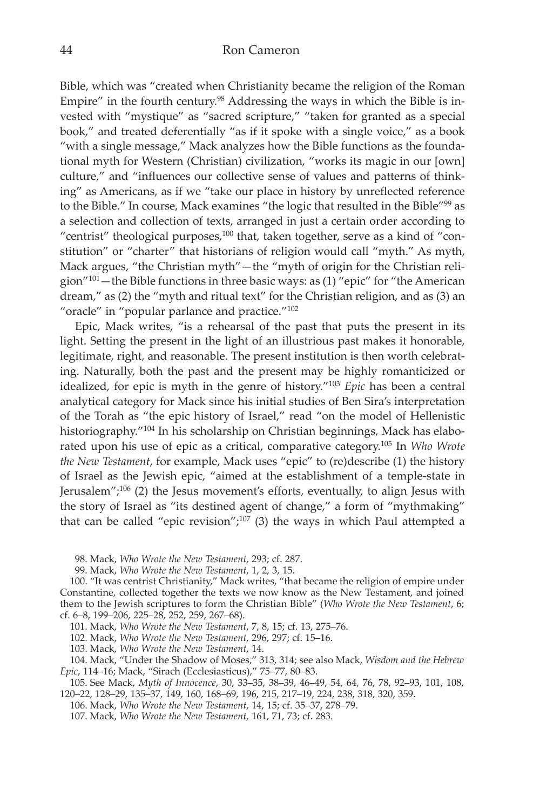Bible, which was "created when Christianity became the religion of the Roman Empire" in the fourth century.<sup>98</sup> Addressing the ways in which the Bible is invested with "mystique" as "sacred scripture," "taken for granted as a special book," and treated deferentially "as if it spoke with a single voice," as a book "with a single message," Mack analyzes how the Bible functions as the foundational myth for Western (Christian) civilization, "works its magic in our [own] culture," and "influences our collective sense of values and patterns of thinking" as Americans, as if we "take our place in history by unreflected reference to the Bible." In course, Mack examines "the logic that resulted in the Bible"<sup>99</sup> as a selection and collection of texts, arranged in just a certain order according to "centrist" theological purposes,<sup>100</sup> that, taken together, serve as a kind of "constitution" or "charter" that historians of religion would call "myth." As myth, Mack argues, "the Christian myth"—the "myth of origin for the Christian religion"101—the Bible functions in three basic ways: as (1) "epic" for "the American dream," as (2) the "myth and ritual text" for the Christian religion, and as (3) an "oracle" in "popular parlance and practice."<sup>102</sup>

Epic, Mack writes, "is a rehearsal of the past that puts the present in its light. Setting the present in the light of an illustrious past makes it honorable, legitimate, right, and reasonable. The present institution is then worth celebrating. Naturally, both the past and the present may be highly romanticized or idealized, for epic is myth in the genre of history."103 *Epic* has been a central analytical category for Mack since his initial studies of Ben Sira's interpretation of the Torah as "the epic history of Israel," read "on the model of Hellenistic historiography."104 In his scholarship on Christian beginnings, Mack has elaborated upon his use of epic as a critical, comparative category.105 In *Who Wrote the New Testament*, for example, Mack uses "epic" to (re)describe (1) the history of Israel as the Jewish epic, "aimed at the establishment of a temple-state in Jerusalem";106 (2) the Jesus movement's efforts, eventually, to align Jesus with the story of Israel as "its destined agent of change," a form of "mythmaking" that can be called "epic revision"; $107$  (3) the ways in which Paul attempted a

98. Mack, *Who Wrote the New Testament*, 293; cf. 287.

99. Mack, *Who Wrote the New Testament*, 1, 2, 3, 15.

 100. "It was centrist Christianity," Mack writes, "that became the religion of empire under Constantine, collected together the texts we now know as the New Testament, and joined them to the Jewish scriptures to form the Christian Bible" (*Who Wrote the New Testament*, 6; cf. 6–8, 199–206, 225–28, 252, 259, 267–68).

101. Mack, *Who Wrote the New Testament*, 7, 8, 15; cf. 13, 275–76.

102. Mack, *Who Wrote the New Testament*, 296, 297; cf. 15–16.

103. Mack, *Who Wrote the New Testament*, 14.

 104. Mack, "Under the Shadow of Moses," 313, 314; see also Mack, *Wisdom and the Hebrew Epic*, 114–16; Mack, "Sirach (Ecclesiasticus)," 75–77, 80–83.

 105. See Mack, *Myth of Innocence*, 30, 33–35, 38–39, 46–49, 54, 64, 76, 78, 92–93, 101, 108, 120–22, 128–29, 135–37, 149, 160, 168–69, 196, 215, 217–19, 224, 238, 318, 320, 359.

 106. Mack, *Who Wrote the New Testament*, 14, 15; cf. 35–37, 278–79. 107. Mack, *Who Wrote the New Testament*, 161, 71, 73; cf. 283.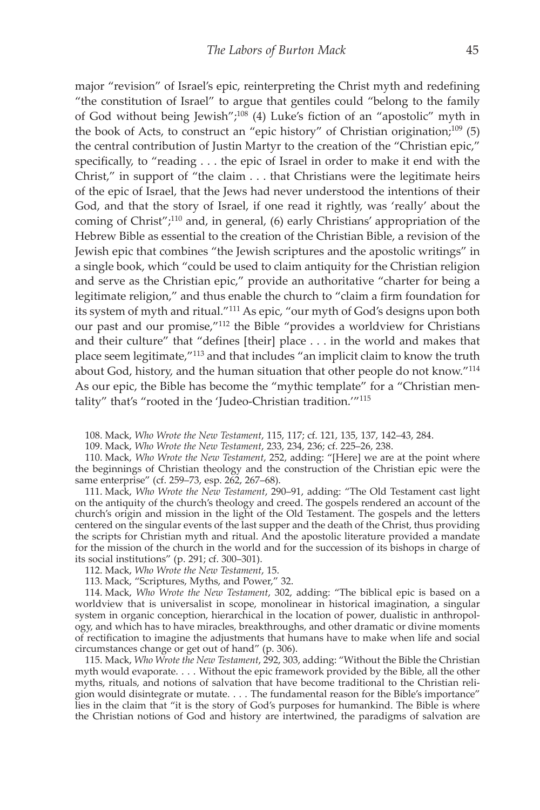major "revision" of Israel's epic, reinterpreting the Christ myth and redefining "the constitution of Israel" to argue that gentiles could "belong to the family of God without being Jewish";108 (4) Luke's fiction of an "apostolic" myth in the book of Acts, to construct an "epic history" of Christian origination;<sup>109</sup> (5) the central contribution of Justin Martyr to the creation of the "Christian epic," specifically, to "reading .  $\ldots$  the epic of Israel in order to make it end with the Christ," in support of "the claim . . . that Christians were the legitimate heirs of the epic of Israel, that the Jews had never understood the intentions of their God, and that the story of Israel, if one read it rightly, was 'really' about the coming of Christ";110 and, in general, (6) early Christians' appropriation of the Hebrew Bible as essential to the creation of the Christian Bible, a revision of the Jewish epic that combines "the Jewish scriptures and the apostolic writings" in a single book, which "could be used to claim antiquity for the Christian religion and serve as the Christian epic," provide an authoritative "charter for being a legitimate religion," and thus enable the church to "claim a firm foundation for its system of myth and ritual."111 As epic, "our myth of God's designs upon both our past and our promise,"112 the Bible "provides a worldview for Christians and their culture" that "defines [their] place . . . in the world and makes that place seem legitimate,"113 and that includes "an implicit claim to know the truth about God, history, and the human situation that other people do not know."114 As our epic, the Bible has become the "mythic template" for a "Christian mentality" that's "rooted in the 'Judeo-Christian tradition.'"115

108. Mack, *Who Wrote the New Testament*, 115, 117; cf. 121, 135, 137, 142–43, 284.

109. Mack, *Who Wrote the New Testament*, 233, 234, 236; cf. 225–26, 238.

 110. Mack, *Who Wrote the New Testament*, 252, adding: "[Here] we are at the point where the beginnings of Christian theology and the construction of the Christian epic were the same enterprise" (cf. 259–73, esp. 262, 267–68).

 111. Mack, *Who Wrote the New Testament*, 290–91, adding: "The Old Testament cast light on the antiquity of the church's theology and creed. The gospels rendered an account of the church's origin and mission in the light of the Old Testament. The gospels and the letters centered on the singular events of the last supper and the death of the Christ, thus providing the scripts for Christian myth and ritual. And the apostolic literature provided a mandate for the mission of the church in the world and for the succession of its bishops in charge of its social institutions" (p. 291; cf. 300–301).

112. Mack, *Who Wrote the New Testament*, 15.

113. Mack, "Scriptures, Myths, and Power," 32.

114. Mack, *Who Wrote the New Testament*, 302, adding: "The biblical epic is based on a worldview that is universalist in scope, monolinear in historical imagination, a singular system in organic conception, hierarchical in the location of power, dualistic in anthropology, and which has to have miracles, breakthroughs, and other dramatic or divine moments of rectification to imagine the adjustments that humans have to make when life and social circumstances change or get out of hand" (p. 306).

 115. Mack, *Who Wrote the New Testament*, 292, 303, adding: "Without the Bible the Christian myth would evaporate.  $\dots$  Without the epic framework provided by the Bible, all the other myths, rituals, and notions of salvation that have become traditional to the Christian religion would disintegrate or mutate. . . . The fundamental reason for the Bible's importance" lies in the claim that "it is the story of God's purposes for humankind. The Bible is where the Christian notions of God and history are intertwined, the paradigms of salvation are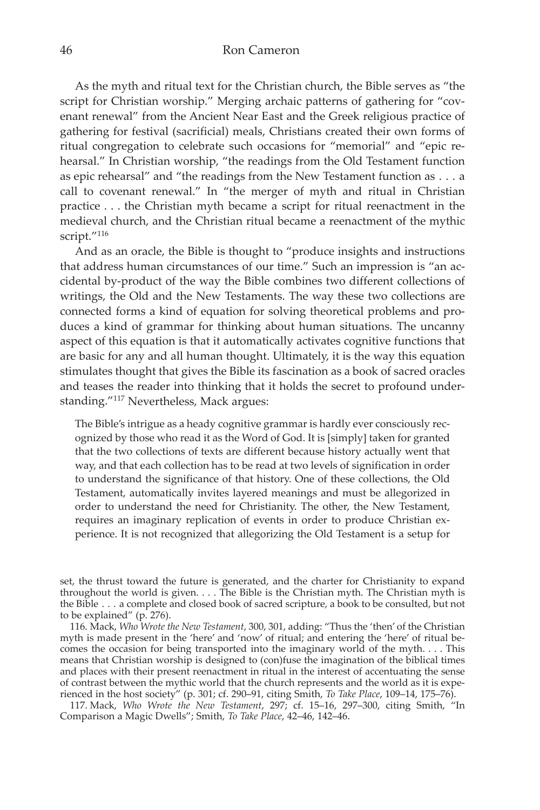#### 46 Ron Cameron

As the myth and ritual text for the Christian church, the Bible serves as "the script for Christian worship." Merging archaic patterns of gathering for "covenant renewal" from the Ancient Near East and the Greek religious practice of gathering for festival (sacrificial) meals, Christians created their own forms of ritual congregation to celebrate such occasions for "memorial" and "epic rehearsal." In Christian worship, "the readings from the Old Testament function as epic rehearsal" and "the readings from the New Testament function as  $\dots$  a call to covenant renewal." In "the merger of myth and ritual in Christian practice . . . the Christian myth became a script for ritual reenactment in the medieval church, and the Christian ritual became a reenactment of the mythic script."<sup>116</sup>

And as an oracle, the Bible is thought to "produce insights and instructions that address human circumstances of our time." Such an impression is "an accidental by-product of the way the Bible combines two different collections of writings, the Old and the New Testaments. The way these two collections are connected forms a kind of equation for solving theoretical problems and produces a kind of grammar for thinking about human situations. The uncanny aspect of this equation is that it automatically activates cognitive functions that are basic for any and all human thought. Ultimately, it is the way this equation stimulates thought that gives the Bible its fascination as a book of sacred oracles and teases the reader into thinking that it holds the secret to profound understanding."117 Nevertheless, Mack argues:

The Bible's intrigue as a heady cognitive grammar is hardly ever consciously recognized by those who read it as the Word of God. It is [simply] taken for granted that the two collections of texts are different because history actually went that way, and that each collection has to be read at two levels of signification in order to understand the significance of that history. One of these collections, the Old Testament, automatically invites layered meanings and must be allegorized in order to understand the need for Christianity. The other, the New Testament, requires an imaginary replication of events in order to produce Christian experience. It is not recognized that allegorizing the Old Testament is a setup for

set, the thrust toward the future is generated, and the charter for Christianity to expand throughout the world is given.  $\ldots$ . The Bible is the Christian myth. The Christian myth is the Bible  $\dots$  a complete and closed book of sacred scripture, a book to be consulted, but not to be explained" (p. 276).

 116. Mack, *Who Wrote the New Testament*, 300, 301, adding: "Thus the 'then' of the Christian myth is made present in the 'here' and 'now' of ritual; and entering the 'here' of ritual becomes the occasion for being transported into the imaginary world of the myth. . . . This means that Christian worship is designed to (con)fuse the imagination of the biblical times and places with their present reenactment in ritual in the interest of accentuating the sense of contrast between the mythic world that the church represents and the world as it is experienced in the host society" (p. 301; cf. 290–91, citing Smith, *To Take Place*, 109–14, 175–76).

 117. Mack, *Who Wrote the New Testament*, 297; cf. 15–16, 297–300, citing Smith, "In Comparison a Magic Dwells"; Smith, *To Take Place*, 42–46, 142–46.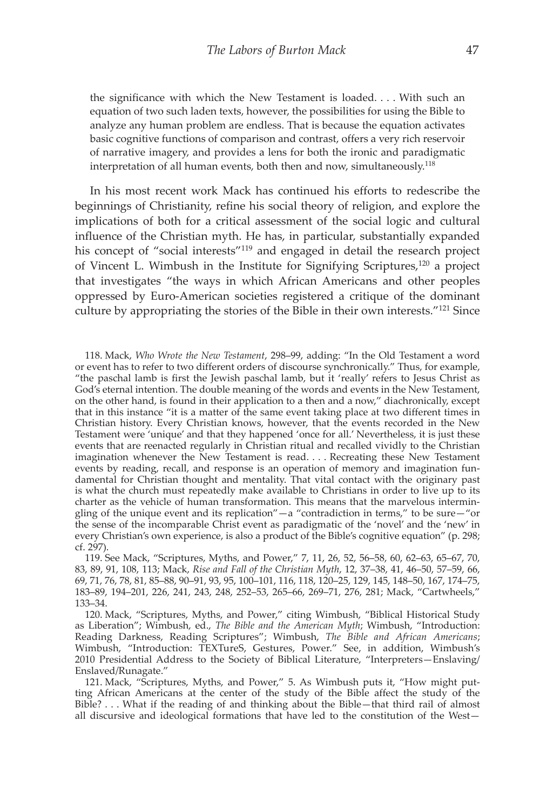the significance with which the New Testament is loaded. . . . With such an equation of two such laden texts, however, the possibilities for using the Bible to analyze any human problem are endless. That is because the equation activates basic cognitive functions of comparison and contrast, offers a very rich reservoir of narrative imagery, and provides a lens for both the ironic and paradigmatic interpretation of all human events, both then and now, simultaneously.118

In his most recent work Mack has continued his efforts to redescribe the beginnings of Christianity, refine his social theory of religion, and explore the implications of both for a critical assessment of the social logic and cultural influence of the Christian myth. He has, in particular, substantially expanded his concept of "social interests"<sup>119</sup> and engaged in detail the research project of Vincent L. Wimbush in the Institute for Signifying Scriptures,120 a project that investigates "the ways in which African Americans and other peoples oppressed by Euro-American societies registered a critique of the dominant culture by appropriating the stories of the Bible in their own interests."121 Since

118. Mack, *Who Wrote the New Testament*, 298–99, adding: "In the Old Testament a word or event has to refer to two different orders of discourse synchronically." Thus, for example, "the paschal lamb is first the Jewish paschal lamb, but it 'really' refers to Jesus Christ as God's eternal intention. The double meaning of the words and events in the New Testament, on the other hand, is found in their application to a then and a now," diachronically, except that in this instance "it is a matter of the same event taking place at two different times in Christian history. Every Christian knows, however, that the events recorded in the New Testament were 'unique' and that they happened 'once for all.' Nevertheless, it is just these events that are reenacted regularly in Christian ritual and recalled vividly to the Christian imagination whenever the New Testament is read. . . . Recreating these New Testament events by reading, recall, and response is an operation of memory and imagination fundamental for Christian thought and mentality. That vital contact with the originary past is what the church must repeatedly make available to Christians in order to live up to its charter as the vehicle of human transformation. This means that the marvelous intermingling of the unique event and its replication"—a "contradiction in terms," to be sure—"or the sense of the incomparable Christ event as paradigmatic of the 'novel' and the 'new' in every Christian's own experience, is also a product of the Bible's cognitive equation" (p. 298; cf. 297).

119. See Mack, "Scriptures, Myths, and Power," 7, 11, 26, 52, 56–58, 60, 62–63, 65–67, 70, 83, 89, 91, 108, 113; Mack, *Rise and Fall of the Christian Myth*, 12, 37–38, 41, 46–50, 57–59, 66, 69, 71, 76, 78, 81, 85–88, 90–91, 93, 95, 100–101, 116, 118, 120–25, 129, 145, 148–50, 167, 174–75, 183–89, 194–201, 226, 241, 243, 248, 252–53, 265–66, 269–71, 276, 281; Mack, "Cartwheels," 133–34.

120. Mack, "Scriptures, Myths, and Power," citing Wimbush, "Biblical Historical Study as Liberation"; Wimbush, ed., *The Bible and the American Myth*; Wimbush, "Introduction: Reading Darkness, Reading Scriptures"; Wimbush, *The Bible and African Americans*; Wimbush, "Introduction: TEXTureS, Gestures, Power." See, in addition, Wimbush's 2010 Presidential Address to the Society of Biblical Literature, "Interpreters—Enslaving/ Enslaved/Runagate."

 121. Mack, "Scriptures, Myths, and Power," 5. As Wimbush puts it, "How might putting African Americans at the center of the study of the Bible affect the study of the Bible?  $\ldots$  What if the reading of and thinking about the Bible—that third rail of almost all discursive and ideological formations that have led to the constitution of the West—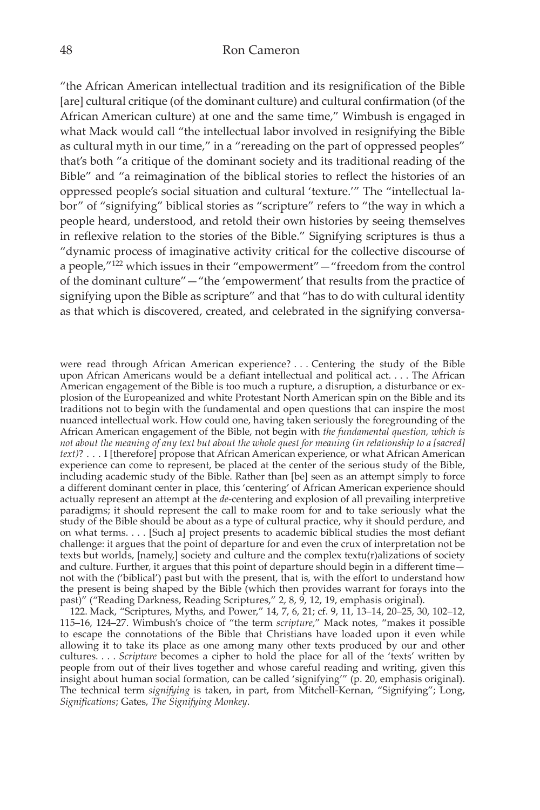"the African American intellectual tradition and its resignification of the Bible [are] cultural critique (of the dominant culture) and cultural confirmation (of the African American culture) at one and the same time," Wimbush is engaged in what Mack would call "the intellectual labor involved in resignifying the Bible as cultural myth in our time," in a "rereading on the part of oppressed peoples" that's both "a critique of the dominant society and its traditional reading of the Bible" and "a reimagination of the biblical stories to reflect the histories of an oppressed people's social situation and cultural 'texture.'" The "intellectual labor" of "signifying" biblical stories as "scripture" refers to "the way in which a people heard, understood, and retold their own histories by seeing themselves in reflexive relation to the stories of the Bible." Signifying scriptures is thus a "dynamic process of imaginative activity critical for the collective discourse of a people,"122 which issues in their "empowerment"—"freedom from the control of the dominant culture"—"the 'empowerment' that results from the practice of signifying upon the Bible as scripture" and that "has to do with cultural identity as that which is discovered, created, and celebrated in the signifying conversa-

were read through African American experience? . . . Centering the study of the Bible upon African Americans would be a defiant intellectual and political act. . . . The African American engagement of the Bible is too much a rupture, a disruption, a disturbance or explosion of the Europeanized and white Protestant North American spin on the Bible and its traditions not to begin with the fundamental and open questions that can inspire the most nuanced intellectual work. How could one, having taken seriously the foregrounding of the African American engagement of the Bible, not begin with *the fundamental question, which is not about the meaning of any text but about the whole quest for meaning (in relationship to a [sacred] text*)? . . . I [therefore] propose that African American experience, or what African American experience can come to represent, be placed at the center of the serious study of the Bible, including academic study of the Bible. Rather than [be] seen as an attempt simply to force a different dominant center in place, this 'centering' of African American experience should actually represent an attempt at the *de*-centering and explosion of all prevailing interpretive paradigms; it should represent the call to make room for and to take seriously what the study of the Bible should be about as a type of cultural practice, why it should perdure, and on what terms. . . . [Such a] project presents to academic biblical studies the most defiant challenge: it argues that the point of departure for and even the crux of interpretation not be texts but worlds, [namely,] society and culture and the complex textu(r)alizations of society and culture. Further, it argues that this point of departure should begin in a different time not with the ('biblical') past but with the present, that is, with the effort to understand how the present is being shaped by the Bible (which then provides warrant for forays into the past)" ("Reading Darkness, Reading Scriptures," 2, 8, 9, 12, 19, emphasis original).

122. Mack, "Scriptures, Myths, and Power," 14, 7, 6, 21; cf. 9, 11, 13–14, 20–25, 30, 102–12, 115–16, 124–27. Wimbush's choice of "the term *scripture*," Mack notes, "makes it possible to escape the connotations of the Bible that Christians have loaded upon it even while allowing it to take its place as one among many other texts produced by our and other cultures. . . . *Scripture* becomes a cipher to hold the place for all of the 'texts' written by people from out of their lives together and whose careful reading and writing, given this insight about human social formation, can be called 'signifying'" (p. 20, emphasis original). The technical term *signifying* is taken, in part, from Mitchell-Kernan, "Signifying"; Long, *Significations*; Gates, *The Signifying Monkey*.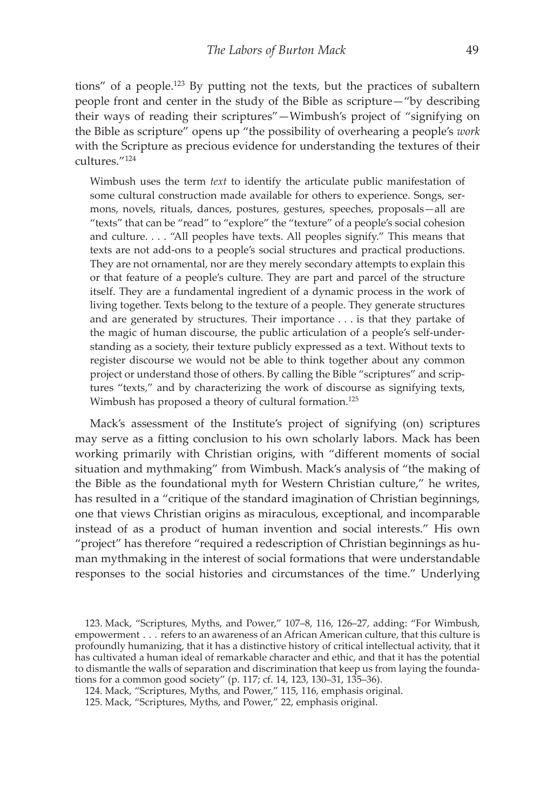tions" of a people.123 By putting not the texts, but the practices of subaltern people front and center in the study of the Bible as scripture—"by describing their ways of reading their scriptures"—Wimbush's project of "signifying on the Bible as scripture" opens up "the possibility of overhearing a people's *work* with the Scripture as precious evidence for understanding the textures of their cultures."124

Wimbush uses the term *text* to identify the articulate public manifestation of some cultural construction made available for others to experience. Songs, sermons, novels, rituals, dances, postures, gestures, speeches, proposals—all are "texts" that can be "read" to "explore" the "texture" of a people's social cohesion and culture.  $\dots$  "All peoples have texts. All peoples signify." This means that texts are not add-ons to a people's social structures and practical productions. They are not ornamental, nor are they merely secondary attempts to explain this or that feature of a people's culture. They are part and parcel of the structure itself. They are a fundamental ingredient of a dynamic process in the work of living together. Texts belong to the texture of a people. They generate structures and are generated by structures. Their importance . . . is that they partake of the magic of human discourse, the public articulation of a people's self-understanding as a society, their texture publicly expressed as a text. Without texts to register discourse we would not be able to think together about any common project or understand those of others. By calling the Bible "scriptures" and scriptures "texts," and by characterizing the work of discourse as signifying texts, Wimbush has proposed a theory of cultural formation.<sup>125</sup>

Mack's assessment of the Institute's project of signifying (on) scriptures may serve as a fitting conclusion to his own scholarly labors. Mack has been working primarily with Christian origins, with "different moments of social situation and mythmaking" from Wimbush. Mack's analysis of "the making of the Bible as the foundational myth for Western Christian culture," he writes, has resulted in a "critique of the standard imagination of Christian beginnings, one that views Christian origins as miraculous, exceptional, and incomparable instead of as a product of human invention and social interests." His own "project" has therefore "required a redescription of Christian beginnings as human mythmaking in the interest of social formations that were understandable responses to the social histories and circumstances of the time." Underlying

123. Mack, "Scriptures, Myths, and Power," 107–8, 116, 126–27, adding: "For Wimbush, empowerment . . . refers to an awareness of an African American culture, that this culture is profoundly humanizing, that it has a distinctive history of critical intellectual activity, that it has cultivated a human ideal of remarkable character and ethic, and that it has the potential to dismantle the walls of separation and discrimination that keep us from laying the foundations for a common good society" (p. 117; cf. 14, 123, 130–31, 135–36).

124. Mack, "Scriptures, Myths, and Power," 115, 116, emphasis original.

125. Mack, "Scriptures, Myths, and Power," 22, emphasis original.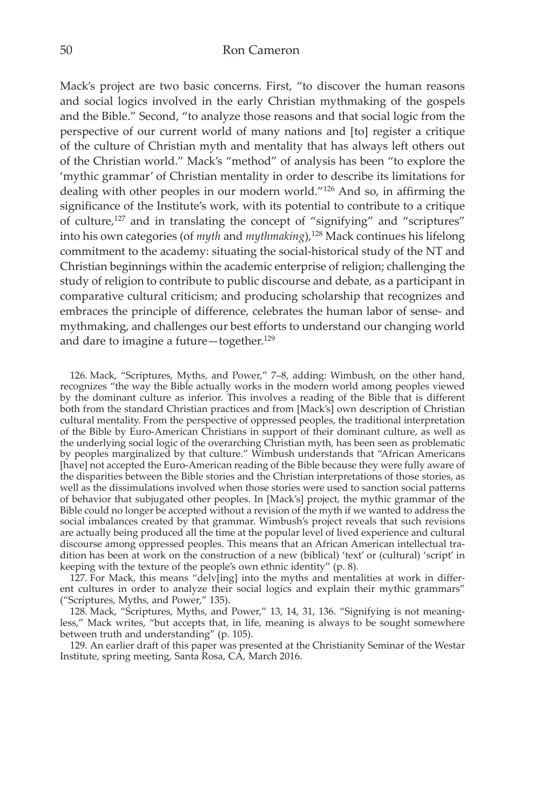#### 50 Ron Cameron

Mack's project are two basic concerns. First, "to discover the human reasons and social logics involved in the early Christian mythmaking of the gospels and the Bible." Second, "to analyze those reasons and that social logic from the perspective of our current world of many nations and [to] register a critique of the culture of Christian myth and mentality that has always left others out of the Christian world." Mack's "method" of analysis has been "to explore the 'mythic grammar' of Christian mentality in order to describe its limitations for dealing with other peoples in our modern world."126 And so, in affirming the significance of the Institute's work, with its potential to contribute to a critique of culture,127 and in translating the concept of "signifying" and "scriptures" into his own categories (of *myth* and *mythmaking*),<sup>128</sup> Mack continues his lifelong commitment to the academy: situating the social-historical study of the NT and Christian beginnings within the academic enterprise of religion; challenging the study of religion to contribute to public discourse and debate, as a participant in comparative cultural criticism; and producing scholarship that recognizes and embraces the principle of difference, celebrates the human labor of sense- and mythmaking, and challenges our best efforts to understand our changing world and dare to imagine a future—together.<sup>129</sup>

 126. Mack, "Scriptures, Myths, and Power," 7–8, adding: Wimbush, on the other hand, recognizes "the way the Bible actually works in the modern world among peoples viewed by the dominant culture as inferior. This involves a reading of the Bible that is different both from the standard Christian practices and from [Mack's] own description of Christian cultural mentality. From the perspective of oppressed peoples, the traditional interpretation of the Bible by Euro-American Christians in support of their dominant culture, as well as the underlying social logic of the overarching Christian myth, has been seen as problematic by peoples marginalized by that culture." Wimbush understands that "African Americans [have] not accepted the Euro-American reading of the Bible because they were fully aware of the disparities between the Bible stories and the Christian interpretations of those stories, as well as the dissimulations involved when those stories were used to sanction social patterns of behavior that subjugated other peoples. In [Mack's] project, the mythic grammar of the Bible could no longer be accepted without a revision of the myth if we wanted to address the social imbalances created by that grammar. Wimbush's project reveals that such revisions are actually being produced all the time at the popular level of lived experience and cultural discourse among oppressed peoples. This means that an African American intellectual tradition has been at work on the construction of a new (biblical) 'text' or (cultural) 'script' in keeping with the texture of the people's own ethnic identity" (p. 8).

 127. For Mack, this means "delv[ing] into the myths and mentalities at work in different cultures in order to analyze their social logics and explain their mythic grammars" ("Scriptures, Myths, and Power," 135).

 128. Mack, "Scriptures, Myths, and Power," 13, 14, 31, 136. "Signifying is not meaningless," Mack writes, "but accepts that, in life, meaning is always to be sought somewhere between truth and understanding" (p. 105).

 129. An earlier draft of this paper was presented at the Christianity Seminar of the Westar Institute, spring meeting, Santa Rosa, CA, March 2016.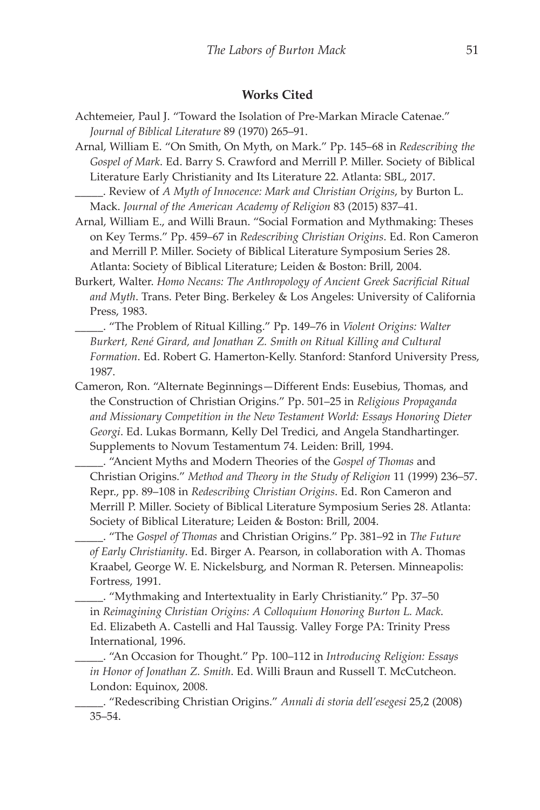#### **Works Cited**

- Achtemeier, Paul J. "Toward the Isolation of Pre-Markan Miracle Catenae." *Journal of Biblical Literature* 89 (1970) 265–91.
- Arnal, William E. "On Smith, On Myth, on Mark." Pp. 145–68 in *Redescribing the Gospel of Mark*. Ed. Barry S. Crawford and Merrill P. Miller. Society of Biblical Literature Early Christianity and Its Literature 22. Atlanta: SBL, 2017.
	- \_\_\_\_\_. Review of *A Myth of Innocence: Mark and Christian Origins*, by Burton L. Mack. *Journal of the American Academy of Religion* 83 (2015) 837–41.
- Arnal, William E., and Willi Braun. "Social Formation and Mythmaking: Theses on Key Terms." Pp. 459–67 in *Redescribing Christian Origins*. Ed. Ron Cameron and Merrill P. Miller. Society of Biblical Literature Symposium Series 28. Atlanta: Society of Biblical Literature; Leiden & Boston: Brill, 2004.
- Burkert, Walter. *Homo Necans: The Anthropology of Ancient Greek Sacrificial Ritual and Myth*. Trans. Peter Bing. Berkeley & Los Angeles: University of California Press, 1983.
- \_\_\_\_\_. "The Problem of Ritual Killing." Pp. 149–76 in *Violent Origins: Walter Burkert, René Girard, and Jonathan Z. Smith on Ritual Killing and Cultural Formation*. Ed. Robert G. Hamerton-Kelly. Stanford: Stanford University Press, 1987.
- Cameron, Ron. "Alternate Beginnings—Different Ends: Eusebius, Thomas, and the Construction of Christian Origins." Pp. 501–25 in *Religious Propaganda and Missionary Competition in the New Testament World: Essays Honoring Dieter Georgi*. Ed. Lukas Bormann, Kelly Del Tredici, and Angela Standhartinger. Supplements to Novum Testamentum 74. Leiden: Brill, 1994.

\_\_\_\_\_. "Ancient Myths and Modern Theories of the *Gospel of Thomas* and Christian Origins." *Method and Theory in the Study of Religion* 11 (1999) 236–57. Repr., pp. 89–108 in *Redescribing Christian Origins*. Ed. Ron Cameron and Merrill P. Miller. Society of Biblical Literature Symposium Series 28. Atlanta: Society of Biblical Literature; Leiden & Boston: Brill, 2004.

\_\_\_\_\_. "The *Gospel of Thomas* and Christian Origins." Pp. 381–92 in *The Future of Early Christianity*. Ed. Birger A. Pearson, in collaboration with A. Thomas Kraabel, George W. E. Nickelsburg, and Norman R. Petersen. Minneapolis: Fortress, 1991.

\_\_\_\_\_. "Mythmaking and Intertextuality in Early Christianity." Pp. 37–50 in *Reimagining Christian Origins: A Colloquium Honoring Burton L. Mack*. Ed. Elizabeth A. Castelli and Hal Taussig. Valley Forge PA: Trinity Press International, 1996.

\_\_\_\_\_. "An Occasion for Thought." Pp. 100–112 in *Introducing Religion: Essays in Honor of Jonathan Z. Smith*. Ed. Willi Braun and Russell T. McCutcheon. London: Equinox, 2008.

\_\_\_\_\_. "Redescribing Christian Origins." *Annali di storia dell'esegesi* 25,2 (2008) 35–54.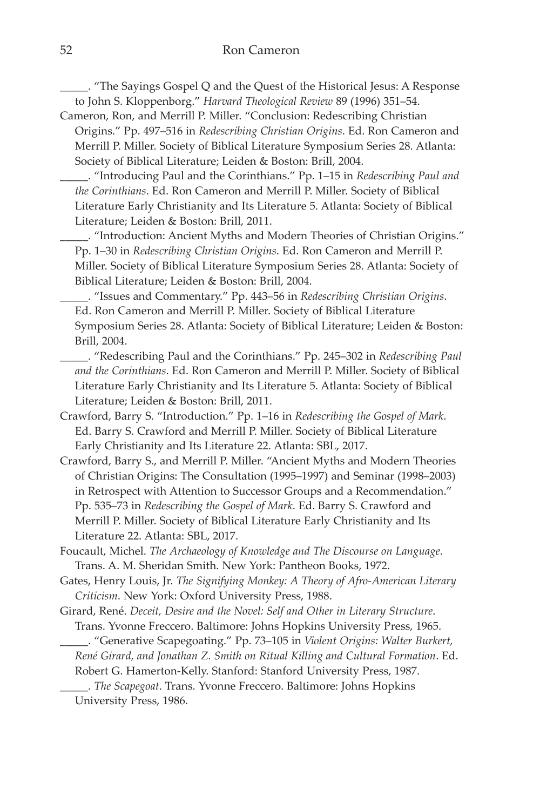\_\_\_\_\_. "The Sayings Gospel Q and the Quest of the Historical Jesus: A Response to John S. Kloppenborg." *Harvard Theological Review* 89 (1996) 351–54.

Cameron, Ron, and Merrill P. Miller. "Conclusion: Redescribing Christian Origins." Pp. 497–516 in *Redescribing Christian Origins*. Ed. Ron Cameron and Merrill P. Miller. Society of Biblical Literature Symposium Series 28. Atlanta: Society of Biblical Literature; Leiden & Boston: Brill, 2004.

\_\_\_\_\_. "Introducing Paul and the Corinthians." Pp. 1–15 in *Redescribing Paul and the Corinthians*. Ed. Ron Cameron and Merrill P. Miller. Society of Biblical Literature Early Christianity and Its Literature 5. Atlanta: Society of Biblical Literature; Leiden & Boston: Brill, 2011.

\_\_\_\_\_. "Introduction: Ancient Myths and Modern Theories of Christian Origins." Pp. 1–30 in *Redescribing Christian Origins*. Ed. Ron Cameron and Merrill P. Miller. Society of Biblical Literature Symposium Series 28. Atlanta: Society of Biblical Literature; Leiden & Boston: Brill, 2004.

\_\_\_\_\_. "Issues and Commentary." Pp. 443–56 in *Redescribing Christian Origins*. Ed. Ron Cameron and Merrill P. Miller. Society of Biblical Literature Symposium Series 28. Atlanta: Society of Biblical Literature; Leiden & Boston: Brill, 2004.

- \_\_\_\_\_. "Redescribing Paul and the Corinthians." Pp. 245–302 in *Redescribing Paul and the Corinthians*. Ed. Ron Cameron and Merrill P. Miller. Society of Biblical Literature Early Christianity and Its Literature 5. Atlanta: Society of Biblical Literature; Leiden & Boston: Brill, 2011.
- Crawford, Barry S. "Introduction." Pp. 1–16 in *Redescribing the Gospel of Mark*. Ed. Barry S. Crawford and Merrill P. Miller. Society of Biblical Literature Early Christianity and Its Literature 22. Atlanta: SBL, 2017.
- Crawford, Barry S., and Merrill P. Miller. "Ancient Myths and Modern Theories of Christian Origins: The Consultation (1995–1997) and Seminar (1998–2003) in Retrospect with Attention to Successor Groups and a Recommendation." Pp. 535–73 in *Redescribing the Gospel of Mark*. Ed. Barry S. Crawford and Merrill P. Miller. Society of Biblical Literature Early Christianity and Its Literature 22. Atlanta: SBL, 2017.
- Foucault, Michel. *The Archaeology of Knowledge and The Discourse on Language*. Trans. A. M. Sheridan Smith. New York: Pantheon Books, 1972.
- Gates, Henry Louis, Jr. *The Signifying Monkey: A Theory of Afro-American Literary Criticism*. New York: Oxford University Press, 1988.
- Girard, René. *Deceit, Desire and the Novel: Self and Other in Literary Structure*. Trans. Yvonne Freccero. Baltimore: Johns Hopkins University Press, 1965.
- \_\_\_\_\_. "Generative Scapegoating." Pp. 73–105 in *Violent Origins: Walter Burkert, René Girard, and Jonathan Z. Smith on Ritual Killing and Cultural Formation*. Ed. Robert G. Hamerton-Kelly. Stanford: Stanford University Press, 1987.

\_\_\_\_\_. *The Scapegoat*. Trans. Yvonne Freccero. Baltimore: Johns Hopkins University Press, 1986.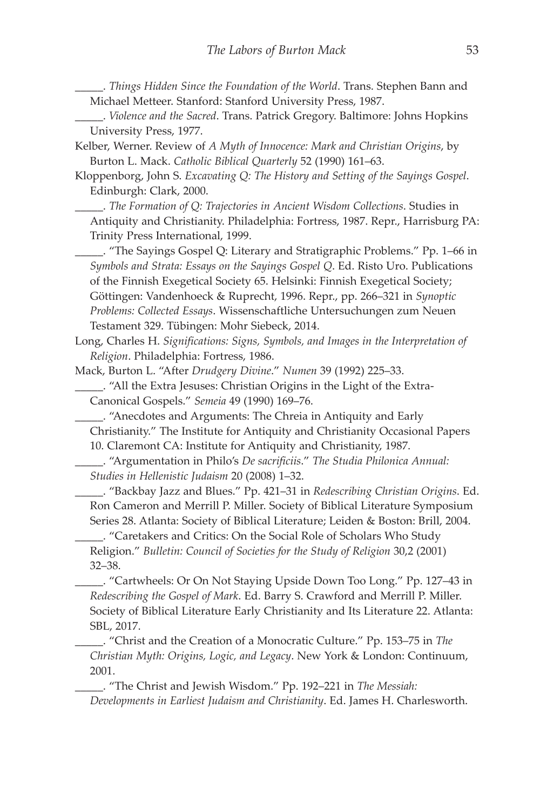\_\_\_\_\_. *Things Hidden Since the Foundation of the World*. Trans. Stephen Bann and Michael Metteer. Stanford: Stanford University Press, 1987.

- \_\_\_\_\_. *Violence and the Sacred*. Trans. Patrick Gregory. Baltimore: Johns Hopkins University Press, 1977.
- Kelber, Werner. Review of *A Myth of Innocence: Mark and Christian Origins*, by Burton L. Mack. *Catholic Biblical Quarterly* 52 (1990) 161–63.

Kloppenborg, John S. *Excavating Q: The History and Setting of the Sayings Gospel*. Edinburgh: Clark, 2000.

\_\_\_\_\_. *The Formation of Q: Trajectories in Ancient Wisdom Collections*. Studies in Antiquity and Christianity. Philadelphia: Fortress, 1987. Repr., Harrisburg PA: Trinity Press International, 1999.

\_\_\_\_\_. "The Sayings Gospel Q: Literary and Stratigraphic Problems." Pp. 1–66 in *Symbols and Strata: Essays on the Sayings Gospel Q*. Ed. Risto Uro. Publications of the Finnish Exegetical Society 65. Helsinki: Finnish Exegetical Society; Göttingen: Vandenhoeck & Ruprecht, 1996. Repr., pp. 266–321 in *Synoptic Problems: Collected Essays*. Wissenschaftliche Untersuchungen zum Neuen Testament 329. Tübingen: Mohr Siebeck, 2014.

Long, Charles H. *Significations: Signs, Symbols, and Images in the Interpretation of Religion*. Philadelphia: Fortress, 1986.

Mack, Burton L. "After *Drudgery Divine*." *Numen* 39 (1992) 225–33. \_\_\_\_\_. "All the Extra Jesuses: Christian Origins in the Light of the Extra-

Canonical Gospels." *Semeia* 49 (1990) 169–76.

\_\_\_\_\_. "Anecdotes and Arguments: The Chreia in Antiquity and Early Christianity." The Institute for Antiquity and Christianity Occasional Papers

10. Claremont CA: Institute for Antiquity and Christianity, 1987.

\_\_\_\_\_. "Argumentation in Philo's *De sacrificiis*." *The Studia Philonica Annual: Studies in Hellenistic Judaism* 20 (2008) 1–32.

\_\_\_\_\_. "Backbay Jazz and Blues." Pp. 421–31 in *Redescribing Christian Origins*. Ed. Ron Cameron and Merrill P. Miller. Society of Biblical Literature Symposium Series 28. Atlanta: Society of Biblical Literature; Leiden & Boston: Brill, 2004.

\_\_\_\_\_. "Caretakers and Critics: On the Social Role of Scholars Who Study Religion." *Bulletin: Council of Societies for the Study of Religion* 30,2 (2001) 32–38.

\_\_\_\_\_. "Cartwheels: Or On Not Staying Upside Down Too Long." Pp. 127–43 in *Redescribing the Gospel of Mark*. Ed. Barry S. Crawford and Merrill P. Miller. Society of Biblical Literature Early Christianity and Its Literature 22. Atlanta: SBL, 2017.

\_\_\_\_\_. "Christ and the Creation of a Monocratic Culture." Pp. 153–75 in *The Christian Myth: Origins, Logic, and Legacy*. New York & London: Continuum, 2001.

\_\_\_\_\_. "The Christ and Jewish Wisdom." Pp. 192–221 in *The Messiah:* 

*Developments in Earliest Judaism and Christianity*. Ed. James H. Charlesworth.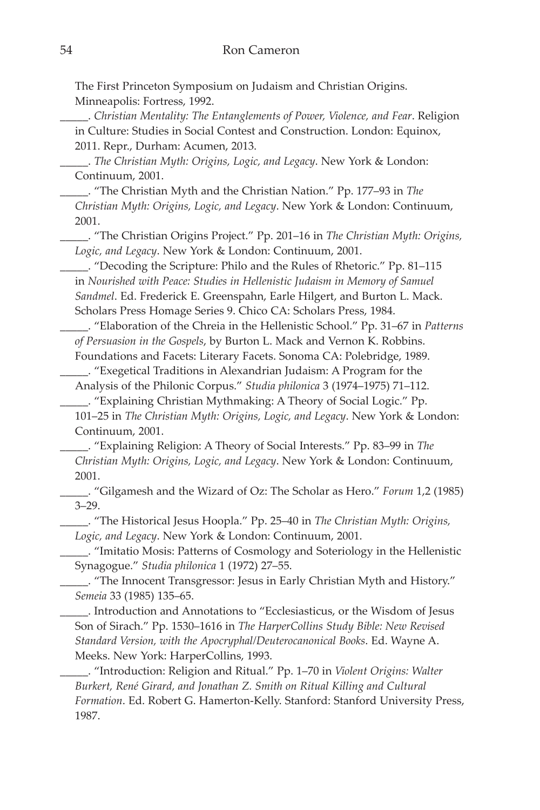The First Princeton Symposium on Judaism and Christian Origins. Minneapolis: Fortress, 1992.

\_\_\_\_\_. *Christian Mentality: The Entanglements of Power, Violence, and Fear*. Religion in Culture: Studies in Social Contest and Construction. London: Equinox, 2011. Repr., Durham: Acumen, 2013.

\_\_\_\_\_. *The Christian Myth: Origins, Logic, and Legacy*. New York & London: Continuum, 2001.

\_\_\_\_\_. "The Christian Myth and the Christian Nation." Pp. 177–93 in *The Christian Myth: Origins, Logic, and Legacy*. New York & London: Continuum, 2001.

\_\_\_\_\_. "The Christian Origins Project." Pp. 201–16 in *The Christian Myth: Origins, Logic, and Legacy*. New York & London: Continuum, 2001.

\_\_\_\_\_. "Decoding the Scripture: Philo and the Rules of Rhetoric." Pp. 81–115 in *Nourished with Peace: Studies in Hellenistic Judaism in Memory of Samuel Sandmel*. Ed. Frederick E. Greenspahn, Earle Hilgert, and Burton L. Mack. Scholars Press Homage Series 9. Chico CA: Scholars Press, 1984.

\_\_\_\_\_. "Elaboration of the Chreia in the Hellenistic School." Pp. 31–67 in *Patterns of Persuasion in the Gospels*, by Burton L. Mack and Vernon K. Robbins. Foundations and Facets: Literary Facets. Sonoma CA: Polebridge, 1989.

\_\_\_\_\_. "Exegetical Traditions in Alexandrian Judaism: A Program for the Analysis of the Philonic Corpus." *Studia philonica* 3 (1974–1975) 71–112.

\_\_\_\_\_. "Explaining Christian Mythmaking: A Theory of Social Logic." Pp.

101–25 in *The Christian Myth: Origins, Logic, and Legacy*. New York & London: Continuum, 2001.

\_\_\_\_\_. "Explaining Religion: A Theory of Social Interests." Pp. 83–99 in *The Christian Myth: Origins, Logic, and Legacy*. New York & London: Continuum, 2001.

\_\_\_\_\_. "Gilgamesh and the Wizard of Oz: The Scholar as Hero." *Forum* 1,2 (1985) 3–29.

\_\_\_\_\_. "The Historical Jesus Hoopla." Pp. 25–40 in *The Christian Myth: Origins, Logic, and Legacy*. New York & London: Continuum, 2001.

\_\_\_\_\_. "Imitatio Mosis: Patterns of Cosmology and Soteriology in the Hellenistic Synagogue." *Studia philonica* 1 (1972) 27–55.

\_\_\_\_\_. "The Innocent Transgressor: Jesus in Early Christian Myth and History." *Semeia* 33 (1985) 135–65.

\_\_\_\_\_. Introduction and Annotations to "Ecclesiasticus, or the Wisdom of Jesus Son of Sirach." Pp. 1530–1616 in *The HarperCollins Study Bible: New Revised Standard Version, with the Apocryphal/Deuterocanonical Books*. Ed. Wayne A. Meeks. New York: HarperCollins, 1993.

\_\_\_\_\_. "Introduction: Religion and Ritual." Pp. 1–70 in *Violent Origins: Walter*  Burkert, René Girard, and Jonathan Z. Smith on Ritual Killing and Cultural *Formation*. Ed. Robert G. Hamerton-Kelly. Stanford: Stanford University Press, 1987.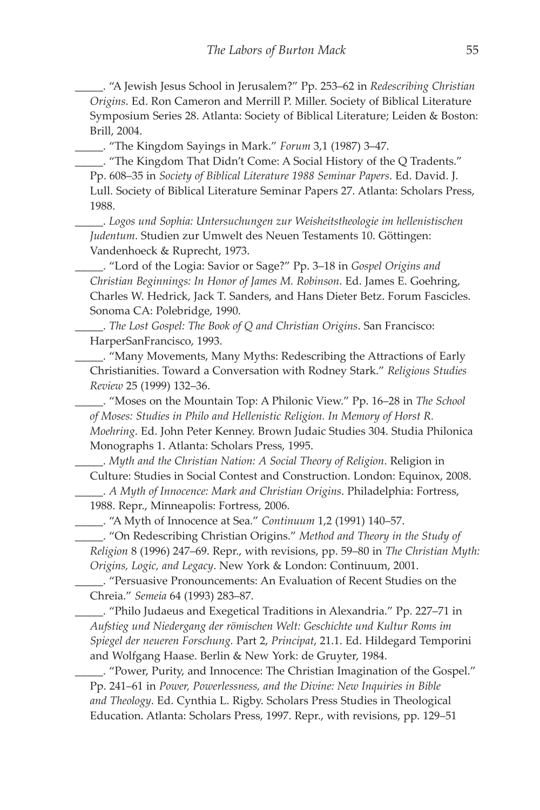\_\_\_\_\_. "A Jewish Jesus School in Jerusalem?" Pp. 253–62 in *Redescribing Christian Origins*. Ed. Ron Cameron and Merrill P. Miller. Society of Biblical Literature Symposium Series 28. Atlanta: Society of Biblical Literature; Leiden & Boston: Brill, 2004.

\_\_\_\_\_. "The Kingdom Sayings in Mark." *Forum* 3,1 (1987) 3–47.

\_\_\_\_\_. "The Kingdom That Didn't Come: A Social History of the Q Tradents." Pp. 608–35 in *Society of Biblical Literature 1988 Seminar Papers*. Ed. David. J. Lull. Society of Biblical Literature Seminar Papers 27. Atlanta: Scholars Press, 1988.

\_\_\_\_\_. *Logos und Sophia: Untersuchungen zur Weisheitstheologie im hellenistischen Judentum*. Studien zur Umwelt des Neuen Testaments 10. Göttingen: Vandenhoeck & Ruprecht, 1973.

\_\_\_\_\_. "Lord of the Logia: Savior or Sage?" Pp. 3–18 in *Gospel Origins and Christian Beginnings: In Honor of James M. Robinson*. Ed. James E. Goehring, Charles W. Hedrick, Jack T. Sanders, and Hans Dieter Betz. Forum Fascicles. Sonoma CA: Polebridge, 1990.

\_\_\_\_\_. *The Lost Gospel: The Book of Q and Christian Origins*. San Francisco: HarperSanFrancisco, 1993.

\_\_\_\_\_. "Many Movements, Many Myths: Redescribing the Attractions of Early Christianities. Toward a Conversation with Rodney Stark." *Religious Studies Review* 25 (1999) 132–36.

\_\_\_\_\_. "Moses on the Mountain Top: A Philonic View." Pp. 16–28 in *The School of Moses: Studies in Philo and Hellenistic Religion. In Memory of Horst R. Moehring*. Ed. John Peter Kenney. Brown Judaic Studies 304. Studia Philonica Monographs 1. Atlanta: Scholars Press, 1995.

\_\_\_\_\_. *Myth and the Christian Nation: A Social Theory of Religion*. Religion in Culture: Studies in Social Contest and Construction. London: Equinox, 2008. \_\_\_\_\_. *A Myth of Innocence: Mark and Christian Origins*. Philadelphia: Fortress,

1988. Repr., Minneapolis: Fortress, 2006.

\_\_\_\_\_. "A Myth of Innocence at Sea." *Continuum* 1,2 (1991) 140–57.

\_\_\_\_\_. "On Redescribing Christian Origins." *Method and Theory in the Study of Religion* 8 (1996) 247–69. Repr., with revisions, pp. 59–80 in *The Christian Myth: Origins, Logic, and Legacy*. New York & London: Continuum, 2001.

\_\_\_\_\_. "Persuasive Pronouncements: An Evaluation of Recent Studies on the Chreia." *Semeia* 64 (1993) 283–87.

\_\_\_\_\_. "Philo Judaeus and Exegetical Traditions in Alexandria." Pp. 227–71 in *Aufstieg und Niedergang der römischen Welt: Geschichte und Kultur Roms im Spiegel der neueren Forschung.* Part 2, *Principat*, 21.1. Ed. Hildegard Temporini and Wolfgang Haase. Berlin & New York: de Gruyter, 1984.

\_\_\_\_\_. "Power, Purity, and Innocence: The Christian Imagination of the Gospel." Pp. 241–61 in *Power, Powerlessness, and the Divine: New Inquiries in Bible and Theology*. Ed. Cynthia L. Rigby. Scholars Press Studies in Theological Education. Atlanta: Scholars Press, 1997. Repr., with revisions, pp. 129–51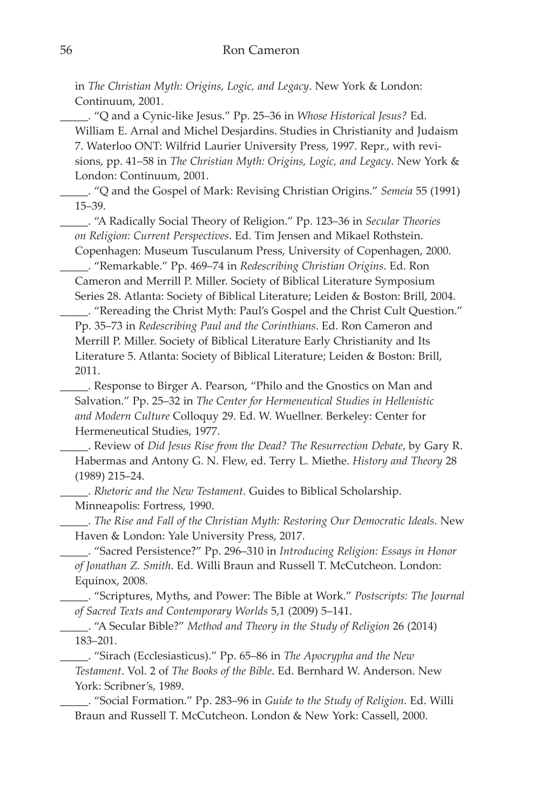in *The Christian Myth: Origins, Logic, and Legacy*. New York & London: Continuum, 2001.

\_\_\_\_\_. "Q and a Cynic-like Jesus." Pp. 25–36 in *Whose Historical Jesus?* Ed. William E. Arnal and Michel Desjardins. Studies in Christianity and Judaism 7. Waterloo ONT: Wilfrid Laurier University Press, 1997. Repr., with revisions, pp. 41–58 in *The Christian Myth: Origins, Logic, and Legacy*. New York & London: Continuum, 2001.

\_\_\_\_\_. "Q and the Gospel of Mark: Revising Christian Origins." *Semeia* 55 (1991) 15–39.

\_\_\_\_\_. "A Radically Social Theory of Religion." Pp. 123–36 in *Secular Theories on Religion: Current Perspectives*. Ed. Tim Jensen and Mikael Rothstein. Copenhagen: Museum Tusculanum Press, University of Copenhagen, 2000.

\_\_\_\_\_. "Remarkable." Pp. 469–74 in *Redescribing Christian Origins*. Ed. Ron Cameron and Merrill P. Miller. Society of Biblical Literature Symposium Series 28. Atlanta: Society of Biblical Literature; Leiden & Boston: Brill, 2004.

\_\_\_\_\_. "Rereading the Christ Myth: Paul's Gospel and the Christ Cult Question." Pp. 35–73 in *Redescribing Paul and the Corinthians*. Ed. Ron Cameron and Merrill P. Miller. Society of Biblical Literature Early Christianity and Its Literature 5. Atlanta: Society of Biblical Literature; Leiden & Boston: Brill, 2011.

\_\_\_\_\_. Response to Birger A. Pearson, "Philo and the Gnostics on Man and Salvation." Pp. 25–32 in *The Center for Hermeneutical Studies in Hellenistic and Modern Culture* Colloquy 29. Ed. W. Wuellner. Berkeley: Center for Hermeneutical Studies, 1977.

\_\_\_\_\_. Review of *Did Jesus Rise from the Dead? The Resurrection Debate*, by Gary R. Habermas and Antony G. N. Flew, ed. Terry L. Miethe. *History and Theory* 28 (1989) 215–24.

\_\_\_\_\_. *Rhetoric and the New Testament*. Guides to Biblical Scholarship. Minneapolis: Fortress, 1990.

\_\_\_\_\_. *The Rise and Fall of the Christian Myth: Restoring Our Democratic Ideals*. New Haven & London: Yale University Press, 2017.

\_\_\_\_\_. "Sacred Persistence?" Pp. 296–310 in *Introducing Religion: Essays in Honor of Jonathan Z. Smith*. Ed. Willi Braun and Russell T. McCutcheon. London: Equinox, 2008.

\_\_\_\_\_. "Scriptures, Myths, and Power: The Bible at Work." *Postscripts: The Journal of Sacred Texts and Contemporary Worlds* 5,1 (2009) 5–141.

\_\_\_\_\_. "A Secular Bible?" *Method and Theory in the Study of Religion* 26 (2014) 183–201.

\_\_\_\_\_. "Sirach (Ecclesiasticus)." Pp. 65–86 in *The Apocrypha and the New Testament*. Vol. 2 of *The Books of the Bible*. Ed. Bernhard W. Anderson. New York: Scribner's, 1989.

\_\_\_\_\_. "Social Formation." Pp. 283–96 in *Guide to the Study of Religion*. Ed. Willi Braun and Russell T. McCutcheon. London & New York: Cassell, 2000.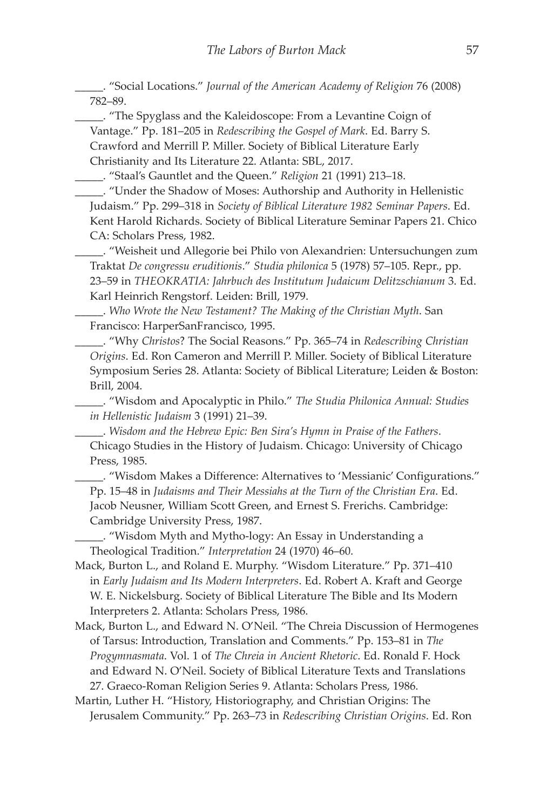\_\_\_\_\_. "Social Locations." *Journal of the American Academy of Religion* 76 (2008) 782–89.

\_\_\_\_\_. "The Spyglass and the Kaleidoscope: From a Levantine Coign of Vantage." Pp. 181–205 in *Redescribing the Gospel of Mark*. Ed. Barry S. Crawford and Merrill P. Miller. Society of Biblical Literature Early Christianity and Its Literature 22. Atlanta: SBL, 2017.

\_\_\_\_\_. "Staal's Gauntlet and the Queen." *Religion* 21 (1991) 213–18.

\_\_\_\_\_. "Under the Shadow of Moses: Authorship and Authority in Hellenistic Judaism." Pp. 299–318 in *Society of Biblical Literature 1982 Seminar Papers*. Ed. Kent Harold Richards. Society of Biblical Literature Seminar Papers 21. Chico CA: Scholars Press, 1982.

\_\_\_\_\_. "Weisheit und Allegorie bei Philo von Alexandrien: Untersuchungen zum Traktat *De congressu eruditionis*." *Studia philonica* 5 (1978) 57–105. Repr., pp. 23–59 in *THEOKRATIA: Jahrbuch des Institutum Judaicum Delitzschianum* 3. Ed. Karl Heinrich Rengstorf. Leiden: Brill, 1979.

\_\_\_\_\_. *Who Wrote the New Testament? The Making of the Christian Myth*. San Francisco: HarperSanFrancisco, 1995.

\_\_\_\_\_. "Why *Christos*? The Social Reasons." Pp. 365–74 in *Redescribing Christian Origins*. Ed. Ron Cameron and Merrill P. Miller. Society of Biblical Literature Symposium Series 28. Atlanta: Society of Biblical Literature; Leiden & Boston: Brill, 2004.

\_\_\_\_\_. "Wisdom and Apocalyptic in Philo." *The Studia Philonica Annual: Studies in Hellenistic Judaism* 3 (1991) 21–39.

\_\_\_\_\_. *Wisdom and the Hebrew Epic: Ben Sira's Hymn in Praise of the Fathers*. Chicago Studies in the History of Judaism. Chicago: University of Chicago Press, 1985.

\_\_\_\_\_. "Wisdom Makes a Difference: Alternatives to 'Messianic' Configurations." Pp. 15–48 in *Judaisms and Their Messiahs at the Turn of the Christian Era*. Ed. Jacob Neusner, William Scott Green, and Ernest S. Frerichs. Cambridge: Cambridge University Press, 1987.

\_\_\_\_\_. "Wisdom Myth and Mytho-logy: An Essay in Understanding a Theological Tradition." *Interpretation* 24 (1970) 46–60.

- Mack, Burton L., and Roland E. Murphy. "Wisdom Literature." Pp. 371–410 in *Early Judaism and Its Modern Interpreters*. Ed. Robert A. Kraft and George W. E. Nickelsburg. Society of Biblical Literature The Bible and Its Modern Interpreters 2. Atlanta: Scholars Press, 1986.
- Mack, Burton L., and Edward N. O'Neil. "The Chreia Discussion of Hermogenes of Tarsus: Introduction, Translation and Comments." Pp. 153–81 in *The Progymnasmata*. Vol. 1 of *The Chreia in Ancient Rhetoric*. Ed. Ronald F. Hock and Edward N. O'Neil. Society of Biblical Literature Texts and Translations 27. Graeco-Roman Religion Series 9. Atlanta: Scholars Press, 1986.

Martin, Luther H. "History, Historiography, and Christian Origins: The Jerusalem Community." Pp. 263–73 in *Redescribing Christian Origins*. Ed. Ron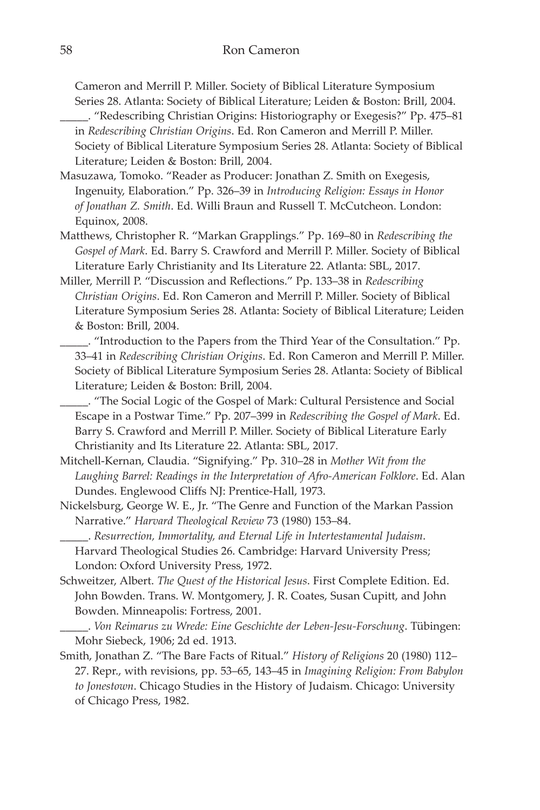Cameron and Merrill P. Miller. Society of Biblical Literature Symposium Series 28. Atlanta: Society of Biblical Literature; Leiden & Boston: Brill, 2004.

\_\_\_\_\_. "Redescribing Christian Origins: Historiography or Exegesis?" Pp. 475–81 in *Redescribing Christian Origins*. Ed. Ron Cameron and Merrill P. Miller. Society of Biblical Literature Symposium Series 28. Atlanta: Society of Biblical Literature; Leiden & Boston: Brill, 2004.

Masuzawa, Tomoko. "Reader as Producer: Jonathan Z. Smith on Exegesis, Ingenuity, Elaboration." Pp. 326–39 in *Introducing Religion: Essays in Honor of Jonathan Z. Smith*. Ed. Willi Braun and Russell T. McCutcheon. London: Equinox, 2008.

Matthews, Christopher R. "Markan Grapplings." Pp. 169–80 in *Redescribing the Gospel of Mark*. Ed. Barry S. Crawford and Merrill P. Miller. Society of Biblical Literature Early Christianity and Its Literature 22. Atlanta: SBL, 2017.

Miller, Merrill P. "Discussion and Reflections." Pp. 133–38 in *Redescribing Christian Origins*. Ed. Ron Cameron and Merrill P. Miller. Society of Biblical Literature Symposium Series 28. Atlanta: Society of Biblical Literature; Leiden & Boston: Brill, 2004.

\_\_\_\_\_. "Introduction to the Papers from the Third Year of the Consultation." Pp. 33–41 in *Redescribing Christian Origins*. Ed. Ron Cameron and Merrill P. Miller. Society of Biblical Literature Symposium Series 28. Atlanta: Society of Biblical Literature; Leiden & Boston: Brill, 2004.

\_\_\_\_\_. "The Social Logic of the Gospel of Mark: Cultural Persistence and Social Escape in a Postwar Time." Pp. 207–399 in *Redescribing the Gospel of Mark*. Ed. Barry S. Crawford and Merrill P. Miller. Society of Biblical Literature Early Christianity and Its Literature 22. Atlanta: SBL, 2017.

Mitchell-Kernan, Claudia. "Signifying." Pp. 310–28 in *Mother Wit from the Laughing Barrel: Readings in the Interpretation of Afro-American Folklore*. Ed. Alan Dundes. Englewood Cliffs NJ: Prentice-Hall, 1973.

Nickelsburg, George W. E., Jr. "The Genre and Function of the Markan Passion Narrative." *Harvard Theological Review* 73 (1980) 153–84.

- \_\_\_\_\_. *Resurrection, Immortality, and Eternal Life in Intertestamental Judaism*. Harvard Theological Studies 26. Cambridge: Harvard University Press; London: Oxford University Press, 1972.
- Schweitzer, Albert. *The Quest of the Historical Jesus*. First Complete Edition. Ed. John Bowden. Trans. W. Montgomery, J. R. Coates, Susan Cupitt, and John Bowden. Minneapolis: Fortress, 2001.

\_\_\_\_\_. *Von Reimarus zu Wrede: Eine Geschichte der Leben-Jesu-Forschung*. Tübingen: Mohr Siebeck, 1906; 2d ed. 1913.

Smith, Jonathan Z. "The Bare Facts of Ritual." *History of Religions* 20 (1980) 112– 27. Repr., with revisions, pp. 53–65, 143–45 in *Imagining Religion: From Babylon to Jonestown*. Chicago Studies in the History of Judaism. Chicago: University of Chicago Press, 1982.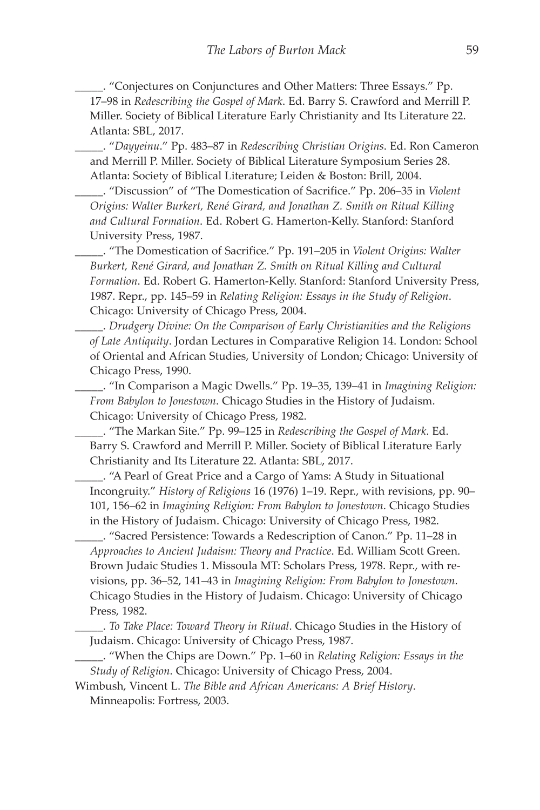\_\_\_\_\_. "Conjectures on Conjunctures and Other Matters: Three Essays." Pp. 17–98 in *Redescribing the Gospel of Mark*. Ed. Barry S. Crawford and Merrill P. Miller. Society of Biblical Literature Early Christianity and Its Literature 22. Atlanta: SBL, 2017.

\_\_\_\_\_. "*Dayyeinu*." Pp. 483–87 in *Redescribing Christian Origins*. Ed. Ron Cameron and Merrill P. Miller. Society of Biblical Literature Symposium Series 28. Atlanta: Society of Biblical Literature; Leiden & Boston: Brill, 2004.

\_\_\_\_\_. "Discussion" of "The Domestication of Sacrifice." Pp. 206–35 in *Violent Origins: Walter Burkert, René Girard, and Jonathan Z. Smith on Ritual Killing and Cultural Formation*. Ed. Robert G. Hamerton-Kelly. Stanford: Stanford University Press, 1987.

\_\_\_\_\_. "The Domestication of Sacrifice." Pp. 191–205 in *Violent Origins: Walter Burkert, René Girard, and Jonathan Z. Smith on Ritual Killing and Cultural Formation*. Ed. Robert G. Hamerton-Kelly. Stanford: Stanford University Press, 1987. Repr., pp. 145–59 in *Relating Religion: Essays in the Study of Religion*. Chicago: University of Chicago Press, 2004.

\_\_\_\_\_. *Drudgery Divine: On the Comparison of Early Christianities and the Religions of Late Antiquity*. Jordan Lectures in Comparative Religion 14. London: School of Oriental and African Studies, University of London; Chicago: University of Chicago Press, 1990.

\_\_\_\_\_. "In Comparison a Magic Dwells." Pp. 19–35, 139–41 in *Imagining Religion: From Babylon to Jonestown*. Chicago Studies in the History of Judaism. Chicago: University of Chicago Press, 1982.

\_\_\_\_\_. "The Markan Site." Pp. 99–125 in *Redescribing the Gospel of Mark*. Ed. Barry S. Crawford and Merrill P. Miller. Society of Biblical Literature Early Christianity and Its Literature 22. Atlanta: SBL, 2017.

\_\_\_\_\_. "A Pearl of Great Price and a Cargo of Yams: A Study in Situational Incongruity." *History of Religions* 16 (1976) 1–19. Repr., with revisions, pp. 90– 101, 156–62 in *Imagining Religion: From Babylon to Jonestown*. Chicago Studies in the History of Judaism. Chicago: University of Chicago Press, 1982.

\_\_\_\_\_. "Sacred Persistence: Towards a Redescription of Canon." Pp. 11–28 in *Approaches to Ancient Judaism: Theory and Practice*. Ed. William Scott Green. Brown Judaic Studies 1. Missoula MT: Scholars Press, 1978. Repr., with revisions, pp. 36–52, 141–43 in *Imagining Religion: From Babylon to Jonestown*. Chicago Studies in the History of Judaism. Chicago: University of Chicago Press, 1982.

\_\_\_\_\_. *To Take Place: Toward Theory in Ritual*. Chicago Studies in the History of Judaism. Chicago: University of Chicago Press, 1987.

\_\_\_\_\_. "When the Chips are Down." Pp. 1–60 in *Relating Religion: Essays in the Study of Religion*. Chicago: University of Chicago Press, 2004.

Wimbush, Vincent L. *The Bible and African Americans: A Brief History*. Minneapolis: Fortress, 2003.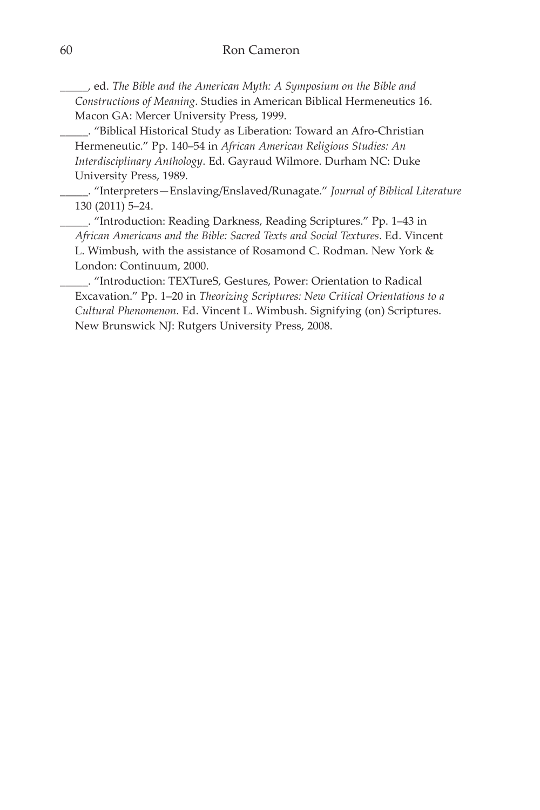\_\_\_\_\_, ed. *The Bible and the American Myth: A Symposium on the Bible and Constructions of Meaning*. Studies in American Biblical Hermeneutics 16. Macon GA: Mercer University Press, 1999.

\_\_\_\_\_. "Biblical Historical Study as Liberation: Toward an Afro-Christian Hermeneutic." Pp. 140–54 in *African American Religious Studies: An Interdisciplinary Anthology*. Ed. Gayraud Wilmore. Durham NC: Duke University Press, 1989.

\_\_\_\_\_. "Interpreters—Enslaving/Enslaved/Runagate." *Journal of Biblical Literature* 130 (2011) 5–24.

\_\_\_\_\_. "Introduction: Reading Darkness, Reading Scriptures." Pp. 1–43 in *African Americans and the Bible: Sacred Texts and Social Textures*. Ed. Vincent L. Wimbush, with the assistance of Rosamond C. Rodman. New York & London: Continuum, 2000.

\_\_\_\_\_. "Introduction: TEXTureS, Gestures, Power: Orientation to Radical Excavation." Pp. 1–20 in *Theorizing Scriptures: New Critical Orientations to a Cultural Phenomenon*. Ed. Vincent L. Wimbush. Signifying (on) Scriptures. New Brunswick NJ: Rutgers University Press, 2008.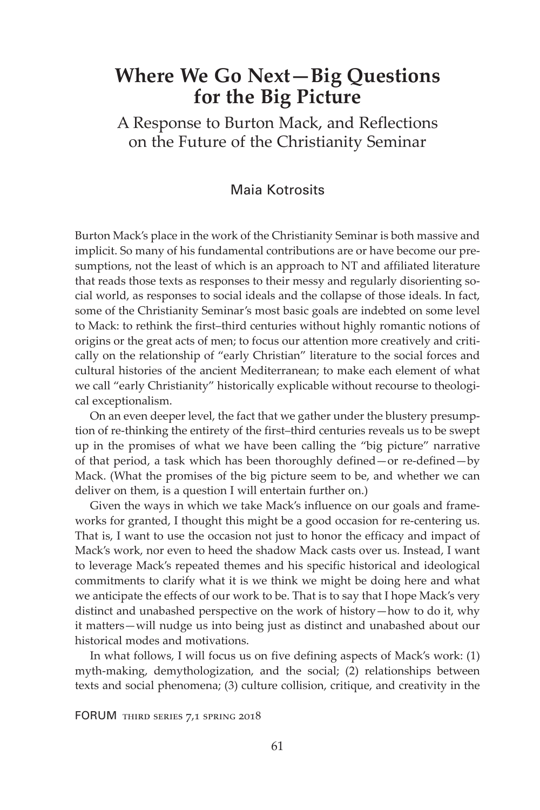## **Where We Go Next—Big Questions for the Big Picture**

## A Response to Burton Mack, and Reflections on the Future of the Christianity Seminar

## Maia Kotrosits

Burton Mack's place in the work of the Christianity Seminar is both massive and implicit. So many of his fundamental contributions are or have become our presumptions, not the least of which is an approach to NT and affiliated literature that reads those texts as responses to their messy and regularly disorienting social world, as responses to social ideals and the collapse of those ideals. In fact, some of the Christianity Seminar's most basic goals are indebted on some level to Mack: to rethink the first–third centuries without highly romantic notions of origins or the great acts of men; to focus our attention more creatively and critically on the relationship of "early Christian" literature to the social forces and cultural histories of the ancient Mediterranean; to make each element of what we call "early Christianity" historically explicable without recourse to theological exceptionalism.

On an even deeper level, the fact that we gather under the blustery presumption of re-thinking the entirety of the first–third centuries reveals us to be swept up in the promises of what we have been calling the "big picture" narrative of that period, a task which has been thoroughly defined—or re-defined—by Mack. (What the promises of the big picture seem to be, and whether we can deliver on them, is a question I will entertain further on.)

Given the ways in which we take Mack's influence on our goals and frameworks for granted, I thought this might be a good occasion for re-centering us. That is, I want to use the occasion not just to honor the efficacy and impact of Mack's work, nor even to heed the shadow Mack casts over us. Instead, I want to leverage Mack's repeated themes and his specific historical and ideological commitments to clarify what it is we think we might be doing here and what we anticipate the effects of our work to be. That is to say that I hope Mack's very distinct and unabashed perspective on the work of history—how to do it, why it matters—will nudge us into being just as distinct and unabashed about our historical modes and motivations.

In what follows, I will focus us on five defining aspects of Mack's work: (1) myth-making, demythologization, and the social; (2) relationships between texts and social phenomena; (3) culture collision, critique, and creativity in the

FORUM third series 7,1 spring 2018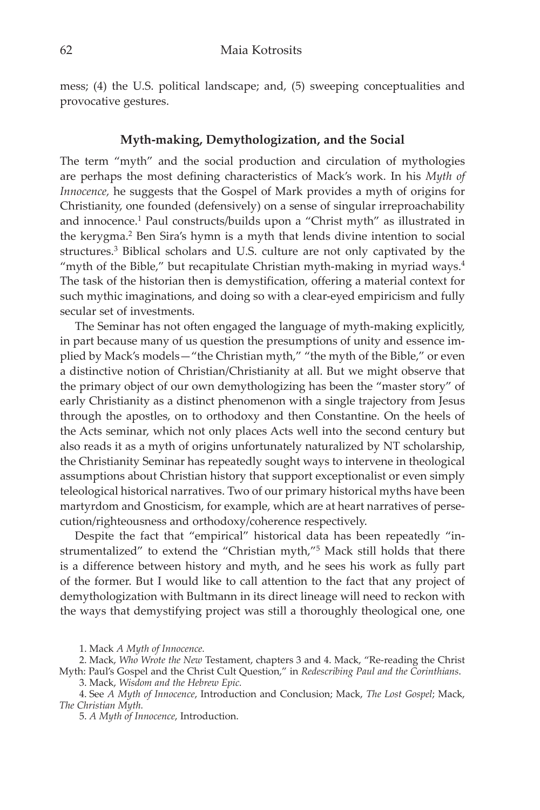mess; (4) the U.S. political landscape; and, (5) sweeping conceptualities and provocative gestures.

#### **Myth-making, Demythologization, and the Social**

The term "myth" and the social production and circulation of mythologies are perhaps the most defining characteristics of Mack's work. In his *Myth of Innocence,* he suggests that the Gospel of Mark provides a myth of origins for Christianity, one founded (defensively) on a sense of singular irreproachability and innocence.1 Paul constructs/builds upon a "Christ myth" as illustrated in the kerygma.<sup>2</sup> Ben Sira's hymn is a myth that lends divine intention to social structures.3 Biblical scholars and U.S. culture are not only captivated by the "myth of the Bible," but recapitulate Christian myth-making in myriad ways. $4$ The task of the historian then is demystification, offering a material context for such mythic imaginations, and doing so with a clear-eyed empiricism and fully secular set of investments.

The Seminar has not often engaged the language of myth-making explicitly, in part because many of us question the presumptions of unity and essence implied by Mack's models—"the Christian myth," "the myth of the Bible," or even a distinctive notion of Christian/Christianity at all. But we might observe that the primary object of our own demythologizing has been the "master story" of early Christianity as a distinct phenomenon with a single trajectory from Jesus through the apostles, on to orthodoxy and then Constantine. On the heels of the Acts seminar, which not only places Acts well into the second century but also reads it as a myth of origins unfortunately naturalized by NT scholarship, the Christianity Seminar has repeatedly sought ways to intervene in theological assumptions about Christian history that support exceptionalist or even simply teleological historical narratives. Two of our primary historical myths have been martyrdom and Gnosticism, for example, which are at heart narratives of persecution/righteousness and orthodoxy/coherence respectively.

Despite the fact that "empirical" historical data has been repeatedly "instrumentalized" to extend the "Christian myth,"<sup>5</sup> Mack still holds that there is a difference between history and myth, and he sees his work as fully part of the former. But I would like to call attention to the fact that any project of demythologization with Bultmann in its direct lineage will need to reckon with the ways that demystifying project was still a thoroughly theological one, one

1. Mack *A Myth of Innocence.*

 <sup>2.</sup> Mack, *Who Wrote the New* Testament, chapters 3 and 4. Mack, "Re-reading the Christ Myth: Paul's Gospel and the Christ Cult Question," in *Redescribing Paul and the Corinthians*.

 <sup>3.</sup> Mack, *Wisdom and the Hebrew Epic.*

 <sup>4.</sup> See *A Myth of Innocence*, Introduction and Conclusion; Mack, *The Lost Gospel*; Mack, *The Christian Myth.*

 <sup>5.</sup> *A Myth of Innocence*, Introduction.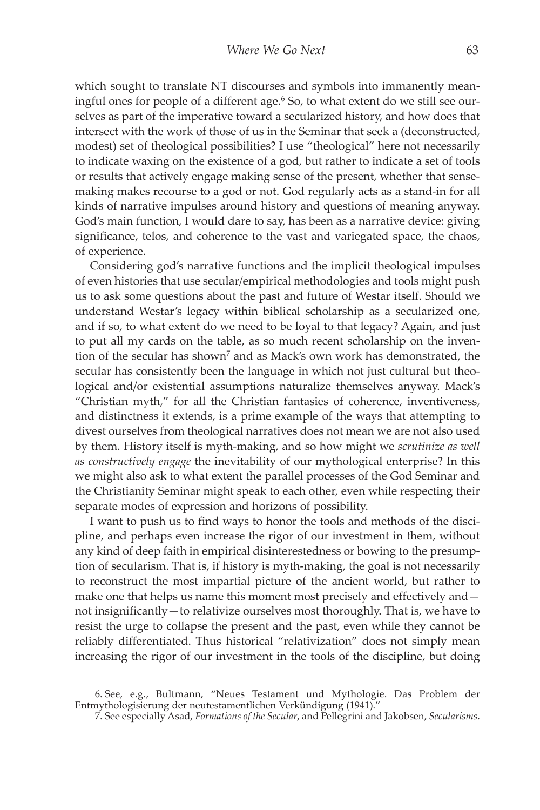which sought to translate NT discourses and symbols into immanently meaningful ones for people of a different age.6 So, to what extent do we still see ourselves as part of the imperative toward a secularized history, and how does that intersect with the work of those of us in the Seminar that seek a (deconstructed, modest) set of theological possibilities? I use "theological" here not necessarily to indicate waxing on the existence of a god, but rather to indicate a set of tools or results that actively engage making sense of the present, whether that sensemaking makes recourse to a god or not. God regularly acts as a stand-in for all kinds of narrative impulses around history and questions of meaning anyway. God's main function, I would dare to say, has been as a narrative device: giving significance, telos, and coherence to the vast and variegated space, the chaos, of experience.

Considering god's narrative functions and the implicit theological impulses of even histories that use secular/empirical methodologies and tools might push us to ask some questions about the past and future of Westar itself. Should we understand Westar's legacy within biblical scholarship as a secularized one, and if so, to what extent do we need to be loyal to that legacy? Again, and just to put all my cards on the table, as so much recent scholarship on the invention of the secular has shown<sup>7</sup> and as Mack's own work has demonstrated, the secular has consistently been the language in which not just cultural but theological and/or existential assumptions naturalize themselves anyway. Mack's "Christian myth," for all the Christian fantasies of coherence, inventiveness, and distinctness it extends, is a prime example of the ways that attempting to divest ourselves from theological narratives does not mean we are not also used by them. History itself is myth-making, and so how might we *scrutinize as well as constructively engage* the inevitability of our mythological enterprise? In this we might also ask to what extent the parallel processes of the God Seminar and the Christianity Seminar might speak to each other, even while respecting their separate modes of expression and horizons of possibility.

I want to push us to find ways to honor the tools and methods of the discipline, and perhaps even increase the rigor of our investment in them, without any kind of deep faith in empirical disinterestedness or bowing to the presumption of secularism. That is, if history is myth-making, the goal is not necessarily to reconstruct the most impartial picture of the ancient world, but rather to make one that helps us name this moment most precisely and effectively and not insignificantly—to relativize ourselves most thoroughly. That is, we have to resist the urge to collapse the present and the past, even while they cannot be reliably differentiated. Thus historical "relativization" does not simply mean increasing the rigor of our investment in the tools of the discipline, but doing

<sup>6.</sup> See, e.g., Bultmann, "Neues Testament und Mythologie. Das Problem der Entmythologisierung der neutestamentlichen Verkündigung (1941)."

<sup>7.</sup> See especially Asad, *Formations of the Secular*, and Pellegrini and Jakobsen, *Secularisms*.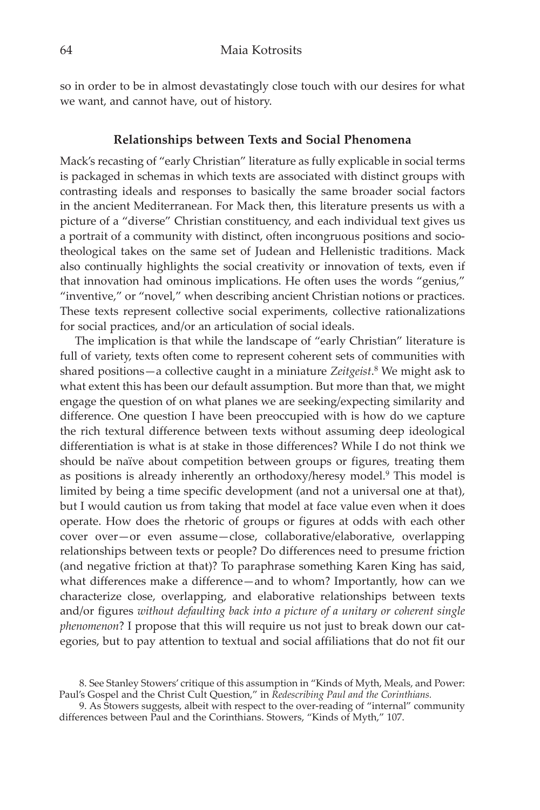so in order to be in almost devastatingly close touch with our desires for what we want, and cannot have, out of history.

#### **Relationships between Texts and Social Phenomena**

Mack's recasting of "early Christian" literature as fully explicable in social terms is packaged in schemas in which texts are associated with distinct groups with contrasting ideals and responses to basically the same broader social factors in the ancient Mediterranean. For Mack then, this literature presents us with a picture of a "diverse" Christian constituency, and each individual text gives us a portrait of a community with distinct, often incongruous positions and sociotheological takes on the same set of Judean and Hellenistic traditions. Mack also continually highlights the social creativity or innovation of texts, even if that innovation had ominous implications. He often uses the words "genius," "inventive," or "novel," when describing ancient Christian notions or practices. These texts represent collective social experiments, collective rationalizations for social practices, and/or an articulation of social ideals.

The implication is that while the landscape of "early Christian" literature is full of variety, texts often come to represent coherent sets of communities with shared positions—a collective caught in a miniature *Zeitgeist*. 8 We might ask to what extent this has been our default assumption. But more than that, we might engage the question of on what planes we are seeking/expecting similarity and difference. One question I have been preoccupied with is how do we capture the rich textural difference between texts without assuming deep ideological differentiation is what is at stake in those differences? While I do not think we should be naïve about competition between groups or figures, treating them as positions is already inherently an orthodoxy/heresy model.<sup>9</sup> This model is limited by being a time specific development (and not a universal one at that), but I would caution us from taking that model at face value even when it does operate. How does the rhetoric of groups or figures at odds with each other cover over—or even assume—close, collaborative/elaborative, overlapping relationships between texts or people? Do differences need to presume friction (and negative friction at that)? To paraphrase something Karen King has said, what differences make a difference—and to whom? Importantly, how can we characterize close, overlapping, and elaborative relationships between texts and/or figures *without defaulting back into a picture of a unitary or coherent single phenomenon*? I propose that this will require us not just to break down our categories, but to pay attention to textual and social affiliations that do not fit our

 <sup>8.</sup> See Stanley Stowers' critique of this assumption in "Kinds of Myth, Meals, and Power: Paul's Gospel and the Christ Cult Question," in *Redescribing Paul and the Corinthians.* 

 <sup>9.</sup> As Stowers suggests, albeit with respect to the over-reading of "internal" community differences between Paul and the Corinthians. Stowers, "Kinds of Myth," 107.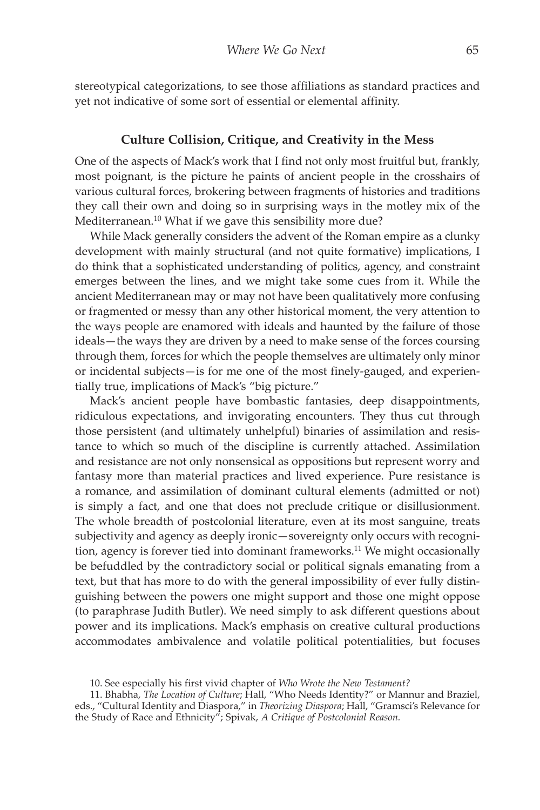stereotypical categorizations, to see those affiliations as standard practices and yet not indicative of some sort of essential or elemental affinity.

#### **Culture Collision, Critique, and Creativity in the Mess**

One of the aspects of Mack's work that I find not only most fruitful but, frankly, most poignant, is the picture he paints of ancient people in the crosshairs of various cultural forces, brokering between fragments of histories and traditions they call their own and doing so in surprising ways in the motley mix of the Mediterranean.<sup>10</sup> What if we gave this sensibility more due?

While Mack generally considers the advent of the Roman empire as a clunky development with mainly structural (and not quite formative) implications, I do think that a sophisticated understanding of politics, agency, and constraint emerges between the lines, and we might take some cues from it. While the ancient Mediterranean may or may not have been qualitatively more confusing or fragmented or messy than any other historical moment, the very attention to the ways people are enamored with ideals and haunted by the failure of those ideals—the ways they are driven by a need to make sense of the forces coursing through them, forces for which the people themselves are ultimately only minor or incidental subjects—is for me one of the most finely-gauged, and experientially true, implications of Mack's "big picture."

Mack's ancient people have bombastic fantasies, deep disappointments, ridiculous expectations, and invigorating encounters. They thus cut through those persistent (and ultimately unhelpful) binaries of assimilation and resistance to which so much of the discipline is currently attached. Assimilation and resistance are not only nonsensical as oppositions but represent worry and fantasy more than material practices and lived experience. Pure resistance is a romance, and assimilation of dominant cultural elements (admitted or not) is simply a fact, and one that does not preclude critique or disillusionment. The whole breadth of postcolonial literature, even at its most sanguine, treats subjectivity and agency as deeply ironic—sovereignty only occurs with recognition, agency is forever tied into dominant frameworks.11 We might occasionally be befuddled by the contradictory social or political signals emanating from a text, but that has more to do with the general impossibility of ever fully distinguishing between the powers one might support and those one might oppose (to paraphrase Judith Butler). We need simply to ask different questions about power and its implications. Mack's emphasis on creative cultural productions accommodates ambivalence and volatile political potentialities, but focuses

<sup>10.</sup> See especially his first vivid chapter of *Who Wrote the New Testament?*

<sup>11.</sup> Bhabha, *The Location of Culture*; Hall, "Who Needs Identity?" or Mannur and Braziel, eds., "Cultural Identity and Diaspora," in *Theorizing Diaspora*; Hall, "Gramsci's Relevance for the Study of Race and Ethnicity"; Spivak, *A Critique of Postcolonial Reason.*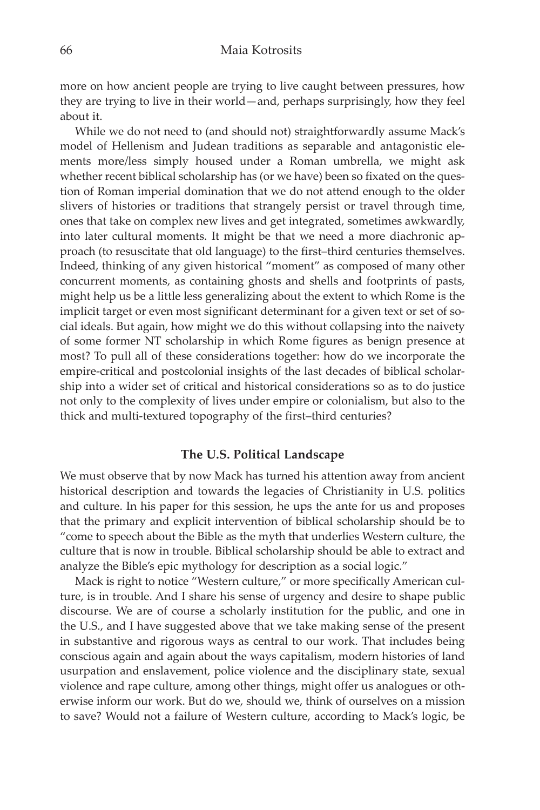more on how ancient people are trying to live caught between pressures, how they are trying to live in their world—and, perhaps surprisingly, how they feel about it.

While we do not need to (and should not) straightforwardly assume Mack's model of Hellenism and Judean traditions as separable and antagonistic elements more/less simply housed under a Roman umbrella, we might ask whether recent biblical scholarship has (or we have) been so fixated on the question of Roman imperial domination that we do not attend enough to the older slivers of histories or traditions that strangely persist or travel through time, ones that take on complex new lives and get integrated, sometimes awkwardly, into later cultural moments. It might be that we need a more diachronic approach (to resuscitate that old language) to the first–third centuries themselves. Indeed, thinking of any given historical "moment" as composed of many other concurrent moments, as containing ghosts and shells and footprints of pasts, might help us be a little less generalizing about the extent to which Rome is the implicit target or even most significant determinant for a given text or set of social ideals. But again, how might we do this without collapsing into the naivety of some former NT scholarship in which Rome figures as benign presence at most? To pull all of these considerations together: how do we incorporate the empire-critical and postcolonial insights of the last decades of biblical scholarship into a wider set of critical and historical considerations so as to do justice not only to the complexity of lives under empire or colonialism, but also to the thick and multi-textured topography of the first–third centuries?

#### **The U.S. Political Landscape**

We must observe that by now Mack has turned his attention away from ancient historical description and towards the legacies of Christianity in U.S. politics and culture. In his paper for this session, he ups the ante for us and proposes that the primary and explicit intervention of biblical scholarship should be to "come to speech about the Bible as the myth that underlies Western culture, the culture that is now in trouble. Biblical scholarship should be able to extract and analyze the Bible's epic mythology for description as a social logic."

Mack is right to notice "Western culture," or more specifically American culture, is in trouble. And I share his sense of urgency and desire to shape public discourse. We are of course a scholarly institution for the public, and one in the U.S., and I have suggested above that we take making sense of the present in substantive and rigorous ways as central to our work. That includes being conscious again and again about the ways capitalism, modern histories of land usurpation and enslavement, police violence and the disciplinary state, sexual violence and rape culture, among other things, might offer us analogues or otherwise inform our work. But do we, should we, think of ourselves on a mission to save? Would not a failure of Western culture, according to Mack's logic, be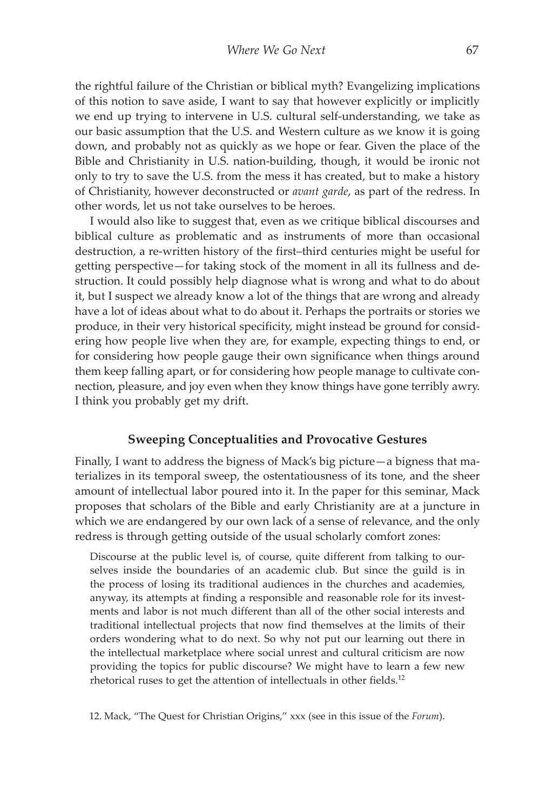the rightful failure of the Christian or biblical myth? Evangelizing implications of this notion to save aside, I want to say that however explicitly or implicitly we end up trying to intervene in U.S. cultural self-understanding, we take as our basic assumption that the U.S. and Western culture as we know it is going down, and probably not as quickly as we hope or fear. Given the place of the Bible and Christianity in U.S. nation-building, though, it would be ironic not only to try to save the U.S. from the mess it has created, but to make a history of Christianity, however deconstructed or *avant garde*, as part of the redress. In other words, let us not take ourselves to be heroes.

I would also like to suggest that, even as we critique biblical discourses and biblical culture as problematic and as instruments of more than occasional destruction, a re-written history of the first–third centuries might be useful for getting perspective—for taking stock of the moment in all its fullness and destruction. It could possibly help diagnose what is wrong and what to do about it, but I suspect we already know a lot of the things that are wrong and already have a lot of ideas about what to do about it. Perhaps the portraits or stories we produce, in their very historical specificity, might instead be ground for considering how people live when they are, for example, expecting things to end, or for considering how people gauge their own significance when things around them keep falling apart, or for considering how people manage to cultivate connection, pleasure, and joy even when they know things have gone terribly awry. I think you probably get my drift.

#### **Sweeping Conceptualities and Provocative Gestures**

Finally, I want to address the bigness of Mack's big picture—a bigness that materializes in its temporal sweep, the ostentatiousness of its tone, and the sheer amount of intellectual labor poured into it. In the paper for this seminar, Mack proposes that scholars of the Bible and early Christianity are at a juncture in which we are endangered by our own lack of a sense of relevance, and the only redress is through getting outside of the usual scholarly comfort zones:

Discourse at the public level is, of course, quite different from talking to ourselves inside the boundaries of an academic club. But since the guild is in the process of losing its traditional audiences in the churches and academies, anyway, its attempts at finding a responsible and reasonable role for its investments and labor is not much different than all of the other social interests and traditional intellectual projects that now find themselves at the limits of their orders wondering what to do next. So why not put our learning out there in the intellectual marketplace where social unrest and cultural criticism are now providing the topics for public discourse? We might have to learn a few new rhetorical ruses to get the attention of intellectuals in other fields.<sup>12</sup>

12. Mack, "The Quest for Christian Origins," xxx (see in this issue of the *Forum*).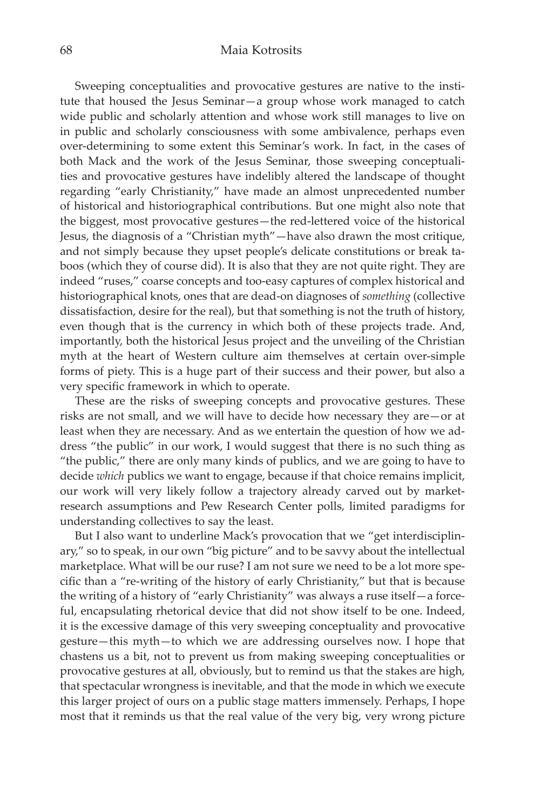#### 68 Maia Kotrosits

Sweeping conceptualities and provocative gestures are native to the institute that housed the Jesus Seminar—a group whose work managed to catch wide public and scholarly attention and whose work still manages to live on in public and scholarly consciousness with some ambivalence, perhaps even over-determining to some extent this Seminar's work. In fact, in the cases of both Mack and the work of the Jesus Seminar, those sweeping conceptualities and provocative gestures have indelibly altered the landscape of thought regarding "early Christianity," have made an almost unprecedented number of historical and historiographical contributions. But one might also note that the biggest, most provocative gestures—the red-lettered voice of the historical Jesus, the diagnosis of a "Christian myth"—have also drawn the most critique, and not simply because they upset people's delicate constitutions or break taboos (which they of course did). It is also that they are not quite right. They are indeed "ruses," coarse concepts and too-easy captures of complex historical and historiographical knots, ones that are dead-on diagnoses of *something* (collective dissatisfaction, desire for the real), but that something is not the truth of history, even though that is the currency in which both of these projects trade. And, importantly, both the historical Jesus project and the unveiling of the Christian myth at the heart of Western culture aim themselves at certain over-simple forms of piety. This is a huge part of their success and their power, but also a very specific framework in which to operate.

These are the risks of sweeping concepts and provocative gestures. These risks are not small, and we will have to decide how necessary they are—or at least when they are necessary. And as we entertain the question of how we address "the public" in our work, I would suggest that there is no such thing as "the public," there are only many kinds of publics, and we are going to have to decide *which* publics we want to engage, because if that choice remains implicit, our work will very likely follow a trajectory already carved out by marketresearch assumptions and Pew Research Center polls, limited paradigms for understanding collectives to say the least.

But I also want to underline Mack's provocation that we "get interdisciplinary," so to speak, in our own "big picture" and to be savvy about the intellectual marketplace. What will be our ruse? I am not sure we need to be a lot more specific than a "re-writing of the history of early Christianity," but that is because the writing of a history of "early Christianity" was always a ruse itself—a forceful, encapsulating rhetorical device that did not show itself to be one. Indeed, it is the excessive damage of this very sweeping conceptuality and provocative gesture—this myth—to which we are addressing ourselves now. I hope that chastens us a bit, not to prevent us from making sweeping conceptualities or provocative gestures at all, obviously, but to remind us that the stakes are high, that spectacular wrongness is inevitable, and that the mode in which we execute this larger project of ours on a public stage matters immensely. Perhaps, I hope most that it reminds us that the real value of the very big, very wrong picture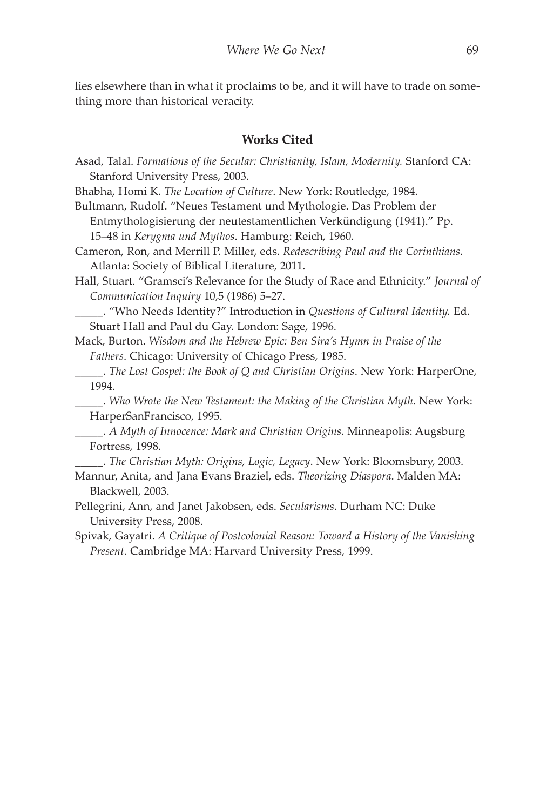lies elsewhere than in what it proclaims to be, and it will have to trade on something more than historical veracity.

### **Works Cited**

- Asad, Talal. *Formations of the Secular: Christianity, Islam, Modernity.* Stanford CA: Stanford University Press, 2003.
- Bhabha, Homi K. *The Location of Culture*. New York: Routledge, 1984.
- Bultmann, Rudolf. "Neues Testament und Mythologie. Das Problem der Entmythologisierung der neutestamentlichen Verkündigung (1941)." Pp. 15–48 in *Kerygma und Mythos*. Hamburg: Reich, 1960.
- Cameron, Ron, and Merrill P. Miller, eds. *Redescribing Paul and the Corinthians*. Atlanta: Society of Biblical Literature, 2011.
- Hall, Stuart. "Gramsci's Relevance for the Study of Race and Ethnicity." *Journal of Communication Inquiry* 10,5 (1986) 5–27.

\_\_\_\_\_. "Who Needs Identity?" Introduction in *Questions of Cultural Identity.* Ed. Stuart Hall and Paul du Gay. London: Sage, 1996.

Mack, Burton. *Wisdom and the Hebrew Epic: Ben Sira's Hymn in Praise of the Fathers*. Chicago: University of Chicago Press, 1985.

\_\_\_\_\_. *The Lost Gospel: the Book of Q and Christian Origins*. New York: HarperOne, 1994.

*\_\_\_\_\_*. *Who Wrote the New Testament: the Making of the Christian Myth*. New York: HarperSanFrancisco, 1995.

\_\_\_\_\_. *A Myth of Innocence: Mark and Christian Origins*. Minneapolis: Augsburg Fortress, 1998.

\_\_\_\_\_. *The Christian Myth: Origins, Logic, Legacy*. New York: Bloomsbury, 2003. Mannur, Anita, and Jana Evans Braziel, eds. *Theorizing Diaspora*. Malden MA: Blackwell, 2003.

Pellegrini, Ann, and Janet Jakobsen, eds. *Secularisms*. Durham NC: Duke University Press, 2008.

Spivak, Gayatri. *A Critique of Postcolonial Reason: Toward a History of the Vanishing Present.* Cambridge MA: Harvard University Press, 1999.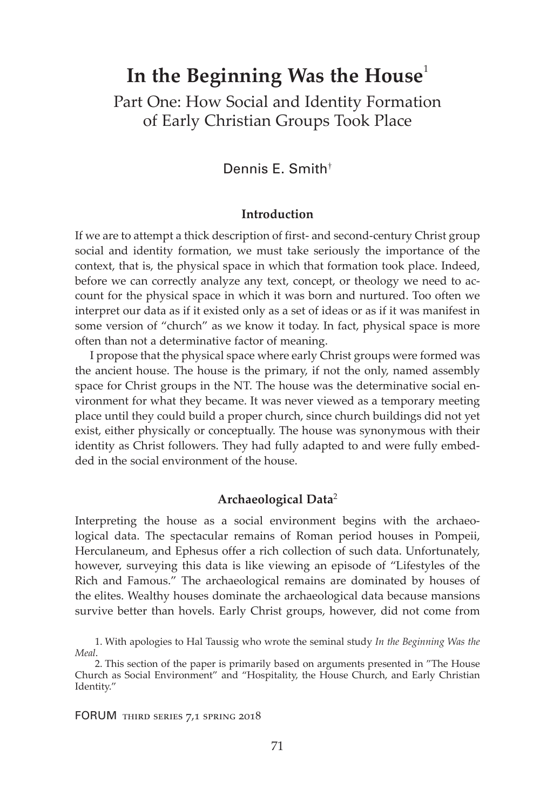# In the Beginning Was the House<sup>1</sup>

Part One: How Social and Identity Formation of Early Christian Groups Took Place

## Dennis E. Smith†

#### **Introduction**

If we are to attempt a thick description of first- and second-century Christ group social and identity formation, we must take seriously the importance of the context, that is, the physical space in which that formation took place. Indeed, before we can correctly analyze any text, concept, or theology we need to account for the physical space in which it was born and nurtured. Too often we interpret our data as if it existed only as a set of ideas or as if it was manifest in some version of "church" as we know it today. In fact, physical space is more often than not a determinative factor of meaning.

I propose that the physical space where early Christ groups were formed was the ancient house. The house is the primary, if not the only, named assembly space for Christ groups in the NT. The house was the determinative social environment for what they became. It was never viewed as a temporary meeting place until they could build a proper church, since church buildings did not yet exist, either physically or conceptually. The house was synonymous with their identity as Christ followers. They had fully adapted to and were fully embedded in the social environment of the house.

### **Archaeological Data**<sup>2</sup>

Interpreting the house as a social environment begins with the archaeological data. The spectacular remains of Roman period houses in Pompeii, Herculaneum, and Ephesus offer a rich collection of such data. Unfortunately, however, surveying this data is like viewing an episode of "Lifestyles of the Rich and Famous." The archaeological remains are dominated by houses of the elites. Wealthy houses dominate the archaeological data because mansions survive better than hovels. Early Christ groups, however, did not come from

FORUM third series 7,1 spring 2018

<sup>1.</sup> With apologies to Hal Taussig who wrote the seminal study *In the Beginning Was the Meal*.

<sup>2.</sup> This section of the paper is primarily based on arguments presented in "The House Church as Social Environment" and "Hospitality, the House Church, and Early Christian Identity."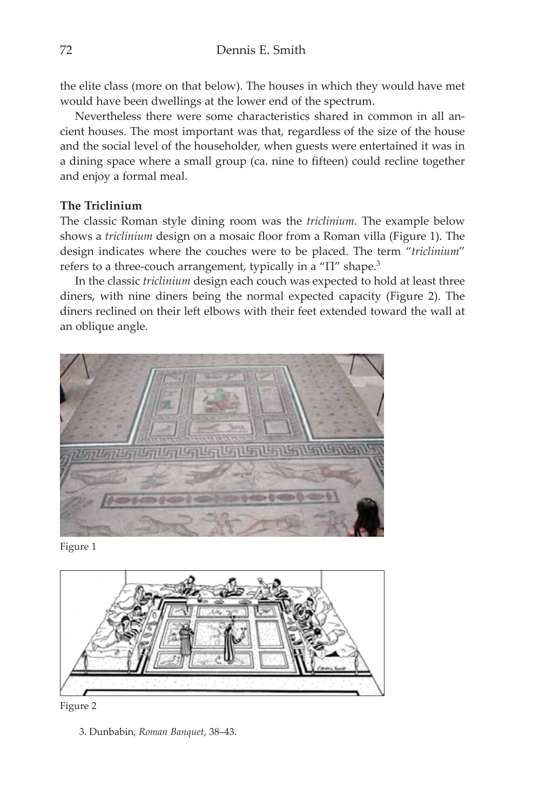the elite class (more on that below). The houses in which they would have met would have been dwellings at the lower end of the spectrum.

Nevertheless there were some characteristics shared in common in all ancient houses. The most important was that, regardless of the size of the house and the social level of the householder, when guests were entertained it was in a dining space where a small group (ca. nine to fifteen) could recline together and enjoy a formal meal.

#### **The Triclinium**

The classic Roman style dining room was the *triclinium*. The example below shows a *triclinium* design on a mosaic floor from a Roman villa (Figure 1). The design indicates where the couches were to be placed. The term "*triclinium*" refers to a three-couch arrangement, typically in a "Π" shape.3

In the classic *triclinium* design each couch was expected to hold at least three diners, with nine diners being the normal expected capacity (Figure 2). The diners reclined on their left elbows with their feet extended toward the wall at an oblique angle.



Figure 1



Figure 2

3. Dunbabin, *Roman Banquet*, 38–43.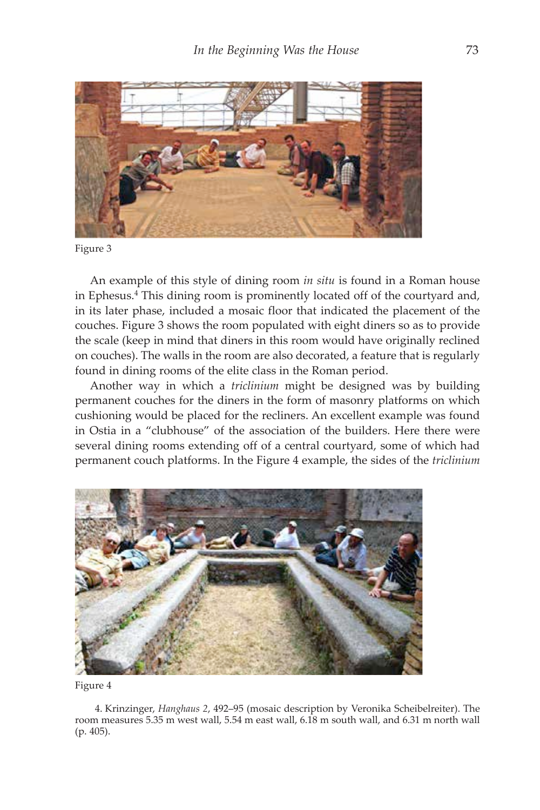

Figure 3

An example of this style of dining room *in situ* is found in a Roman house in Ephesus.4 This dining room is prominently located off of the courtyard and, in its later phase, included a mosaic floor that indicated the placement of the couches. Figure 3 shows the room populated with eight diners so as to provide the scale (keep in mind that diners in this room would have originally reclined on couches). The walls in the room are also decorated, a feature that is regularly found in dining rooms of the elite class in the Roman period.

Another way in which a *triclinium* might be designed was by building permanent couches for the diners in the form of masonry platforms on which cushioning would be placed for the recliners. An excellent example was found in Ostia in a "clubhouse" of the association of the builders. Here there were several dining rooms extending off of a central courtyard, some of which had permanent couch platforms. In the Figure 4 example, the sides of the *triclinium*



Figure 4

4. Krinzinger, *Hanghaus 2*, 492–95 (mosaic description by Veronika Scheibelreiter). The room measures 5.35 m west wall, 5.54 m east wall, 6.18 m south wall, and 6.31 m north wall (p. 405).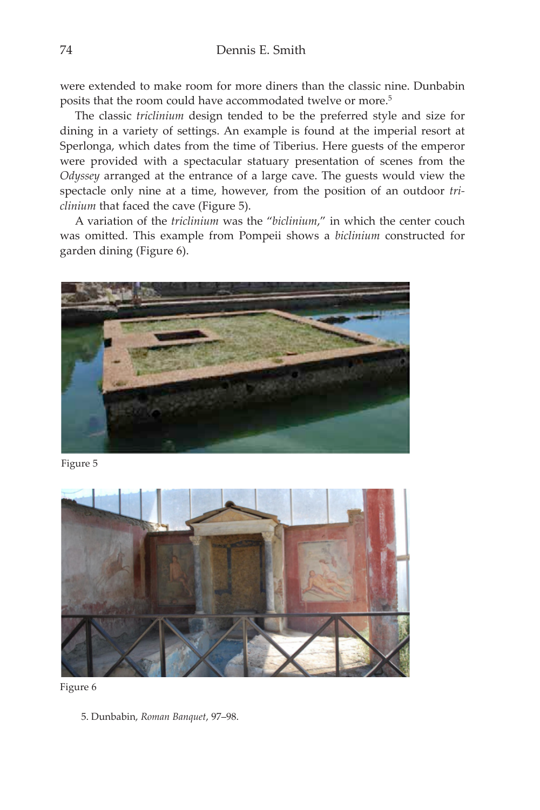were extended to make room for more diners than the classic nine. Dunbabin posits that the room could have accommodated twelve or more.<sup>5</sup>

The classic *triclinium* design tended to be the preferred style and size for dining in a variety of settings. An example is found at the imperial resort at Sperlonga, which dates from the time of Tiberius. Here guests of the emperor were provided with a spectacular statuary presentation of scenes from the *Odyssey* arranged at the entrance of a large cave. The guests would view the spectacle only nine at a time, however, from the position of an outdoor *triclinium* that faced the cave (Figure 5).

A variation of the *triclinium* was the "*biclinium*," in which the center couch was omitted. This example from Pompeii shows a *biclinium* constructed for garden dining (Figure 6).



Figure 5



Figure 6

5. Dunbabin, *Roman Banquet*, 97–98.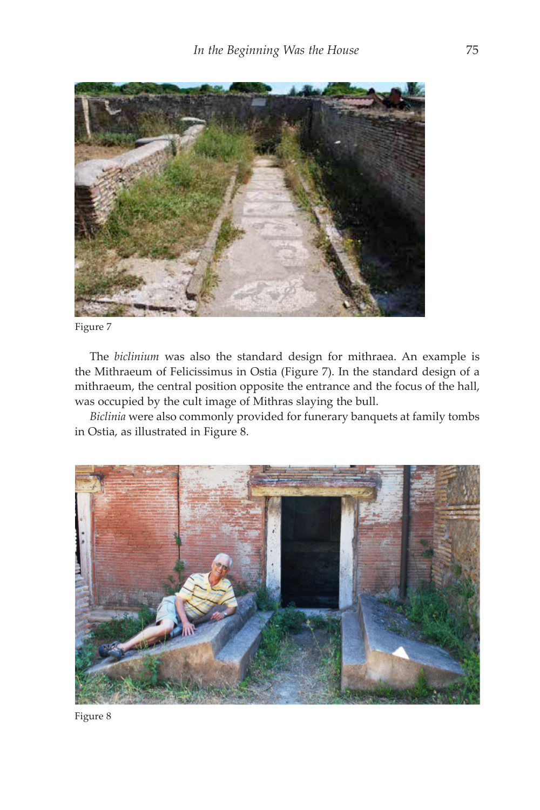

Figure 7

The *biclinium* was also the standard design for mithraea. An example is the Mithraeum of Felicissimus in Ostia (Figure 7). In the standard design of a mithraeum, the central position opposite the entrance and the focus of the hall, was occupied by the cult image of Mithras slaying the bull.

*Biclinia* were also commonly provided for funerary banquets at family tombs in Ostia, as illustrated in Figure 8.



Figure 8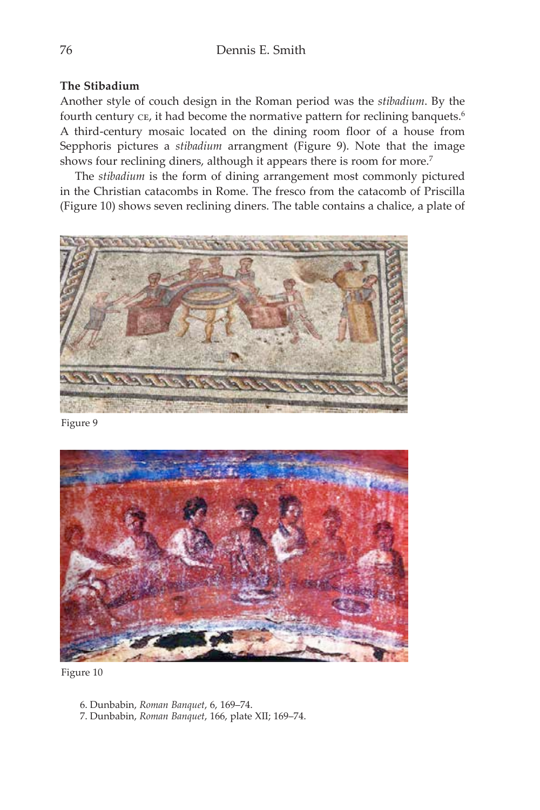# **The Stibadium**

Another style of couch design in the Roman period was the *stibadium*. By the fourth century CE, it had become the normative pattern for reclining banquets.<sup>6</sup> A third-century mosaic located on the dining room floor of a house from Sepphoris pictures a *stibadium* arrangment (Figure 9). Note that the image shows four reclining diners, although it appears there is room for more.7

The *stibadium* is the form of dining arrangement most commonly pictured in the Christian catacombs in Rome. The fresco from the catacomb of Priscilla (Figure 10) shows seven reclining diners. The table contains a chalice, a plate of



Figure 9



Figure 10

6. Dunbabin, *Roman Banquet*, 6, 169–74.

7. Dunbabin, *Roman Banquet*, 166, plate XII; 169–74.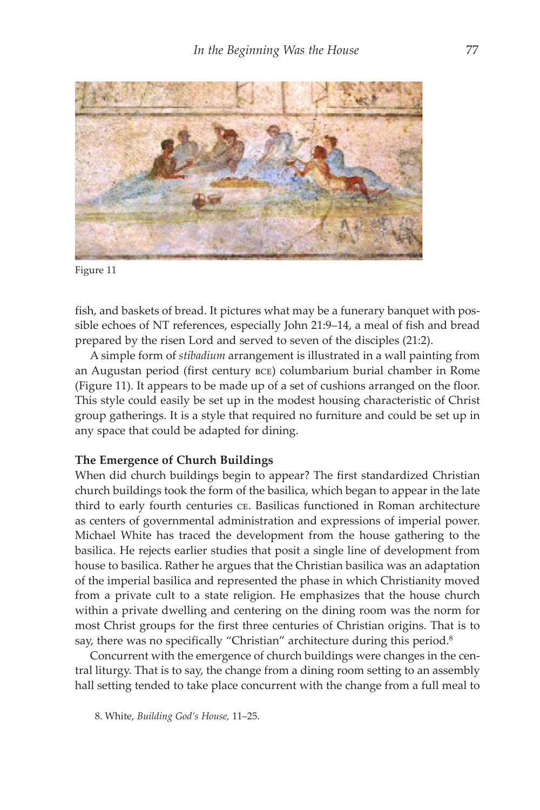

Figure 11

fish, and baskets of bread. It pictures what may be a funerary banquet with possible echoes of NT references, especially John 21:9–14, a meal of fish and bread prepared by the risen Lord and served to seven of the disciples (21:2).

A simple form of *stibadium* arrangement is illustrated in a wall painting from an Augustan period (first century bce) columbarium burial chamber in Rome (Figure 11). It appears to be made up of a set of cushions arranged on the floor. This style could easily be set up in the modest housing characteristic of Christ group gatherings. It is a style that required no furniture and could be set up in any space that could be adapted for dining.

# **The Emergence of Church Buildings**

When did church buildings begin to appear? The first standardized Christian church buildings took the form of the basilica, which began to appear in the late third to early fourth centuries ce. Basilicas functioned in Roman architecture as centers of governmental administration and expressions of imperial power. Michael White has traced the development from the house gathering to the basilica. He rejects earlier studies that posit a single line of development from house to basilica. Rather he argues that the Christian basilica was an adaptation of the imperial basilica and represented the phase in which Christianity moved from a private cult to a state religion. He emphasizes that the house church within a private dwelling and centering on the dining room was the norm for most Christ groups for the first three centuries of Christian origins. That is to say, there was no specifically "Christian" architecture during this period.<sup>8</sup>

Concurrent with the emergence of church buildings were changes in the central liturgy. That is to say, the change from a dining room setting to an assembly hall setting tended to take place concurrent with the change from a full meal to

<sup>8.</sup> White, *Building God's House,* 11–25.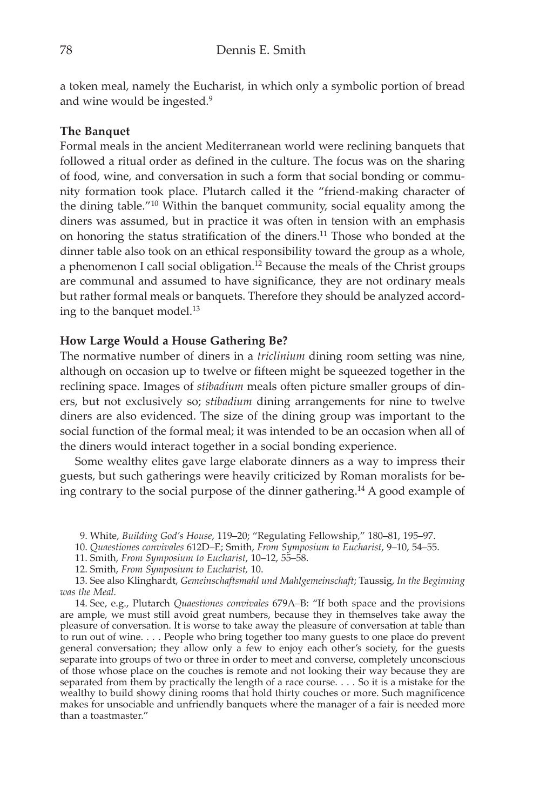a token meal, namely the Eucharist, in which only a symbolic portion of bread and wine would be ingested.<sup>9</sup>

# **The Banquet**

Formal meals in the ancient Mediterranean world were reclining banquets that followed a ritual order as defined in the culture. The focus was on the sharing of food, wine, and conversation in such a form that social bonding or community formation took place. Plutarch called it the "friend-making character of the dining table."10 Within the banquet community, social equality among the diners was assumed, but in practice it was often in tension with an emphasis on honoring the status stratification of the diners.11 Those who bonded at the dinner table also took on an ethical responsibility toward the group as a whole, a phenomenon I call social obligation.<sup>12</sup> Because the meals of the Christ groups are communal and assumed to have significance, they are not ordinary meals but rather formal meals or banquets. Therefore they should be analyzed according to the banquet model.<sup>13</sup>

# **How Large Would a House Gathering Be?**

The normative number of diners in a *triclinium* dining room setting was nine, although on occasion up to twelve or fifteen might be squeezed together in the reclining space. Images of *stibadium* meals often picture smaller groups of diners, but not exclusively so; *stibadium* dining arrangements for nine to twelve diners are also evidenced. The size of the dining group was important to the social function of the formal meal; it was intended to be an occasion when all of the diners would interact together in a social bonding experience.

Some wealthy elites gave large elaborate dinners as a way to impress their guests, but such gatherings were heavily criticized by Roman moralists for being contrary to the social purpose of the dinner gathering.14 A good example of

- 10. *Quaestiones convivales* 612D–E; Smith, *From Symposium to Eucharist*, 9–10, 54–55.
- 11. Smith, *From Symposium to Eucharist*, 10–12, 55–58.
- 12. Smith, *From Symposium to Eucharist,* 10.

13. See also Klinghardt, *Gemeinschaftsmahl und Mahlgemeinschaft*; Taussig, *In the Beginning was the Meal.*

 14. See, e.g., Plutarch *Quaestiones convivales* 679A–B: "If both space and the provisions are ample, we must still avoid great numbers, because they in themselves take away the pleasure of conversation. It is worse to take away the pleasure of conversation at table than to run out of wine.  $\dots$  People who bring together too many guests to one place do prevent general conversation; they allow only a few to enjoy each other's society, for the guests separate into groups of two or three in order to meet and converse, completely unconscious of those whose place on the couches is remote and not looking their way because they are separated from them by practically the length of a race course.  $\ldots$  So it is a mistake for the wealthy to build showy dining rooms that hold thirty couches or more. Such magnificence makes for unsociable and unfriendly banquets where the manager of a fair is needed more than a toastmaster."

<sup>9.</sup> White, *Building God's House*, 119–20; "Regulating Fellowship," 180–81, 195–97.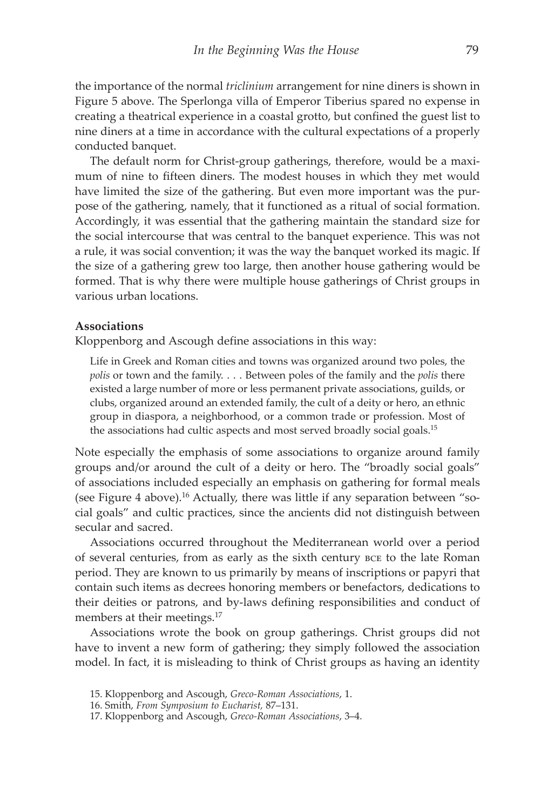the importance of the normal *triclinium* arrangement for nine diners is shown in Figure 5 above. The Sperlonga villa of Emperor Tiberius spared no expense in creating a theatrical experience in a coastal grotto, but confined the guest list to nine diners at a time in accordance with the cultural expectations of a properly conducted banquet.

The default norm for Christ-group gatherings, therefore, would be a maximum of nine to fifteen diners. The modest houses in which they met would have limited the size of the gathering. But even more important was the purpose of the gathering, namely, that it functioned as a ritual of social formation. Accordingly, it was essential that the gathering maintain the standard size for the social intercourse that was central to the banquet experience. This was not a rule, it was social convention; it was the way the banquet worked its magic. If the size of a gathering grew too large, then another house gathering would be formed. That is why there were multiple house gatherings of Christ groups in various urban locations.

#### **Associations**

Kloppenborg and Ascough define associations in this way:

Life in Greek and Roman cities and towns was organized around two poles, the *polis* or town and the family. . . . Between poles of the family and the *polis* there existed a large number of more or less permanent private associations, guilds, or clubs, organized around an extended family, the cult of a deity or hero, an ethnic group in diaspora, a neighborhood, or a common trade or profession. Most of the associations had cultic aspects and most served broadly social goals.<sup>15</sup>

Note especially the emphasis of some associations to organize around family groups and/or around the cult of a deity or hero. The "broadly social goals" of associations included especially an emphasis on gathering for formal meals (see Figure 4 above).<sup>16</sup> Actually, there was little if any separation between "social goals" and cultic practices, since the ancients did not distinguish between secular and sacred.

Associations occurred throughout the Mediterranean world over a period of several centuries, from as early as the sixth century bce to the late Roman period. They are known to us primarily by means of inscriptions or papyri that contain such items as decrees honoring members or benefactors, dedications to their deities or patrons, and by-laws defining responsibilities and conduct of members at their meetings.<sup>17</sup>

Associations wrote the book on group gatherings. Christ groups did not have to invent a new form of gathering; they simply followed the association model. In fact, it is misleading to think of Christ groups as having an identity

<sup>15.</sup> Kloppenborg and Ascough, *Greco-Roman Associations*, 1.

 <sup>16.</sup> Smith, *From Symposium to Eucharist,* 87–131.

 <sup>17.</sup> Kloppenborg and Ascough, *Greco-Roman Associations*, 3–4.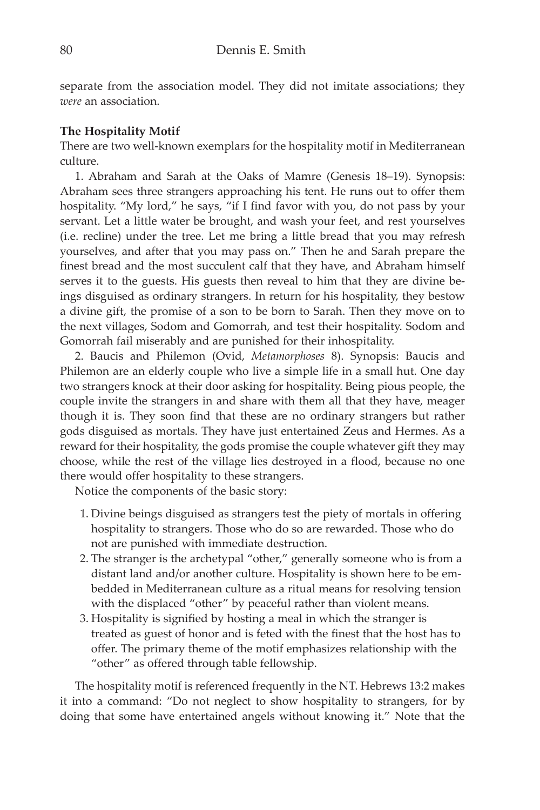separate from the association model. They did not imitate associations; they *were* an association.

# **The Hospitality Motif**

There are two well-known exemplars for the hospitality motif in Mediterranean culture.

1. Abraham and Sarah at the Oaks of Mamre (Genesis 18–19). Synopsis: Abraham sees three strangers approaching his tent. He runs out to offer them hospitality. "My lord," he says, "if I find favor with you, do not pass by your servant. Let a little water be brought, and wash your feet, and rest yourselves (i.e. recline) under the tree. Let me bring a little bread that you may refresh yourselves, and after that you may pass on." Then he and Sarah prepare the finest bread and the most succulent calf that they have, and Abraham himself serves it to the guests. His guests then reveal to him that they are divine beings disguised as ordinary strangers. In return for his hospitality, they bestow a divine gift, the promise of a son to be born to Sarah. Then they move on to the next villages, Sodom and Gomorrah, and test their hospitality. Sodom and Gomorrah fail miserably and are punished for their inhospitality.

2. Baucis and Philemon (Ovid, *Metamorphoses* 8). Synopsis: Baucis and Philemon are an elderly couple who live a simple life in a small hut. One day two strangers knock at their door asking for hospitality. Being pious people, the couple invite the strangers in and share with them all that they have, meager though it is. They soon find that these are no ordinary strangers but rather gods disguised as mortals. They have just entertained Zeus and Hermes. As a reward for their hospitality, the gods promise the couple whatever gift they may choose, while the rest of the village lies destroyed in a flood, because no one there would offer hospitality to these strangers.

Notice the components of the basic story:

- 1. Divine beings disguised as strangers test the piety of mortals in offering hospitality to strangers. Those who do so are rewarded. Those who do not are punished with immediate destruction.
- 2. The stranger is the archetypal "other," generally someone who is from a distant land and/or another culture. Hospitality is shown here to be embedded in Mediterranean culture as a ritual means for resolving tension with the displaced "other" by peaceful rather than violent means.
- 3. Hospitality is signified by hosting a meal in which the stranger is treated as guest of honor and is feted with the finest that the host has to offer. The primary theme of the motif emphasizes relationship with the "other" as offered through table fellowship.

The hospitality motif is referenced frequently in the NT. Hebrews 13:2 makes it into a command: "Do not neglect to show hospitality to strangers, for by doing that some have entertained angels without knowing it." Note that the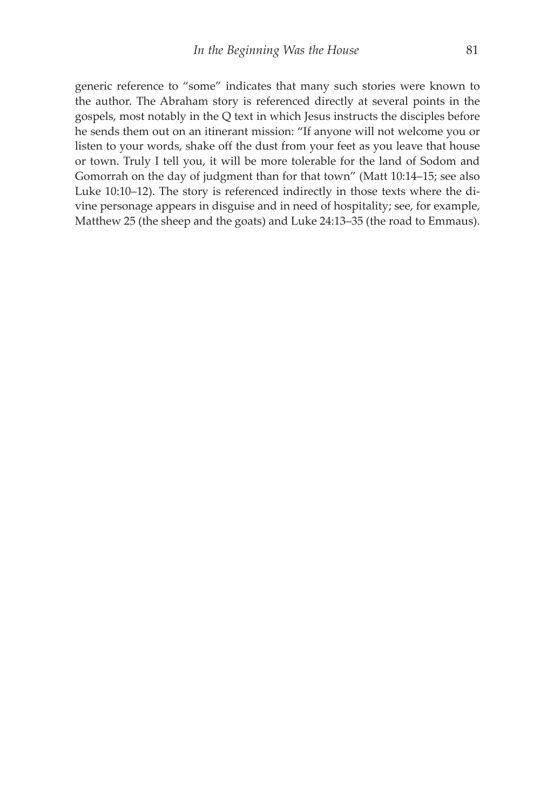generic reference to "some" indicates that many such stories were known to the author. The Abraham story is referenced directly at several points in the gospels, most notably in the Q text in which Jesus instructs the disciples before he sends them out on an itinerant mission: "If anyone will not welcome you or listen to your words, shake off the dust from your feet as you leave that house or town. Truly I tell you, it will be more tolerable for the land of Sodom and Gomorrah on the day of judgment than for that town" (Matt 10:14–15; see also Luke 10:10–12). The story is referenced indirectly in those texts where the divine personage appears in disguise and in need of hospitality; see, for example, Matthew 25 (the sheep and the goats) and Luke 24:13–35 (the road to Emmaus).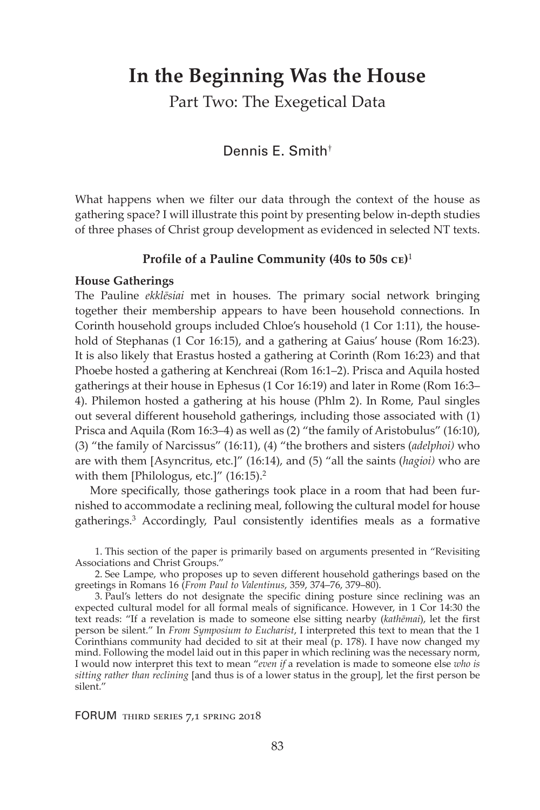# **In the Beginning Was the House**

Part Two: The Exegetical Data

# Dennis E. Smith†

What happens when we filter our data through the context of the house as gathering space? I will illustrate this point by presenting below in-depth studies of three phases of Christ group development as evidenced in selected NT texts.

## **Profile of a Pauline Community (40s to 50s ce)**<sup>1</sup>

#### **House Gatherings**

The Pauline *ekklēsiai* met in houses. The primary social network bringing together their membership appears to have been household connections. In Corinth household groups included Chloe's household (1 Cor 1:11), the household of Stephanas (1 Cor 16:15), and a gathering at Gaius' house (Rom 16:23). It is also likely that Erastus hosted a gathering at Corinth (Rom 16:23) and that Phoebe hosted a gathering at Kenchreai (Rom 16:1–2). Prisca and Aquila hosted gatherings at their house in Ephesus (1 Cor 16:19) and later in Rome (Rom 16:3– 4). Philemon hosted a gathering at his house (Phlm 2). In Rome, Paul singles out several different household gatherings, including those associated with (1) Prisca and Aquila (Rom 16:3–4) as well as (2) "the family of Aristobulus" (16:10), (3) "the family of Narcissus" (16:11), (4) "the brothers and sisters (*adelphoi)* who are with them [Asyncritus, etc.]" (16:14), and (5) "all the saints (*hagioi)* who are with them [Philologus, etc.]"  $(16:15)^2$ 

More specifically, those gatherings took place in a room that had been furnished to accommodate a reclining meal, following the cultural model for house gatherings.3 Accordingly, Paul consistently identifies meals as a formative

 1. This section of the paper is primarily based on arguments presented in "Revisiting Associations and Christ Groups."

 2. See Lampe, who proposes up to seven different household gatherings based on the greetings in Romans 16 (*From Paul to Valentinus*, 359, 374–76, 379–80).

 3. Paul's letters do not designate the specific dining posture since reclining was an expected cultural model for all formal meals of significance. However, in 1 Cor 14:30 the text reads: "If a revelation is made to someone else sitting nearby (*kathēmai*), let the first person be silent." In *From Symposium to Eucharist*, I interpreted this text to mean that the 1 Corinthians community had decided to sit at their meal (p. 178). I have now changed my mind. Following the model laid out in this paper in which reclining was the necessary norm, I would now interpret this text to mean "*even if* a revelation is made to someone else *who is sitting rather than reclining* [and thus is of a lower status in the group], let the first person be silent."

FORUM third series 7,1 spring 2018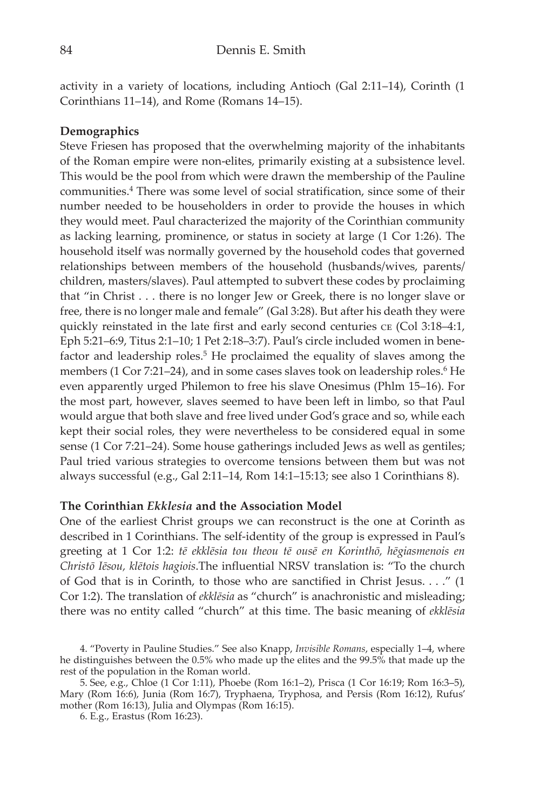activity in a variety of locations, including Antioch (Gal 2:11–14), Corinth (1 Corinthians 11–14), and Rome (Romans 14–15).

# **Demographics**

Steve Friesen has proposed that the overwhelming majority of the inhabitants of the Roman empire were non-elites, primarily existing at a subsistence level. This would be the pool from which were drawn the membership of the Pauline communities.4 There was some level of social stratification, since some of their number needed to be householders in order to provide the houses in which they would meet. Paul characterized the majority of the Corinthian community as lacking learning, prominence, or status in society at large (1 Cor 1:26). The household itself was normally governed by the household codes that governed relationships between members of the household (husbands/wives, parents/ children, masters/slaves). Paul attempted to subvert these codes by proclaiming that "in Christ  $\dots$  there is no longer Jew or Greek, there is no longer slave or free, there is no longer male and female" (Gal 3:28). But after his death they were quickly reinstated in the late first and early second centuries ce (Col 3:18–4:1, Eph 5:21–6:9, Titus 2:1–10; 1 Pet 2:18–3:7). Paul's circle included women in benefactor and leadership roles.<sup>5</sup> He proclaimed the equality of slaves among the members (1 Cor 7:21–24), and in some cases slaves took on leadership roles.<sup>6</sup> He even apparently urged Philemon to free his slave Onesimus (Phlm 15–16). For the most part, however, slaves seemed to have been left in limbo, so that Paul would argue that both slave and free lived under God's grace and so, while each kept their social roles, they were nevertheless to be considered equal in some sense (1 Cor 7:21–24). Some house gatherings included Jews as well as gentiles; Paul tried various strategies to overcome tensions between them but was not always successful (e.g., Gal 2:11–14, Rom 14:1–15:13; see also 1 Corinthians 8).

# **The Corinthian** *Ekklesia* **and the Association Model**

One of the earliest Christ groups we can reconstruct is the one at Corinth as described in 1 Corinthians. The self-identity of the group is expressed in Paul's greeting at 1 Cor 1:2: *tē ekklēsia tou theou tē ousē en Korinthō, hēgiasmenois en Christō Iēsou, klētois hagiois*.Τhe influential NRSV translation is: "To the church of God that is in Corinth, to those who are sanctified in Christ Jesus. . . ." (1 Cor 1:2). The translation of *ekklēsia* as "church" is anachronistic and misleading; there was no entity called "church" at this time. The basic meaning of *ekklēsia*

<sup>4. &</sup>quot;Poverty in Pauline Studies." See also Knapp, *Invisible Romans*, especially 1–4, where he distinguishes between the 0.5% who made up the elites and the 99.5% that made up the rest of the population in the Roman world.

<sup>5.</sup> See, e.g., Chloe (1 Cor 1:11), Phoebe (Rom 16:1–2), Prisca (1 Cor 16:19; Rom 16:3–5), Mary (Rom 16:6), Junia (Rom 16:7), Tryphaena, Tryphosa, and Persis (Rom 16:12), Rufus' mother (Rom 16:13), Julia and Olympas (Rom 16:15).

<sup>6.</sup> E.g., Erastus (Rom 16:23).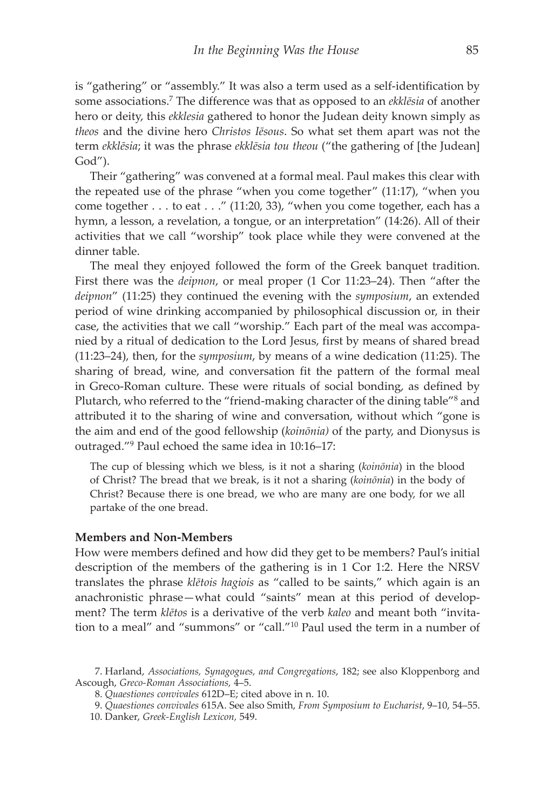is "gathering" or "assembly." It was also a term used as a self-identification by some associations.7 The difference was that as opposed to an *ekklēsia* of another hero or deity, this *ekklesia* gathered to honor the Judean deity known simply as *theos* and the divine hero *Christos Iēsous*. So what set them apart was not the term *ekklēsia*; it was the phrase *ekklēsia tou theou* ("the gathering of [the Judean] God").

Their "gathering" was convened at a formal meal. Paul makes this clear with the repeated use of the phrase "when you come together" (11:17), "when you come together  $\dots$  to eat  $\dots$ . " (11:20, 33), "when you come together, each has a hymn, a lesson, a revelation, a tongue, or an interpretation" (14:26). All of their activities that we call "worship" took place while they were convened at the dinner table.

The meal they enjoyed followed the form of the Greek banquet tradition. First there was the *deipnon*, or meal proper (1 Cor 11:23–24). Then "after the *deipnon*" (11:25) they continued the evening with the *symposium*, an extended period of wine drinking accompanied by philosophical discussion or, in their case, the activities that we call "worship." Each part of the meal was accompanied by a ritual of dedication to the Lord Jesus, first by means of shared bread (11:23–24), then, for the *symposium*, by means of a wine dedication (11:25). The sharing of bread, wine, and conversation fit the pattern of the formal meal in Greco-Roman culture. These were rituals of social bonding, as defined by Plutarch, who referred to the "friend-making character of the dining table"<sup>8</sup> and attributed it to the sharing of wine and conversation, without which "gone is the aim and end of the good fellowship (*koinōnia)* of the party, and Dionysus is outraged."9 Paul echoed the same idea in 10:16–17:

The cup of blessing which we bless, is it not a sharing (*koinōnia*) in the blood of Christ? The bread that we break, is it not a sharing (*koinōnia*) in the body of Christ? Because there is one bread, we who are many are one body, for we all partake of the one bread.

# **Members and Non-Members**

How were members defined and how did they get to be members? Paul's initial description of the members of the gathering is in 1 Cor 1:2. Here the NRSV translates the phrase *klētois hagiois* as "called to be saints," which again is an anachronistic phrase—what could "saints" mean at this period of development? The term *klētos* is a derivative of the verb *kaleo* and meant both "invitation to a meal" and "summons" or "call."10 Paul used the term in a number of

<sup>7.</sup> Harland, *Associations, Synagogues, and Congregations*, 182; see also Kloppenborg and Ascough, *Greco-Roman Associations,* 4–5.

<sup>8.</sup> *Quaestiones convivales* 612D–E; cited above in n. 10.

<sup>9.</sup> *Quaestiones convivales* 615A. See also Smith, *From Symposium to Eucharist*, 9–10, 54–55.

 <sup>10.</sup> Danker, *Greek-English Lexicon,* 549.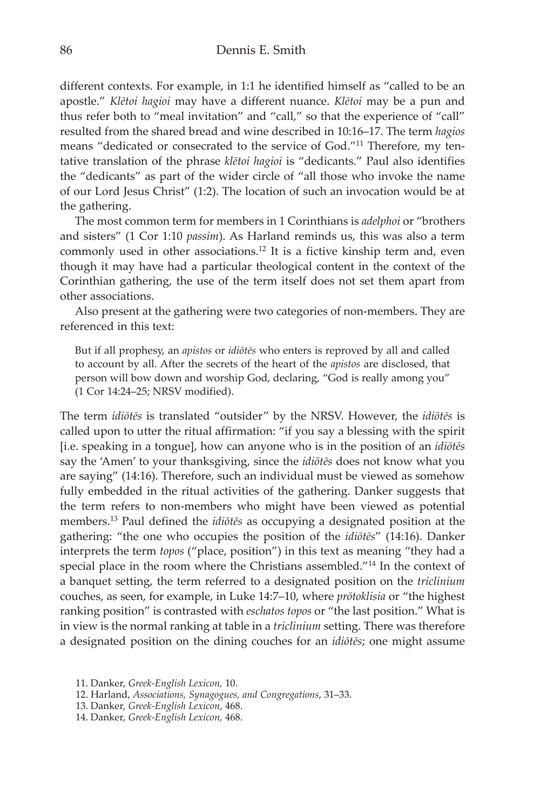different contexts. For example, in 1:1 he identified himself as "called to be an apostle." *Klētoi hagioi* may have a different nuance. *Klētoi* may be a pun and thus refer both to "meal invitation" and "call," so that the experience of "call" resulted from the shared bread and wine described in 10:16–17. The term *hagios* means "dedicated or consecrated to the service of God."11 Therefore, my tentative translation of the phrase *klētoi hagioi* is "dedicants." Paul also identifies the "dedicants" as part of the wider circle of "all those who invoke the name of our Lord Jesus Christ" (1:2). The location of such an invocation would be at the gathering.

The most common term for members in 1 Corinthians is *adelphoi* or "brothers and sisters" (1 Cor 1:10 *passim*). As Harland reminds us, this was also a term commonly used in other associations.12 It is a fictive kinship term and, even though it may have had a particular theological content in the context of the Corinthian gathering, the use of the term itself does not set them apart from other associations.

Also present at the gathering were two categories of non-members. They are referenced in this text:

But if all prophesy, an *apistos* or *idiōtēs* who enters is reproved by all and called to account by all. After the secrets of the heart of the *apistos* are disclosed, that person will bow down and worship God, declaring, "God is really among you" (1 Cor 14:24–25; NRSV modified).

The term *idiōtēs* is translated "outsider" by the NRSV. However, the *idiōtēs* is called upon to utter the ritual affirmation: "if you say a blessing with the spirit [i.e. speaking in a tongue], how can anyone who is in the position of an *idiōtēs* say the 'Amen' to your thanksgiving, since the *idiōtēs* does not know what you are saying" (14:16). Therefore, such an individual must be viewed as somehow fully embedded in the ritual activities of the gathering. Danker suggests that the term refers to non-members who might have been viewed as potential members.13 Paul defined the *idiōtēs* as occupying a designated position at the gathering: "the one who occupies the position of the *idiōtēs*" (14:16). Danker interprets the term *topos* ("place, position") in this text as meaning "they had a special place in the room where the Christians assembled."14 In the context of a banquet setting, the term referred to a designated position on the *triclinium* couches, as seen, for example, in Luke 14:7–10, where *prōtoklisia* or "the highest ranking position" is contrasted with *eschatos topos* or "the last position." What is in view is the normal ranking at table in a *triclinium* setting. There was therefore a designated position on the dining couches for an *idiōtēs*; one might assume

- 12. Harland, *Associations, Synagogues, and Congregations*, 31–33.
- 13. Danker, *Greek-English Lexicon*, 468.
- 14. Danker, *Greek-English Lexicon,* 468.

 <sup>11.</sup> Danker, *Greek-English Lexicon,* 10.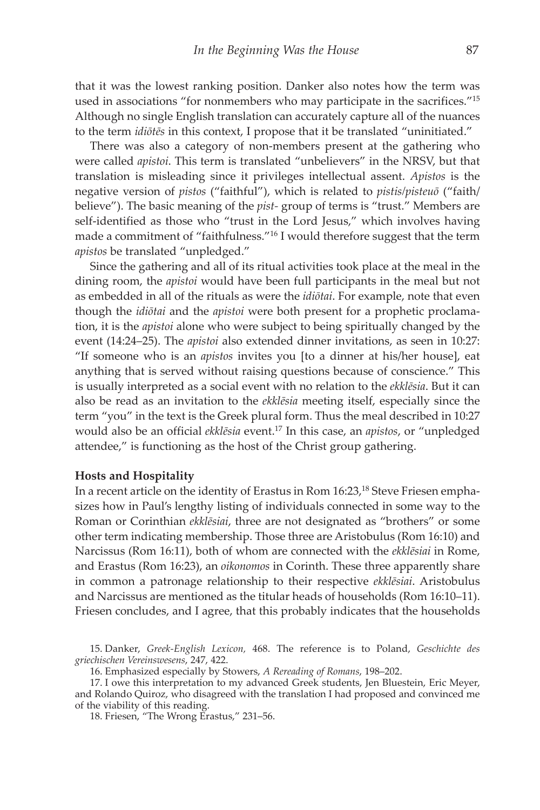that it was the lowest ranking position. Danker also notes how the term was used in associations "for nonmembers who may participate in the sacrifices."15 Although no single English translation can accurately capture all of the nuances to the term *idiōtēs* in this context, I propose that it be translated "uninitiated."

There was also a category of non-members present at the gathering who were called *apistoi*. This term is translated "unbelievers" in the NRSV, but that translation is misleading since it privileges intellectual assent. *Apistos* is the negative version of *pistos* ("faithful"), which is related to *pistis/pisteuō* ("faith/ believe"). The basic meaning of the *pist-* group of terms is "trust." Members are self-identified as those who "trust in the Lord Jesus," which involves having made a commitment of "faithfulness."16 I would therefore suggest that the term *apistos* be translated "unpledged."

Since the gathering and all of its ritual activities took place at the meal in the dining room, the *apistoi* would have been full participants in the meal but not as embedded in all of the rituals as were the *idiōtai*. For example, note that even though the *idiōtai* and the *apistoi* were both present for a prophetic proclamation, it is the *apistoi* alone who were subject to being spiritually changed by the event (14:24–25). The *apistoi* also extended dinner invitations, as seen in 10:27: "If someone who is an *apistos* invites you [to a dinner at his/her house], eat anything that is served without raising questions because of conscience." This is usually interpreted as a social event with no relation to the *ekklēsia*. But it can also be read as an invitation to the *ekklēsia* meeting itself, especially since the term "you" in the text is the Greek plural form. Thus the meal described in 10:27 would also be an official *ekklēsia* event.17 In this case, an *apistos*, or "unpledged attendee," is functioning as the host of the Christ group gathering.

# **Hosts and Hospitality**

In a recent article on the identity of Erastus in Rom 16:23,<sup>18</sup> Steve Friesen emphasizes how in Paul's lengthy listing of individuals connected in some way to the Roman or Corinthian *ekklēsiai*, three are not designated as "brothers" or some other term indicating membership. Those three are Aristobulus (Rom 16:10) and Narcissus (Rom 16:11), both of whom are connected with the *ekklēsiai* in Rome, and Erastus (Rom 16:23), an *oikonomos* in Corinth. These three apparently share in common a patronage relationship to their respective *ekklēsiai*. Aristobulus and Narcissus are mentioned as the titular heads of households (Rom 16:10–11). Friesen concludes, and I agree, that this probably indicates that the households

15. Danker, *Greek-English Lexicon,* 468. The reference is to Poland, *Geschichte des griechischen Vereinswesens*, 247, 422.

 <sup>16.</sup> Emphasized especially by Stowers, *A Rereading of Romans*, 198–202.

 <sup>17.</sup> I owe this interpretation to my advanced Greek students, Jen Bluestein, Eric Meyer, and Rolando Quiroz, who disagreed with the translation I had proposed and convinced me of the viability of this reading.

 <sup>18.</sup> Friesen, "The Wrong Erastus," 231–56.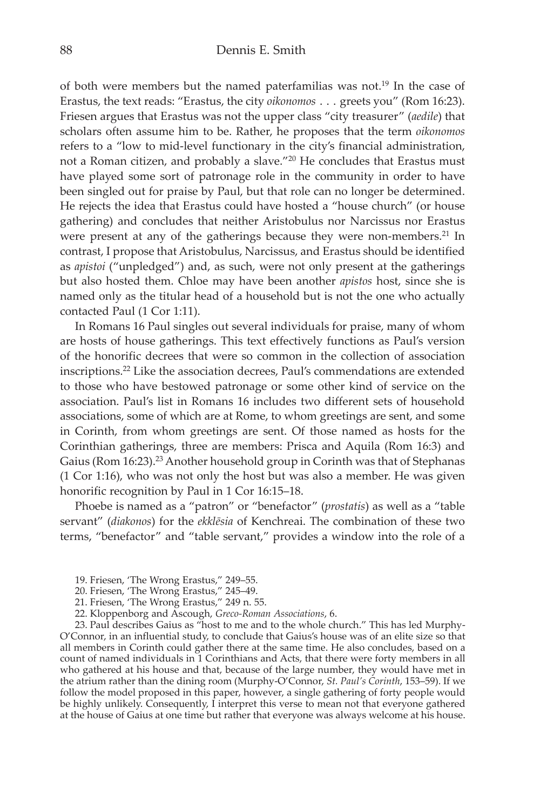of both were members but the named paterfamilias was not.19 In the case of Erastus, the text reads: "Erastus, the city *oikonomos* . . . greets you" (Rom 16:23). Friesen argues that Erastus was not the upper class "city treasurer" (*aedile*) that scholars often assume him to be. Rather, he proposes that the term *oikonomos* refers to a "low to mid-level functionary in the city's financial administration, not a Roman citizen, and probably a slave."20 He concludes that Erastus must have played some sort of patronage role in the community in order to have been singled out for praise by Paul, but that role can no longer be determined. He rejects the idea that Erastus could have hosted a "house church" (or house gathering) and concludes that neither Aristobulus nor Narcissus nor Erastus were present at any of the gatherings because they were non-members.<sup>21</sup> In contrast, I propose that Aristobulus, Narcissus, and Erastus should be identified as *apistoi* ("unpledged") and, as such, were not only present at the gatherings but also hosted them. Chloe may have been another *apistos* host, since she is named only as the titular head of a household but is not the one who actually contacted Paul (1 Cor 1:11).

In Romans 16 Paul singles out several individuals for praise, many of whom are hosts of house gatherings. This text effectively functions as Paul's version of the honorific decrees that were so common in the collection of association inscriptions.22 Like the association decrees, Paul's commendations are extended to those who have bestowed patronage or some other kind of service on the association. Paul's list in Romans 16 includes two different sets of household associations, some of which are at Rome, to whom greetings are sent, and some in Corinth, from whom greetings are sent. Of those named as hosts for the Corinthian gatherings, three are members: Prisca and Aquila (Rom 16:3) and Gaius (Rom 16:23).<sup>23</sup> Another household group in Corinth was that of Stephanas (1 Cor 1:16), who was not only the host but was also a member. He was given honorific recognition by Paul in 1 Cor 16:15–18.

Phoebe is named as a "patron" or "benefactor" (*prostatis*) as well as a "table servant" (*diakonos*) for the *ekklēsia* of Kenchreai. The combination of these two terms, "benefactor" and "table servant," provides a window into the role of a

22. Kloppenborg and Ascough, *Greco-Roman Associations*, 6.

 23. Paul describes Gaius as "host to me and to the whole church." This has led Murphy-O'Connor, in an influential study, to conclude that Gaius's house was of an elite size so that all members in Corinth could gather there at the same time. He also concludes, based on a count of named individuals in 1 Corinthians and Acts, that there were forty members in all who gathered at his house and that, because of the large number, they would have met in the atrium rather than the dining room (Murphy-O'Connor, *St. Paul's Corinth*, 153–59). If we follow the model proposed in this paper, however, a single gathering of forty people would be highly unlikely. Consequently, I interpret this verse to mean not that everyone gathered at the house of Gaius at one time but rather that everyone was always welcome at his house.

<sup>19.</sup> Friesen, 'The Wrong Erastus," 249–55.

<sup>20.</sup> Friesen, 'The Wrong Erastus," 245–49.

<sup>21.</sup> Friesen, 'The Wrong Erastus," 249 n. 55.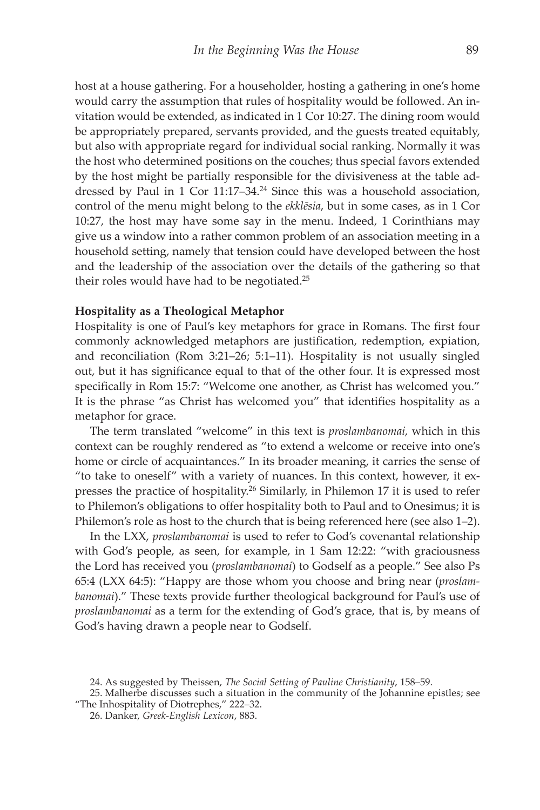host at a house gathering. For a householder, hosting a gathering in one's home would carry the assumption that rules of hospitality would be followed. An invitation would be extended, as indicated in 1 Cor 10:27. The dining room would be appropriately prepared, servants provided, and the guests treated equitably, but also with appropriate regard for individual social ranking. Normally it was the host who determined positions on the couches; thus special favors extended by the host might be partially responsible for the divisiveness at the table addressed by Paul in 1 Cor  $11:17-34.^{24}$  Since this was a household association, control of the menu might belong to the *ekklēsia*, but in some cases, as in 1 Cor 10:27, the host may have some say in the menu. Indeed, 1 Corinthians may give us a window into a rather common problem of an association meeting in a household setting, namely that tension could have developed between the host and the leadership of the association over the details of the gathering so that their roles would have had to be negotiated.<sup>25</sup>

#### **Hospitality as a Theological Metaphor**

Hospitality is one of Paul's key metaphors for grace in Romans. The first four commonly acknowledged metaphors are justification, redemption, expiation, and reconciliation (Rom 3:21–26; 5:1–11). Hospitality is not usually singled out, but it has significance equal to that of the other four. It is expressed most specifically in Rom 15:7: "Welcome one another, as Christ has welcomed you." It is the phrase "as Christ has welcomed you" that identifies hospitality as a metaphor for grace.

The term translated "welcome" in this text is *proslambanomai*, which in this context can be roughly rendered as "to extend a welcome or receive into one's home or circle of acquaintances." In its broader meaning, it carries the sense of "to take to oneself" with a variety of nuances. In this context, however, it expresses the practice of hospitality.<sup>26</sup> Similarly, in Philemon 17 it is used to refer to Philemon's obligations to offer hospitality both to Paul and to Onesimus; it is Philemon's role as host to the church that is being referenced here (see also 1–2).

In the LXX, *proslambanomai* is used to refer to God's covenantal relationship with God's people, as seen, for example, in 1 Sam 12:22: "with graciousness the Lord has received you (*proslambanomai*) to Godself as a people." See also Ps 65:4 (LXX 64:5): "Happy are those whom you choose and bring near (*proslambanomai*)." These texts provide further theological background for Paul's use of *proslambanomai* as a term for the extending of God's grace, that is, by means of God's having drawn a people near to Godself.

<sup>24.</sup> As suggested by Theissen, *The Social Setting of Pauline Christianity*, 158–59.

<sup>25.</sup> Malherbe discusses such a situation in the community of the Johannine epistles; see "The Inhospitality of Diotrephes," 222–32.

<sup>26.</sup> Danker, *Greek-English Lexicon*, 883.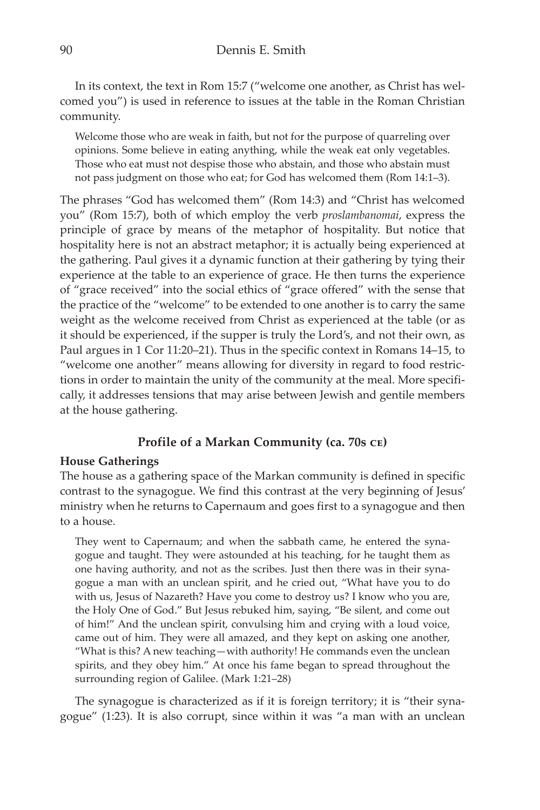In its context, the text in Rom 15:7 ("welcome one another, as Christ has welcomed you") is used in reference to issues at the table in the Roman Christian community.

Welcome those who are weak in faith, but not for the purpose of quarreling over opinions. Some believe in eating anything, while the weak eat only vegetables. Those who eat must not despise those who abstain, and those who abstain must not pass judgment on those who eat; for God has welcomed them (Rom 14:1–3).

The phrases "God has welcomed them" (Rom 14:3) and "Christ has welcomed you" (Rom 15:7), both of which employ the verb *proslambanomai*, express the principle of grace by means of the metaphor of hospitality. But notice that hospitality here is not an abstract metaphor; it is actually being experienced at the gathering. Paul gives it a dynamic function at their gathering by tying their experience at the table to an experience of grace. He then turns the experience of "grace received" into the social ethics of "grace offered" with the sense that the practice of the "welcome" to be extended to one another is to carry the same weight as the welcome received from Christ as experienced at the table (or as it should be experienced, if the supper is truly the Lord's, and not their own, as Paul argues in 1 Cor 11:20–21). Thus in the specific context in Romans 14–15, to "welcome one another" means allowing for diversity in regard to food restrictions in order to maintain the unity of the community at the meal. More specifically, it addresses tensions that may arise between Jewish and gentile members at the house gathering.

# **Profile of a Markan Community (ca. 70s ce)**

### **House Gatherings**

The house as a gathering space of the Markan community is defined in specific contrast to the synagogue. We find this contrast at the very beginning of Jesus' ministry when he returns to Capernaum and goes first to a synagogue and then to a house.

They went to Capernaum; and when the sabbath came, he entered the synagogue and taught. They were astounded at his teaching, for he taught them as one having authority, and not as the scribes. Just then there was in their synagogue a man with an unclean spirit, and he cried out, "What have you to do with us, Jesus of Nazareth? Have you come to destroy us? I know who you are, the Holy One of God." But Jesus rebuked him, saying, "Be silent, and come out of him!" And the unclean spirit, convulsing him and crying with a loud voice, came out of him. They were all amazed, and they kept on asking one another, "What is this? A new teaching—with authority! He commands even the unclean spirits, and they obey him." At once his fame began to spread throughout the surrounding region of Galilee. (Mark 1:21–28)

The synagogue is characterized as if it is foreign territory; it is "their synagogue" (1:23). It is also corrupt, since within it was "a man with an unclean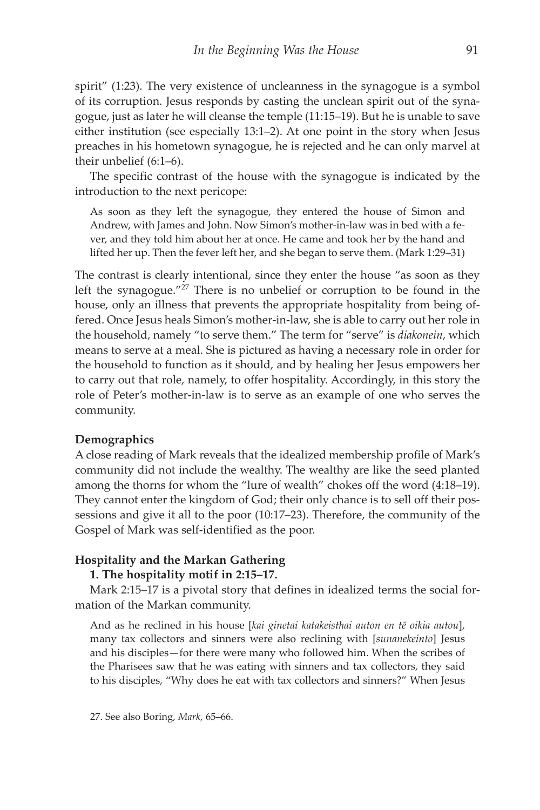spirit" (1:23). The very existence of uncleanness in the synagogue is a symbol of its corruption. Jesus responds by casting the unclean spirit out of the synagogue, just as later he will cleanse the temple (11:15–19). But he is unable to save either institution (see especially 13:1–2). At one point in the story when Jesus preaches in his hometown synagogue, he is rejected and he can only marvel at their unbelief (6:1–6).

The specific contrast of the house with the synagogue is indicated by the introduction to the next pericope:

As soon as they left the synagogue, they entered the house of Simon and Andrew, with James and John. Now Simon's mother-in-law was in bed with a fever, and they told him about her at once. He came and took her by the hand and lifted her up. Then the fever left her, and she began to serve them. (Mark 1:29–31)

The contrast is clearly intentional, since they enter the house "as soon as they left the synagogue."<sup>27</sup> There is no unbelief or corruption to be found in the house, only an illness that prevents the appropriate hospitality from being offered. Once Jesus heals Simon's mother-in-law, she is able to carry out her role in the household, namely "to serve them." The term for "serve" is *diakonein*, which means to serve at a meal. She is pictured as having a necessary role in order for the household to function as it should, and by healing her Jesus empowers her to carry out that role, namely, to offer hospitality. Accordingly, in this story the role of Peter's mother-in-law is to serve as an example of one who serves the community.

#### **Demographics**

A close reading of Mark reveals that the idealized membership profile of Mark's community did not include the wealthy. The wealthy are like the seed planted among the thorns for whom the "lure of wealth" chokes off the word (4:18–19). They cannot enter the kingdom of God; their only chance is to sell off their possessions and give it all to the poor (10:17–23). Therefore, the community of the Gospel of Mark was self-identified as the poor.

# **Hospitality and the Markan Gathering**

#### **1. The hospitality motif in 2:15–17.**

Mark 2:15–17 is a pivotal story that defines in idealized terms the social formation of the Markan community.

And as he reclined in his house [*kai ginetai katakeisthai auton en tē oikia autou*], many tax collectors and sinners were also reclining with [*sunanekeinto*] Jesus and his disciples—for there were many who followed him. When the scribes of the Pharisees saw that he was eating with sinners and tax collectors, they said to his disciples, "Why does he eat with tax collectors and sinners?" When Jesus

27. See also Boring, *Mark*, 65–66.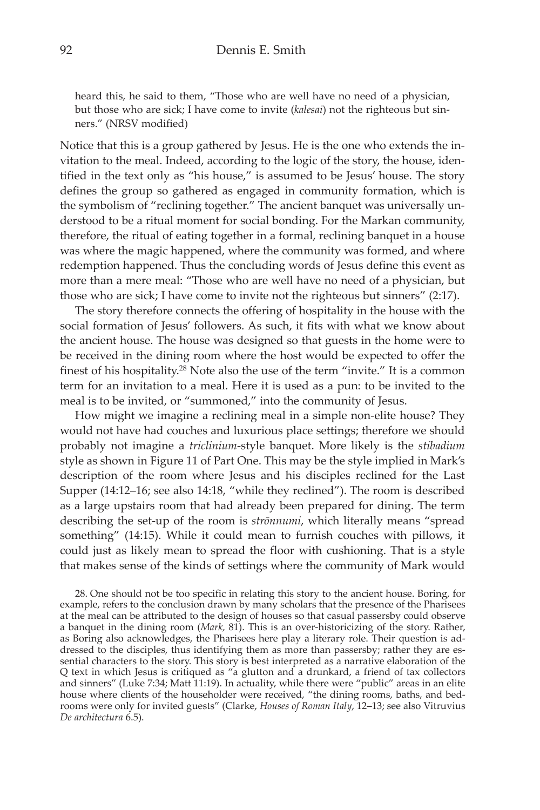heard this, he said to them, "Those who are well have no need of a physician, but those who are sick; I have come to invite (*kalesai*) not the righteous but sinners." (NRSV modified)

Notice that this is a group gathered by Jesus. He is the one who extends the invitation to the meal. Indeed, according to the logic of the story, the house, identified in the text only as "his house," is assumed to be Jesus' house. The story defines the group so gathered as engaged in community formation, which is the symbolism of "reclining together." The ancient banquet was universally understood to be a ritual moment for social bonding. For the Markan community, therefore, the ritual of eating together in a formal, reclining banquet in a house was where the magic happened, where the community was formed, and where redemption happened. Thus the concluding words of Jesus define this event as more than a mere meal: "Those who are well have no need of a physician, but those who are sick; I have come to invite not the righteous but sinners" (2:17).

The story therefore connects the offering of hospitality in the house with the social formation of Jesus' followers. As such, it fits with what we know about the ancient house. The house was designed so that guests in the home were to be received in the dining room where the host would be expected to offer the finest of his hospitality.28 Note also the use of the term "invite." It is a common term for an invitation to a meal. Here it is used as a pun: to be invited to the meal is to be invited, or "summoned," into the community of Jesus.

How might we imagine a reclining meal in a simple non-elite house? They would not have had couches and luxurious place settings; therefore we should probably not imagine a *triclinium*-style banquet. More likely is the *stibadium* style as shown in Figure 11 of Part One. This may be the style implied in Mark's description of the room where Jesus and his disciples reclined for the Last Supper (14:12–16; see also 14:18, "while they reclined"). The room is described as a large upstairs room that had already been prepared for dining. The term describing the set-up of the room is *strōnnumi*, which literally means "spread something" (14:15). While it could mean to furnish couches with pillows, it could just as likely mean to spread the floor with cushioning. That is a style that makes sense of the kinds of settings where the community of Mark would

 28. One should not be too specific in relating this story to the ancient house. Boring, for example, refers to the conclusion drawn by many scholars that the presence of the Pharisees at the meal can be attributed to the design of houses so that casual passersby could observe a banquet in the dining room (*Mark,* 81). This is an over-historicizing of the story. Rather, as Boring also acknowledges, the Pharisees here play a literary role. Their question is addressed to the disciples, thus identifying them as more than passersby; rather they are essential characters to the story. This story is best interpreted as a narrative elaboration of the Q text in which Jesus is critiqued as "a glutton and a drunkard, a friend of tax collectors and sinners" (Luke 7:34; Matt 11:19). In actuality, while there were "public" areas in an elite house where clients of the householder were received, "the dining rooms, baths, and bedrooms were only for invited guests" (Clarke, *Houses of Roman Italy*, 12–13; see also Vitruvius *De architectura* 6.5).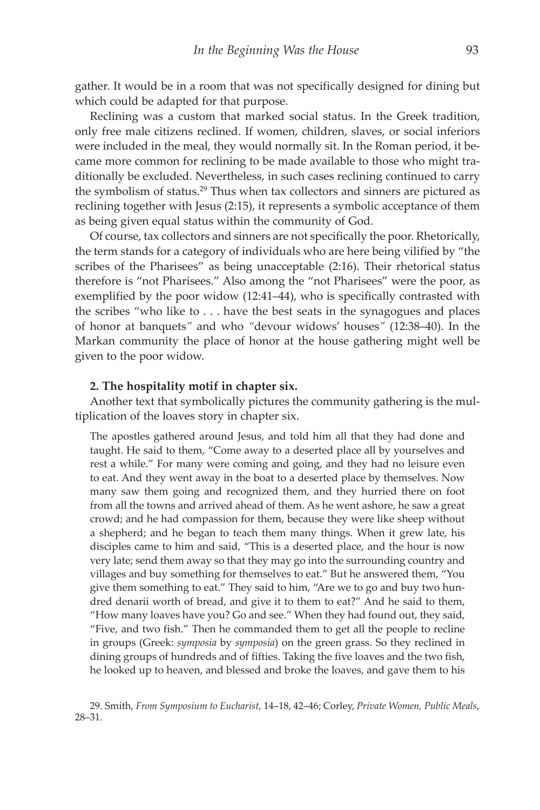gather. It would be in a room that was not specifically designed for dining but which could be adapted for that purpose.

Reclining was a custom that marked social status. In the Greek tradition, only free male citizens reclined. If women, children, slaves, or social inferiors were included in the meal, they would normally sit. In the Roman period, it became more common for reclining to be made available to those who might traditionally be excluded. Nevertheless, in such cases reclining continued to carry the symbolism of status.<sup>29</sup> Thus when tax collectors and sinners are pictured as reclining together with Jesus (2:15), it represents a symbolic acceptance of them as being given equal status within the community of God.

Of course, tax collectors and sinners are not specifically the poor. Rhetorically, the term stands for a category of individuals who are here being vilified by "the scribes of the Pharisees" as being unacceptable (2:16). Their rhetorical status therefore is "not Pharisees." Also among the "not Pharisees" were the poor, as exemplified by the poor widow (12:41–44), who is specifically contrasted with the scribes "who like to .  $\ldots$  have the best seats in the synagogues and places of honor at banquets*"* and who *"*devour widows' houses*"* (12:38–40). In the Markan community the place of honor at the house gathering might well be given to the poor widow.

# **2. The hospitality motif in chapter six.**

Another text that symbolically pictures the community gathering is the multiplication of the loaves story in chapter six.

The apostles gathered around Jesus, and told him all that they had done and taught. He said to them, "Come away to a deserted place all by yourselves and rest a while." For many were coming and going, and they had no leisure even to eat. And they went away in the boat to a deserted place by themselves. Now many saw them going and recognized them, and they hurried there on foot from all the towns and arrived ahead of them. As he went ashore, he saw a great crowd; and he had compassion for them, because they were like sheep without a shepherd; and he began to teach them many things. When it grew late, his disciples came to him and said, "This is a deserted place, and the hour is now very late; send them away so that they may go into the surrounding country and villages and buy something for themselves to eat." But he answered them, "You give them something to eat." They said to him, "Are we to go and buy two hundred denarii worth of bread, and give it to them to eat?" And he said to them, "How many loaves have you? Go and see." When they had found out, they said, "Five, and two fish." Then he commanded them to get all the people to recline in groups (Greek: *symposia* by *symposia*) on the green grass. So they reclined in dining groups of hundreds and of fifties. Taking the five loaves and the two fish, he looked up to heaven, and blessed and broke the loaves, and gave them to his

29. Smith, *From Symposium to Eucharist*, 14–18, 42–46; Corley, *Private Women, Public Meals*, 28–31.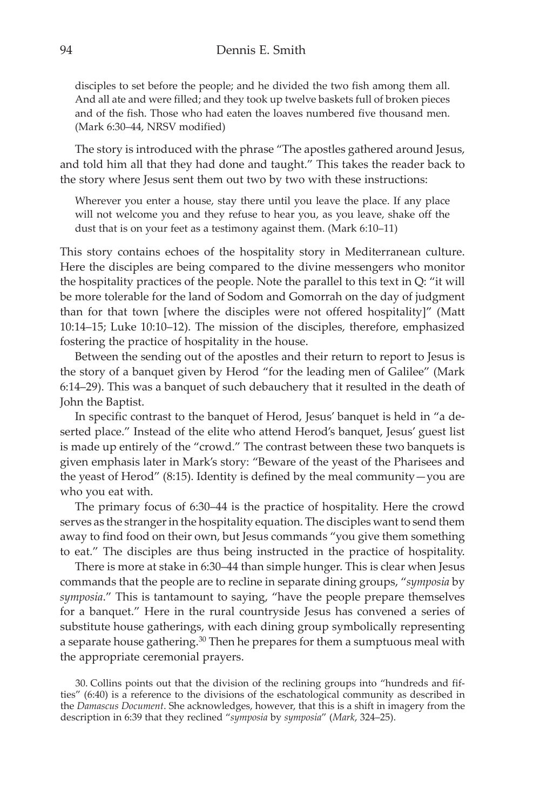disciples to set before the people; and he divided the two fish among them all. And all ate and were filled; and they took up twelve baskets full of broken pieces and of the fish. Those who had eaten the loaves numbered five thousand men. (Mark 6:30–44, NRSV modified)

The story is introduced with the phrase "The apostles gathered around Jesus, and told him all that they had done and taught." This takes the reader back to the story where Jesus sent them out two by two with these instructions:

Wherever you enter a house, stay there until you leave the place. If any place will not welcome you and they refuse to hear you, as you leave, shake off the dust that is on your feet as a testimony against them. (Mark 6:10–11)

This story contains echoes of the hospitality story in Mediterranean culture. Here the disciples are being compared to the divine messengers who monitor the hospitality practices of the people. Note the parallel to this text in Q: "it will be more tolerable for the land of Sodom and Gomorrah on the day of judgment than for that town [where the disciples were not offered hospitality]" (Matt 10:14–15; Luke 10:10–12). The mission of the disciples, therefore, emphasized fostering the practice of hospitality in the house.

Between the sending out of the apostles and their return to report to Jesus is the story of a banquet given by Herod "for the leading men of Galilee" (Mark 6:14–29). This was a banquet of such debauchery that it resulted in the death of John the Baptist.

In specific contrast to the banquet of Herod, Jesus' banquet is held in "a deserted place." Instead of the elite who attend Herod's banquet, Jesus' guest list is made up entirely of the "crowd." The contrast between these two banquets is given emphasis later in Mark's story: "Beware of the yeast of the Pharisees and the yeast of Herod" (8:15). Identity is defined by the meal community—you are who you eat with.

The primary focus of 6:30–44 is the practice of hospitality. Here the crowd serves as the stranger in the hospitality equation. The disciples want to send them away to find food on their own, but Jesus commands "you give them something to eat." The disciples are thus being instructed in the practice of hospitality.

There is more at stake in 6:30–44 than simple hunger. This is clear when Jesus commands that the people are to recline in separate dining groups, "*symposia* by *symposia*." This is tantamount to saying, "have the people prepare themselves for a banquet." Here in the rural countryside Jesus has convened a series of substitute house gatherings, with each dining group symbolically representing a separate house gathering.<sup>30</sup> Then he prepares for them a sumptuous meal with the appropriate ceremonial prayers.

 30. Collins points out that the division of the reclining groups into "hundreds and fifties" (6:40) is a reference to the divisions of the eschatological community as described in the *Damascus Document*. She acknowledges, however, that this is a shift in imagery from the description in 6:39 that they reclined "*symposia* by *symposia*" (*Mark*, 324–25).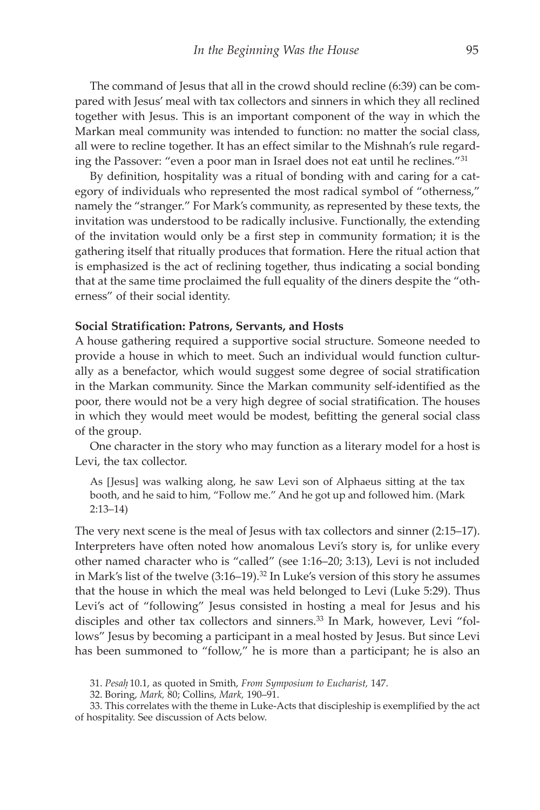The command of Jesus that all in the crowd should recline (6:39) can be compared with Jesus' meal with tax collectors and sinners in which they all reclined together with Jesus. This is an important component of the way in which the Markan meal community was intended to function: no matter the social class, all were to recline together. It has an effect similar to the Mishnah's rule regarding the Passover: "even a poor man in Israel does not eat until he reclines."31

By definition, hospitality was a ritual of bonding with and caring for a category of individuals who represented the most radical symbol of "otherness," namely the "stranger." For Mark's community, as represented by these texts, the invitation was understood to be radically inclusive. Functionally, the extending of the invitation would only be a first step in community formation; it is the gathering itself that ritually produces that formation. Here the ritual action that is emphasized is the act of reclining together, thus indicating a social bonding that at the same time proclaimed the full equality of the diners despite the "otherness" of their social identity.

#### **Social Stratification: Patrons, Servants, and Hosts**

A house gathering required a supportive social structure. Someone needed to provide a house in which to meet. Such an individual would function culturally as a benefactor, which would suggest some degree of social stratification in the Markan community. Since the Markan community self-identified as the poor, there would not be a very high degree of social stratification. The houses in which they would meet would be modest, befitting the general social class of the group.

One character in the story who may function as a literary model for a host is Levi, the tax collector.

As [Jesus] was walking along, he saw Levi son of Alphaeus sitting at the tax booth, and he said to him, "Follow me." And he got up and followed him. (Mark 2:13–14)

The very next scene is the meal of Jesus with tax collectors and sinner (2:15–17). Interpreters have often noted how anomalous Levi's story is, for unlike every other named character who is "called" (see 1:16–20; 3:13), Levi is not included in Mark's list of the twelve (3:16–19).<sup>32</sup> In Luke's version of this story he assumes that the house in which the meal was held belonged to Levi (Luke 5:29). Thus Levi's act of "following" Jesus consisted in hosting a meal for Jesus and his disciples and other tax collectors and sinners.33 In Mark, however, Levi "follows" Jesus by becoming a participant in a meal hosted by Jesus. But since Levi has been summoned to "follow," he is more than a participant; he is also an

31. *Pesaḥ* 10.1, as quoted in Smith, *From Symposium to Eucharist,* 147.

32. Boring, *Mark,* 80; Collins, *Mark,* 190–91.

 33. This correlates with the theme in Luke-Acts that discipleship is exemplified by the act of hospitality. See discussion of Acts below.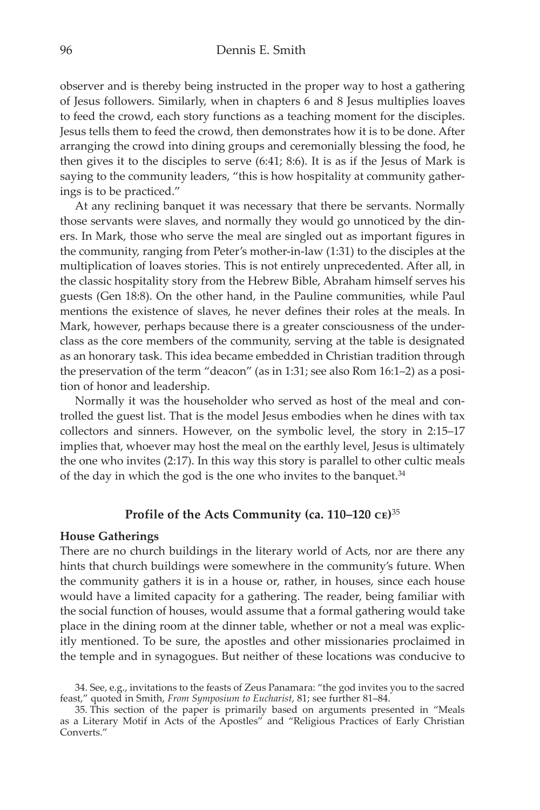observer and is thereby being instructed in the proper way to host a gathering of Jesus followers. Similarly, when in chapters 6 and 8 Jesus multiplies loaves to feed the crowd, each story functions as a teaching moment for the disciples. Jesus tells them to feed the crowd, then demonstrates how it is to be done. After arranging the crowd into dining groups and ceremonially blessing the food, he then gives it to the disciples to serve (6:41; 8:6). It is as if the Jesus of Mark is saying to the community leaders, "this is how hospitality at community gatherings is to be practiced."

At any reclining banquet it was necessary that there be servants. Normally those servants were slaves, and normally they would go unnoticed by the diners. In Mark, those who serve the meal are singled out as important figures in the community, ranging from Peter's mother-in-law (1:31) to the disciples at the multiplication of loaves stories. This is not entirely unprecedented. After all, in the classic hospitality story from the Hebrew Bible, Abraham himself serves his guests (Gen 18:8). On the other hand, in the Pauline communities, while Paul mentions the existence of slaves, he never defines their roles at the meals. In Mark, however, perhaps because there is a greater consciousness of the underclass as the core members of the community, serving at the table is designated as an honorary task. This idea became embedded in Christian tradition through the preservation of the term "deacon" (as in 1:31; see also Rom 16:1–2) as a position of honor and leadership.

Normally it was the householder who served as host of the meal and controlled the guest list. That is the model Jesus embodies when he dines with tax collectors and sinners. However, on the symbolic level, the story in 2:15–17 implies that, whoever may host the meal on the earthly level, Jesus is ultimately the one who invites (2:17). In this way this story is parallel to other cultic meals of the day in which the god is the one who invites to the banquet.<sup>34</sup>

# **Profile of the Acts Community (ca. 110–120 ce)**<sup>35</sup>

#### **House Gatherings**

There are no church buildings in the literary world of Acts, nor are there any hints that church buildings were somewhere in the community's future. When the community gathers it is in a house or, rather, in houses, since each house would have a limited capacity for a gathering. The reader, being familiar with the social function of houses, would assume that a formal gathering would take place in the dining room at the dinner table, whether or not a meal was explicitly mentioned. To be sure, the apostles and other missionaries proclaimed in the temple and in synagogues. But neither of these locations was conducive to

 <sup>34.</sup> See, e.g., invitations to the feasts of Zeus Panamara: "the god invites you to the sacred feast," quoted in Smith, *From Symposium to Eucharist*, 81; see further 81–84.

 <sup>35.</sup> This section of the paper is primarily based on arguments presented in "Meals as a Literary Motif in Acts of the Apostles" and "Religious Practices of Early Christian Converts."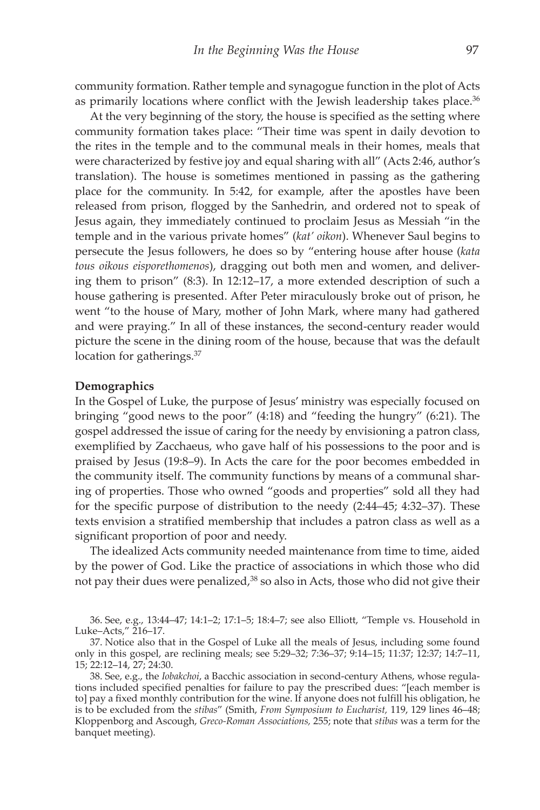community formation. Rather temple and synagogue function in the plot of Acts as primarily locations where conflict with the Jewish leadership takes place. $36$ 

At the very beginning of the story, the house is specified as the setting where community formation takes place: "Their time was spent in daily devotion to the rites in the temple and to the communal meals in their homes, meals that were characterized by festive joy and equal sharing with all" (Acts 2:46, author's translation). The house is sometimes mentioned in passing as the gathering place for the community. In 5:42, for example, after the apostles have been released from prison, flogged by the Sanhedrin, and ordered not to speak of Jesus again, they immediately continued to proclaim Jesus as Messiah "in the temple and in the various private homes" (*kat' oikon*). Whenever Saul begins to persecute the Jesus followers, he does so by "entering house after house (*kata tous oikous eisporethomenos*), dragging out both men and women, and delivering them to prison" (8:3). In 12:12–17, a more extended description of such a house gathering is presented. After Peter miraculously broke out of prison, he went "to the house of Mary, mother of John Mark, where many had gathered and were praying." In all of these instances, the second-century reader would picture the scene in the dining room of the house, because that was the default location for gatherings.<sup>37</sup>

# **Demographics**

In the Gospel of Luke, the purpose of Jesus' ministry was especially focused on bringing "good news to the poor" (4:18) and "feeding the hungry" (6:21). The gospel addressed the issue of caring for the needy by envisioning a patron class, exemplified by Zacchaeus, who gave half of his possessions to the poor and is praised by Jesus (19:8–9). In Acts the care for the poor becomes embedded in the community itself. The community functions by means of a communal sharing of properties. Those who owned "goods and properties" sold all they had for the specific purpose of distribution to the needy (2:44–45; 4:32–37). These texts envision a stratified membership that includes a patron class as well as a significant proportion of poor and needy.

The idealized Acts community needed maintenance from time to time, aided by the power of God. Like the practice of associations in which those who did not pay their dues were penalized,<sup>38</sup> so also in Acts, those who did not give their

36. See, e.g., 13:44–47; 14:1–2; 17:1–5; 18:4–7; see also Elliott, "Temple vs. Household in Luke–Acts," 216–17.

37. Notice also that in the Gospel of Luke all the meals of Jesus, including some found only in this gospel, are reclining meals; see 5:29–32; 7:36–37; 9:14–15; 11:37; 12:37; 14:7–11, 15; 22:12–14, 27; 24:30.

38. See, e.g., the *Iobakchoi*, a Bacchic association in second-century Athens, whose regulations included specified penalties for failure to pay the prescribed dues: "[each member is to] pay a fixed monthly contribution for the wine. If anyone does not fulfill his obligation, he is to be excluded from the *stibas*" (Smith, *From Symposium to Eucharist,* 119, 129 lines 46–48; Kloppenborg and Ascough, *Greco-Roman Associations,* 255; note that *stibas* was a term for the banquet meeting).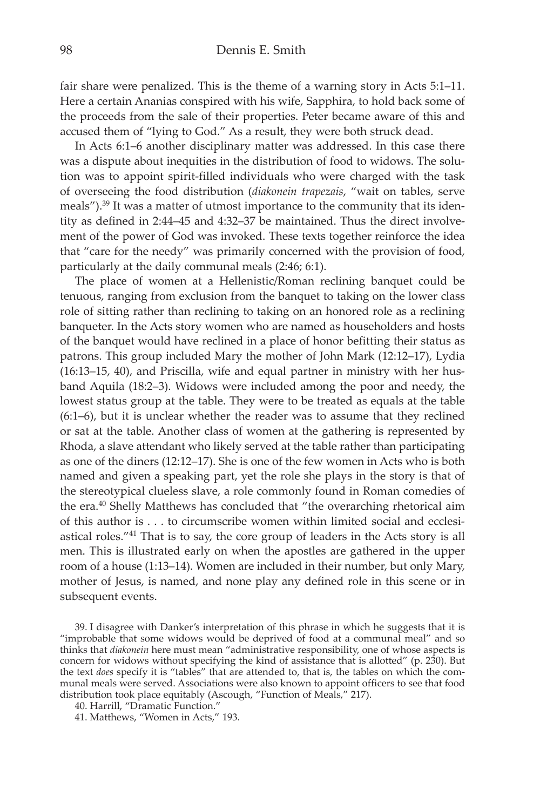fair share were penalized. This is the theme of a warning story in Acts 5:1–11. Here a certain Ananias conspired with his wife, Sapphira, to hold back some of the proceeds from the sale of their properties. Peter became aware of this and accused them of "lying to God." As a result, they were both struck dead.

In Acts 6:1–6 another disciplinary matter was addressed. In this case there was a dispute about inequities in the distribution of food to widows. The solution was to appoint spirit-filled individuals who were charged with the task of overseeing the food distribution (*diakonein trapezais*, "wait on tables, serve meals").39 It was a matter of utmost importance to the community that its identity as defined in 2:44–45 and 4:32–37 be maintained. Thus the direct involvement of the power of God was invoked. These texts together reinforce the idea that "care for the needy" was primarily concerned with the provision of food, particularly at the daily communal meals (2:46; 6:1).

The place of women at a Hellenistic/Roman reclining banquet could be tenuous, ranging from exclusion from the banquet to taking on the lower class role of sitting rather than reclining to taking on an honored role as a reclining banqueter. In the Acts story women who are named as householders and hosts of the banquet would have reclined in a place of honor befitting their status as patrons. This group included Mary the mother of John Mark (12:12–17), Lydia (16:13–15, 40), and Priscilla, wife and equal partner in ministry with her husband Aquila (18:2–3). Widows were included among the poor and needy, the lowest status group at the table. They were to be treated as equals at the table (6:1–6), but it is unclear whether the reader was to assume that they reclined or sat at the table. Another class of women at the gathering is represented by Rhoda, a slave attendant who likely served at the table rather than participating as one of the diners (12:12–17). She is one of the few women in Acts who is both named and given a speaking part, yet the role she plays in the story is that of the stereotypical clueless slave, a role commonly found in Roman comedies of the era.<sup>40</sup> Shelly Matthews has concluded that "the overarching rhetorical aim of this author is . . . to circumscribe women within limited social and ecclesiastical roles."41 That is to say, the core group of leaders in the Acts story is all men. This is illustrated early on when the apostles are gathered in the upper room of a house (1:13–14). Women are included in their number, but only Mary, mother of Jesus, is named, and none play any defined role in this scene or in subsequent events.

 39. I disagree with Danker's interpretation of this phrase in which he suggests that it is "improbable that some widows would be deprived of food at a communal meal" and so thinks that *diakonein* here must mean "administrative responsibility, one of whose aspects is concern for widows without specifying the kind of assistance that is allotted" (p. 230). But the text *does* specify it is "tables" that are attended to, that is, the tables on which the communal meals were served. Associations were also known to appoint officers to see that food distribution took place equitably (Ascough, "Function of Meals," 217).

41. Matthews, "Women in Acts," 193.

 <sup>40.</sup> Harrill, "Dramatic Function."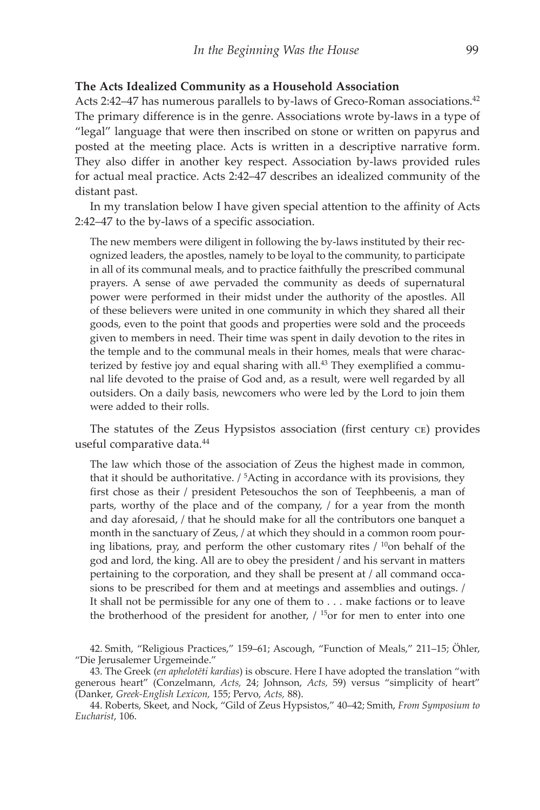# **The Acts Idealized Community as a Household Association**

Acts 2:42–47 has numerous parallels to by-laws of Greco-Roman associations.<sup>42</sup> The primary difference is in the genre. Associations wrote by-laws in a type of "legal" language that were then inscribed on stone or written on papyrus and posted at the meeting place. Acts is written in a descriptive narrative form. They also differ in another key respect. Association by-laws provided rules for actual meal practice. Acts 2:42–47 describes an idealized community of the distant past.

In my translation below I have given special attention to the affinity of Acts 2:42–47 to the by-laws of a specific association.

The new members were diligent in following the by-laws instituted by their recognized leaders, the apostles, namely to be loyal to the community, to participate in all of its communal meals, and to practice faithfully the prescribed communal prayers. A sense of awe pervaded the community as deeds of supernatural power were performed in their midst under the authority of the apostles. All of these believers were united in one community in which they shared all their goods, even to the point that goods and properties were sold and the proceeds given to members in need. Their time was spent in daily devotion to the rites in the temple and to the communal meals in their homes, meals that were characterized by festive joy and equal sharing with all.<sup>43</sup> They exemplified a communal life devoted to the praise of God and, as a result, were well regarded by all outsiders. On a daily basis, newcomers who were led by the Lord to join them were added to their rolls.

The statutes of the Zeus Hypsistos association (first century ce) provides useful comparative data.44

The law which those of the association of Zeus the highest made in common, that it should be authoritative.  $/5$  Acting in accordance with its provisions, they first chose as their / president Petesouchos the son of Teephbeenis, a man of parts, worthy of the place and of the company, / for a year from the month and day aforesaid, / that he should make for all the contributors one banquet a month in the sanctuary of Zeus, / at which they should in a common room pouring libations, pray, and perform the other customary rites  $/10$ on behalf of the god and lord, the king. All are to obey the president / and his servant in matters pertaining to the corporation, and they shall be present at / all command occasions to be prescribed for them and at meetings and assemblies and outings. / It shall not be permissible for any one of them to . . . make factions or to leave the brotherhood of the president for another,  $/15$ or for men to enter into one

42. Smith, "Religious Practices," 159–61; Ascough, "Function of Meals," 211–15; Öhler, "Die Jerusalemer Urgemeinde."

43. The Greek (*en aphelotēti kardias*) is obscure. Here I have adopted the translation "with generous heart" (Conzelmann, *Acts,* 24; Johnson, *Acts,* 59) versus "simplicity of heart" (Danker, *Greek-English Lexicon,* 155; Pervo, *Acts,* 88).

 44. Roberts, Skeet, and Nock, "Gild of Zeus Hypsistos," 40–42; Smith, *From Symposium to Eucharist*, 106.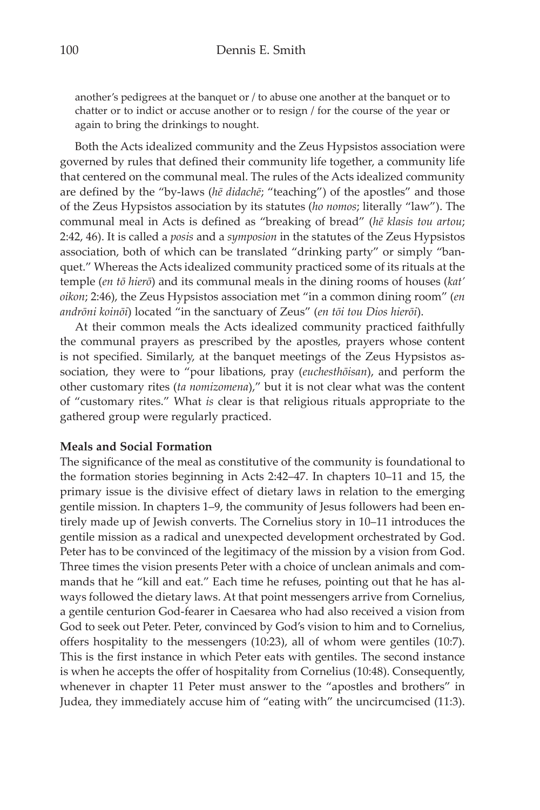another's pedigrees at the banquet or / to abuse one another at the banquet or to chatter or to indict or accuse another or to resign / for the course of the year or again to bring the drinkings to nought.

Both the Acts idealized community and the Zeus Hypsistos association were governed by rules that defined their community life together, a community life that centered on the communal meal. The rules of the Acts idealized community are defined by the "by-laws (*hē didachē*; "teaching") of the apostles" and those of the Zeus Hypsistos association by its statutes (*ho nomos*; literally "law"). The communal meal in Acts is defined as "breaking of bread" (*hē klasis tou artou*; 2:42, 46). It is called a *posis* and a *symposion* in the statutes of the Zeus Hypsistos association, both of which can be translated "drinking party" or simply "banquet." Whereas the Acts idealized community practiced some of its rituals at the temple (*en tō hierō*) and its communal meals in the dining rooms of houses (*kat' oikon*; 2:46), the Zeus Hypsistos association met "in a common dining room" (*en andrōni koinōi*) located "in the sanctuary of Zeus" (*en tōi tou Dios hierōi*).

At their common meals the Acts idealized community practiced faithfully the communal prayers as prescribed by the apostles, prayers whose content is not specified. Similarly, at the banquet meetings of the Zeus Hypsistos association, they were to "pour libations, pray (*euchesthōisan*), and perform the other customary rites (*ta nomizomena*)," but it is not clear what was the content of "customary rites." What *is* clear is that religious rituals appropriate to the gathered group were regularly practiced.

### **Meals and Social Formation**

The significance of the meal as constitutive of the community is foundational to the formation stories beginning in Acts 2:42–47. In chapters 10–11 and 15, the primary issue is the divisive effect of dietary laws in relation to the emerging gentile mission. In chapters 1–9, the community of Jesus followers had been entirely made up of Jewish converts. The Cornelius story in 10–11 introduces the gentile mission as a radical and unexpected development orchestrated by God. Peter has to be convinced of the legitimacy of the mission by a vision from God. Three times the vision presents Peter with a choice of unclean animals and commands that he "kill and eat." Each time he refuses, pointing out that he has always followed the dietary laws. At that point messengers arrive from Cornelius, a gentile centurion God-fearer in Caesarea who had also received a vision from God to seek out Peter. Peter, convinced by God's vision to him and to Cornelius, offers hospitality to the messengers (10:23), all of whom were gentiles (10:7). This is the first instance in which Peter eats with gentiles. The second instance is when he accepts the offer of hospitality from Cornelius (10:48). Consequently, whenever in chapter 11 Peter must answer to the "apostles and brothers" in Judea, they immediately accuse him of "eating with" the uncircumcised (11:3).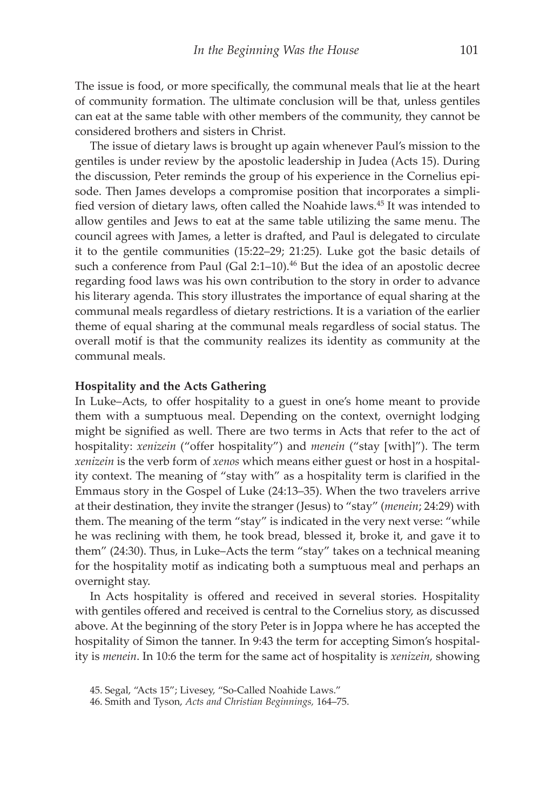The issue is food, or more specifically, the communal meals that lie at the heart of community formation. The ultimate conclusion will be that, unless gentiles can eat at the same table with other members of the community, they cannot be considered brothers and sisters in Christ.

The issue of dietary laws is brought up again whenever Paul's mission to the gentiles is under review by the apostolic leadership in Judea (Acts 15). During the discussion, Peter reminds the group of his experience in the Cornelius episode. Then James develops a compromise position that incorporates a simplified version of dietary laws, often called the Noahide laws.<sup>45</sup> It was intended to allow gentiles and Jews to eat at the same table utilizing the same menu. The council agrees with James, a letter is drafted, and Paul is delegated to circulate it to the gentile communities (15:22–29; 21:25). Luke got the basic details of such a conference from Paul (Gal 2:1-10).<sup>46</sup> But the idea of an apostolic decree regarding food laws was his own contribution to the story in order to advance his literary agenda. This story illustrates the importance of equal sharing at the communal meals regardless of dietary restrictions. It is a variation of the earlier theme of equal sharing at the communal meals regardless of social status. The overall motif is that the community realizes its identity as community at the communal meals.

# **Hospitality and the Acts Gathering**

In Luke–Acts, to offer hospitality to a guest in one's home meant to provide them with a sumptuous meal. Depending on the context, overnight lodging might be signified as well. There are two terms in Acts that refer to the act of hospitality: *xenizein* ("offer hospitality") and *menein* ("stay [with]"). The term *xenizein* is the verb form of *xenos* which means either guest or host in a hospitality context. The meaning of "stay with" as a hospitality term is clarified in the Emmaus story in the Gospel of Luke (24:13–35). When the two travelers arrive at their destination, they invite the stranger (Jesus) to "stay" (*menein*; 24:29) with them. The meaning of the term "stay" is indicated in the very next verse: "while he was reclining with them, he took bread, blessed it, broke it, and gave it to them" (24:30). Thus, in Luke–Acts the term "stay" takes on a technical meaning for the hospitality motif as indicating both a sumptuous meal and perhaps an overnight stay.

In Acts hospitality is offered and received in several stories. Hospitality with gentiles offered and received is central to the Cornelius story, as discussed above. At the beginning of the story Peter is in Joppa where he has accepted the hospitality of Simon the tanner. In 9:43 the term for accepting Simon's hospitality is *menein*. In 10:6 the term for the same act of hospitality is *xenizein,* showing

<sup>45.</sup> Segal, "Acts 15"; Livesey, "So-Called Noahide Laws."

<sup>46.</sup> Smith and Tyson, *Acts and Christian Beginnings,* 164–75.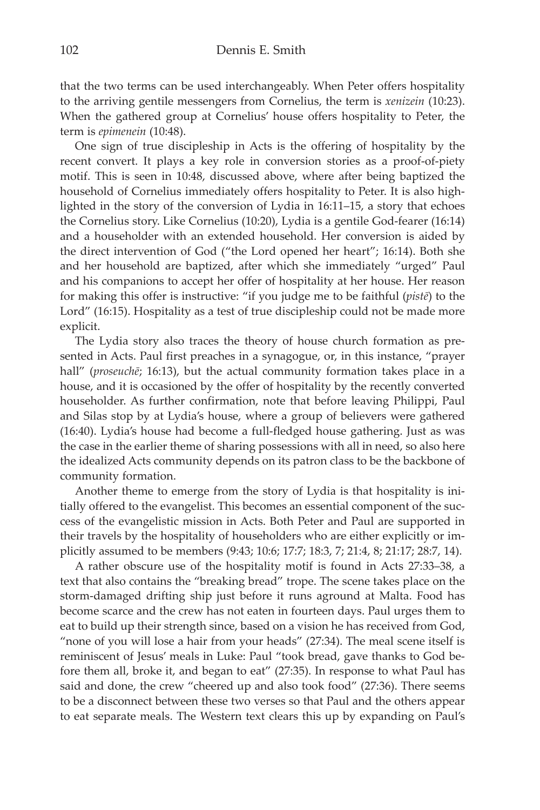that the two terms can be used interchangeably. When Peter offers hospitality to the arriving gentile messengers from Cornelius, the term is *xenizein* (10:23). When the gathered group at Cornelius' house offers hospitality to Peter, the term is *epimenein* (10:48).

One sign of true discipleship in Acts is the offering of hospitality by the recent convert. It plays a key role in conversion stories as a proof-of-piety motif. This is seen in 10:48, discussed above, where after being baptized the household of Cornelius immediately offers hospitality to Peter. It is also highlighted in the story of the conversion of Lydia in 16:11–15, a story that echoes the Cornelius story. Like Cornelius (10:20), Lydia is a gentile God-fearer (16:14) and a householder with an extended household. Her conversion is aided by the direct intervention of God ("the Lord opened her heart"; 16:14). Both she and her household are baptized, after which she immediately "urged" Paul and his companions to accept her offer of hospitality at her house. Her reason for making this offer is instructive: "if you judge me to be faithful (*pistē*) to the Lord" (16:15). Hospitality as a test of true discipleship could not be made more explicit.

The Lydia story also traces the theory of house church formation as presented in Acts. Paul first preaches in a synagogue, or, in this instance, "prayer hall" (*proseuchē*; 16:13), but the actual community formation takes place in a house, and it is occasioned by the offer of hospitality by the recently converted householder. As further confirmation, note that before leaving Philippi, Paul and Silas stop by at Lydia's house, where a group of believers were gathered (16:40). Lydia's house had become a full-fledged house gathering. Just as was the case in the earlier theme of sharing possessions with all in need, so also here the idealized Acts community depends on its patron class to be the backbone of community formation.

Another theme to emerge from the story of Lydia is that hospitality is initially offered to the evangelist. This becomes an essential component of the success of the evangelistic mission in Acts. Both Peter and Paul are supported in their travels by the hospitality of householders who are either explicitly or implicitly assumed to be members (9:43; 10:6; 17:7; 18:3, 7; 21:4, 8; 21:17; 28:7, 14).

A rather obscure use of the hospitality motif is found in Acts 27:33–38, a text that also contains the "breaking bread" trope. The scene takes place on the storm-damaged drifting ship just before it runs aground at Malta. Food has become scarce and the crew has not eaten in fourteen days. Paul urges them to eat to build up their strength since, based on a vision he has received from God, "none of you will lose a hair from your heads" (27:34). The meal scene itself is reminiscent of Jesus' meals in Luke: Paul "took bread, gave thanks to God before them all, broke it, and began to eat" (27:35). In response to what Paul has said and done, the crew "cheered up and also took food" (27:36). There seems to be a disconnect between these two verses so that Paul and the others appear to eat separate meals. The Western text clears this up by expanding on Paul's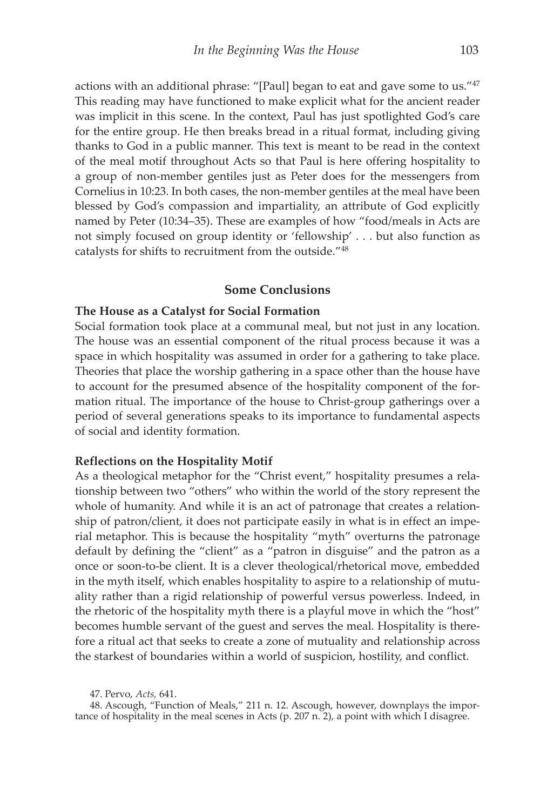actions with an additional phrase: "[Paul] began to eat and gave some to us."47 This reading may have functioned to make explicit what for the ancient reader was implicit in this scene. In the context, Paul has just spotlighted God's care for the entire group. He then breaks bread in a ritual format, including giving thanks to God in a public manner. This text is meant to be read in the context of the meal motif throughout Acts so that Paul is here offering hospitality to a group of non-member gentiles just as Peter does for the messengers from Cornelius in 10:23. In both cases, the non-member gentiles at the meal have been blessed by God's compassion and impartiality, an attribute of God explicitly named by Peter (10:34–35). These are examples of how "food/meals in Acts are not simply focused on group identity or 'fellowship' . . . but also function as catalysts for shifts to recruitment from the outside."48

# **Some Conclusions**

# **The House as a Catalyst for Social Formation**

Social formation took place at a communal meal, but not just in any location. The house was an essential component of the ritual process because it was a space in which hospitality was assumed in order for a gathering to take place. Theories that place the worship gathering in a space other than the house have to account for the presumed absence of the hospitality component of the formation ritual. The importance of the house to Christ-group gatherings over a period of several generations speaks to its importance to fundamental aspects of social and identity formation.

#### **Reflections on the Hospitality Motif**

As a theological metaphor for the "Christ event," hospitality presumes a relationship between two "others" who within the world of the story represent the whole of humanity. And while it is an act of patronage that creates a relationship of patron/client, it does not participate easily in what is in effect an imperial metaphor. This is because the hospitality "myth" overturns the patronage default by defining the "client" as a "patron in disguise" and the patron as a once or soon-to-be client. It is a clever theological/rhetorical move, embedded in the myth itself, which enables hospitality to aspire to a relationship of mutuality rather than a rigid relationship of powerful versus powerless. Indeed, in the rhetoric of the hospitality myth there is a playful move in which the "host" becomes humble servant of the guest and serves the meal. Hospitality is therefore a ritual act that seeks to create a zone of mutuality and relationship across the starkest of boundaries within a world of suspicion, hostility, and conflict.

47. Pervo, *Acts,* 641.

48. Ascough, "Function of Meals," 211 n. 12. Ascough, however, downplays the importance of hospitality in the meal scenes in Acts (p. 207 n. 2), a point with which I disagree.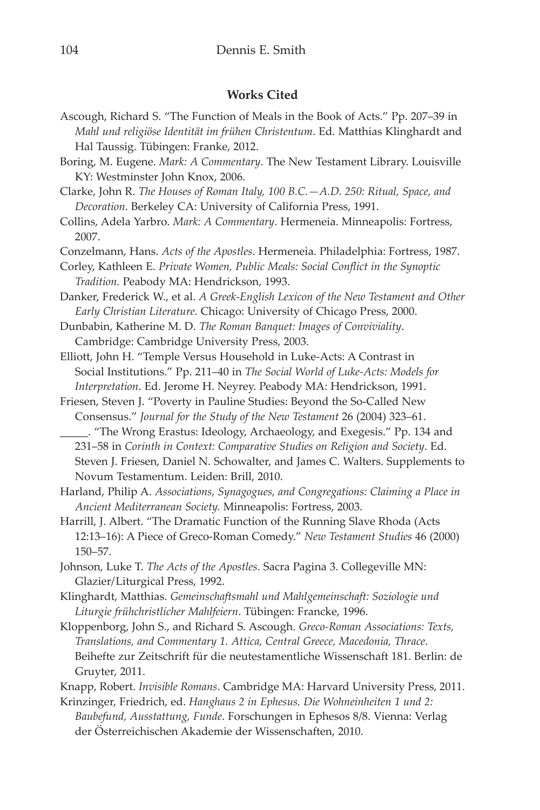# **Works Cited**

- Ascough, Richard S. "The Function of Meals in the Book of Acts." Pp. 207–39 in *Mahl und religiöse Identität im frühen Christentum*. Ed. Matthias Klinghardt and Hal Taussig. Tübingen: Franke, 2012.
- Boring, M. Eugene. *Mark: A Commentary*. The New Testament Library. Louisville KY: Westminster John Knox, 2006.
- Clarke, John R. *The Houses of Roman Italy, 100 B.C.—A.D. 250: Ritual, Space, and Decoration*. Berkeley CA: University of California Press, 1991.
- Collins, Adela Yarbro. *Mark: A Commentary*. Hermeneia. Minneapolis: Fortress, 2007.

Conzelmann, Hans. *Acts of the Apostles*. Hermeneia. Philadelphia: Fortress, 1987.

- Corley, Kathleen E. *Private Women, Public Meals: Social Conflict in the Synoptic Tradition.* Peabody MA: Hendrickson, 1993.
- Danker, Frederick W., et al. *A Greek-English Lexicon of the New Testament and Other Early Christian Literature*. Chicago: University of Chicago Press, 2000.
- Dunbabin, Katherine M. D. *The Roman Banquet: Images of Conviviality*. Cambridge: Cambridge University Press, 2003.
- Elliott, John H. "Temple Versus Household in Luke-Acts: A Contrast in Social Institutions." Pp. 211–40 in *The Social World of Luke-Acts: Models for Interpretation*. Ed. Jerome H. Neyrey. Peabody MA: Hendrickson, 1991.
- Friesen, Steven J. "Poverty in Pauline Studies: Beyond the So-Called New Consensus." *Journal for the Study of the New Testament* 26 (2004) 323–61.
	- \_\_\_\_\_. "The Wrong Erastus: Ideology, Archaeology, and Exegesis." Pp. 134 and 231–58 in *Corinth in Context: Comparative Studies on Religion and Society*. Ed. Steven J. Friesen, Daniel N. Schowalter, and James C. Walters. Supplements to Novum Testamentum. Leiden: Brill, 2010.
- Harland, Philip A. *Associations, Synagogues, and Congregations: Claiming a Place in Ancient Mediterranean Society.* Minneapolis: Fortress, 2003.
- Harrill, J. Albert. "The Dramatic Function of the Running Slave Rhoda (Acts 12:13–16): A Piece of Greco-Roman Comedy." *New Testament Studies* 46 (2000) 150–57.
- Johnson, Luke T. *The Acts of the Apostles*. Sacra Pagina 3. Collegeville MN: Glazier/Liturgical Press, 1992.
- Klinghardt, Matthias. *Gemeinschaftsmahl und Mahlgemeinschaft: Soziologie und Liturgie frühchristlicher Mahlfeiern*. Tübingen: Francke, 1996.
- Kloppenborg, John S., and Richard S. Ascough. *Greco-Roman Associations: Texts, Translations, and Commentary 1. Attica, Central Greece, Macedonia, Thrace*. Beihefte zur Zeitschrift für die neutestamentliche Wissenschaft 181. Berlin: de Gruyter, 2011.
- Knapp, Robert. *Invisible Romans*. Cambridge MA: Harvard University Press, 2011.
- Krinzinger, Friedrich, ed. *Hanghaus 2 in Ephesus. Die Wohneinheiten 1 und 2: Baubefund, Ausstattung, Funde*. Forschungen in Ephesos 8/8. Vienna: Verlag der Österreichischen Akademie der Wissenschaften, 2010.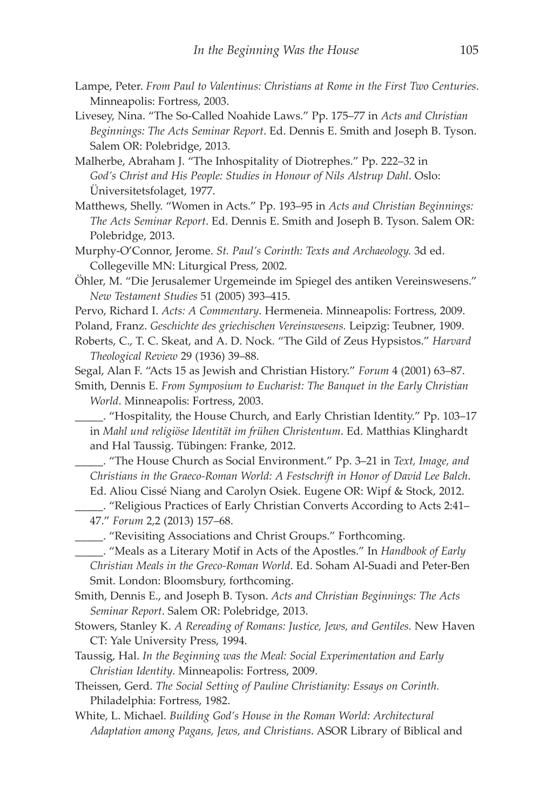- Lampe, Peter. *From Paul to Valentinus: Christians at Rome in the First Two Centuries*. Minneapolis: Fortress, 2003.
- Livesey, Nina. "The So-Called Noahide Laws." Pp. 175–77 in *Acts and Christian Beginnings: The Acts Seminar Report*. Ed. Dennis E. Smith and Joseph B. Tyson. Salem OR: Polebridge, 2013.
- Malherbe, Abraham J. "The Inhospitality of Diotrephes." Pp. 222–32 in *God's Christ and His People: Studies in Honour of Nils Alstrup Dahl*. Oslo: Üniversitetsfolaget, 1977.
- Matthews, Shelly. "Women in Acts." Pp. 193–95 in *Acts and Christian Beginnings: The Acts Seminar Report*. Ed. Dennis E. Smith and Joseph B. Tyson. Salem OR: Polebridge, 2013.
- Murphy-O'Connor, Jerome. *St. Paul's Corinth: Texts and Archaeology.* 3d ed. Collegeville MN: Liturgical Press, 2002.
- Öhler, M. "Die Jerusalemer Urgemeinde im Spiegel des antiken Vereinswesens." *New Testament Studies* 51 (2005) 393–415.
- Pervo, Richard I. *Acts: A Commentary*. Hermeneia. Minneapolis: Fortress, 2009.
- Poland, Franz. *Geschichte des griechischen Vereinswesens.* Leipzig: Teubner, 1909.
- Roberts, C., T. C. Skeat, and A. D. Nock. "The Gild of Zeus Hypsistos." *Harvard Theological Review* 29 (1936) 39–88.
- Segal, Alan F. "Acts 15 as Jewish and Christian History." *Forum* 4 (2001) 63–87.
- Smith, Dennis E. *From Symposium to Eucharist: The Banquet in the Early Christian World*. Minneapolis: Fortress, 2003.

\_\_\_\_\_. "Hospitality, the House Church, and Early Christian Identity." Pp. 103–17 in *Mahl und religiöse Identität im frühen Christentum*. Ed. Matthias Klinghardt and Hal Taussig. Tübingen: Franke, 2012.

\_\_\_\_\_. "The House Church as Social Environment." Pp. 3–21 in *Text, Image, and Christians in the Graeco-Roman World: A Festschrift in Honor of David Lee Balch*.

Ed. Aliou Cissé Niang and Carolyn Osiek. Eugene OR: Wipf & Stock, 2012.

- \_\_\_\_\_. "Religious Practices of Early Christian Converts According to Acts 2:41– 47." *Forum* 2,2 (2013) 157–68.
- \_\_\_\_\_. "Revisiting Associations and Christ Groups." Forthcoming.

\_\_\_\_\_. "Meals as a Literary Motif in Acts of the Apostles." In *Handbook of Early Christian Meals in the Greco-Roman World*. Ed. Soham Al-Suadi and Peter-Ben Smit. London: Bloomsbury, forthcoming.

- Smith, Dennis E., and Joseph B. Tyson. *Acts and Christian Beginnings: The Acts Seminar Report*. Salem OR: Polebridge, 2013.
- Stowers, Stanley K. *A Rereading of Romans: Justice, Jews, and Gentiles.* New Haven CT: Yale University Press, 1994.
- Taussig, Hal. *In the Beginning was the Meal: Social Experimentation and Early Christian Identity*. Minneapolis: Fortress, 2009.
- Theissen, Gerd. *The Social Setting of Pauline Christianity: Essays on Corinth.*  Philadelphia: Fortress, 1982.
- White, L. Michael. *Building God's House in the Roman World: Architectural Adaptation among Pagans, Jews, and Christians*. ASOR Library of Biblical and